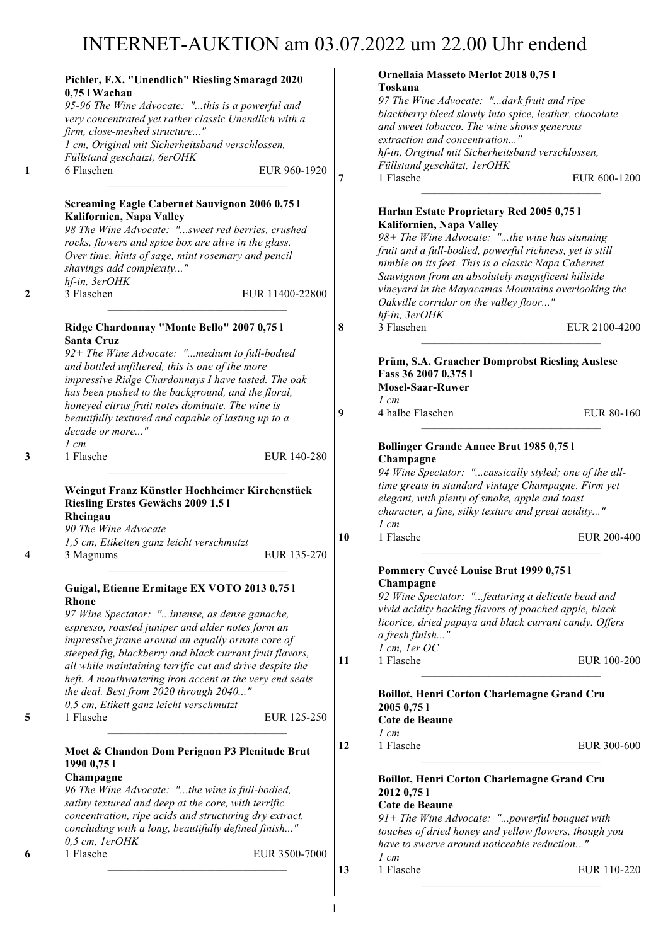# INTERNET-AUKTION am 03.07.2022 um 22.00 Uhr endend

| Pichler, F.X. "Unendlich" Riesling Smaragd 2020                                   |                 |    | Ornellaia Masseto Merlot 2018 0,75 l<br>Toskana                       |               |
|-----------------------------------------------------------------------------------|-----------------|----|-----------------------------------------------------------------------|---------------|
| 0,75 l Wachau                                                                     |                 |    | 97 The Wine Advocate: "dark fruit and ripe                            |               |
| 95-96 The Wine Advocate: "this is a powerful and                                  |                 |    | blackberry bleed slowly into spice, leather, chocolate                |               |
| very concentrated yet rather classic Unendlich with a                             |                 |    | and sweet tobacco. The wine shows generous                            |               |
| firm, close-meshed structure"                                                     |                 |    | extraction and concentration"                                         |               |
| 1 cm, Original mit Sicherheitsband verschlossen,                                  |                 |    | hf-in, Original mit Sicherheitsband verschlossen,                     |               |
| Füllstand geschätzt, 6erOHK                                                       |                 |    | Füllstand geschätzt, 1erOHK                                           |               |
| 6 Flaschen                                                                        | EUR 960-1920    | 7  | 1 Flasche                                                             | EUR 600-1200  |
| <b>Screaming Eagle Cabernet Sauvignon 2006 0,75 l</b><br>Kalifornien, Napa Valley |                 |    | Harlan Estate Proprietary Red 2005 0,75 l<br>Kalifornien, Napa Valley |               |
| 98 The Wine Advocate: "sweet red berries, crushed                                 |                 |    | 98+ The Wine Advocate: "the wine has stunning                         |               |
| rocks, flowers and spice box are alive in the glass.                              |                 |    | fruit and a full-bodied, powerful richness, yet is still              |               |
| Over time, hints of sage, mint rosemary and pencil                                |                 |    | nimble on its feet. This is a classic Napa Cabernet                   |               |
| shavings add complexity"                                                          |                 |    | Sauvignon from an absolutely magnificent hillside                     |               |
| hf-in, 3erOHK                                                                     |                 |    | vineyard in the Mayacamas Mountains overlooking the                   |               |
| 3 Flaschen                                                                        | EUR 11400-22800 |    | Oakville corridor on the valley floor"<br>hf-in, 3erOHK               |               |
| Ridge Chardonnay "Monte Bello" 2007 0,75 l                                        |                 | 8  | 3 Flaschen                                                            | EUR 2100-4200 |
| <b>Santa Cruz</b>                                                                 |                 |    |                                                                       |               |
| 92+ The Wine Advocate: "medium to full-bodied                                     |                 |    |                                                                       |               |
| and bottled unfiltered, this is one of the more                                   |                 |    | Prüm, S.A. Graacher Domprobst Riesling Auslese                        |               |
| impressive Ridge Chardonnays I have tasted. The oak                               |                 |    | Fass 36 2007 0,375 l                                                  |               |
| has been pushed to the background, and the floral,                                |                 |    | <b>Mosel-Saar-Ruwer</b>                                               |               |
|                                                                                   |                 |    | $1 \, cm$                                                             |               |
| honeyed citrus fruit notes dominate. The wine is                                  |                 | 9  | 4 halbe Flaschen                                                      | EUR 80-160    |
| beautifully textured and capable of lasting up to a<br>decade or more"            |                 |    |                                                                       |               |
| $1 \, cm$                                                                         |                 |    | Bollinger Grande Annee Brut 1985 0,75 l                               |               |
| 1 Flasche                                                                         | EUR 140-280     |    | Champagne                                                             |               |
|                                                                                   |                 |    | 94 Wine Spectator: "cassically styled; one of the all-                |               |
|                                                                                   |                 |    | time greats in standard vintage Champagne. Firm yet                   |               |
| Weingut Franz Künstler Hochheimer Kirchenstück                                    |                 |    | elegant, with plenty of smoke, apple and toast                        |               |
| Riesling Erstes Gewächs 2009 1,51                                                 |                 |    | character, a fine, silky texture and great acidity"                   |               |
| Rheingau                                                                          |                 |    | $1$ cm                                                                |               |
| 90 The Wine Advocate                                                              |                 | 10 | 1 Flasche                                                             | EUR 200-400   |
| 1,5 cm, Etiketten ganz leicht verschmutzt                                         |                 |    |                                                                       |               |
| 3 Magnums                                                                         | EUR 135-270     |    | Pommery Cuveé Louise Brut 1999 0,75 l                                 |               |
|                                                                                   |                 |    | Champagne                                                             |               |
| Guigal, Etienne Ermitage EX VOTO 2013 0,75 l                                      |                 |    | 92 Wine Spectator: "featuring a delicate bead and                     |               |
| <b>Rhone</b>                                                                      |                 |    | vivid acidity backing flavors of poached apple, black                 |               |
| 97 Wine Spectator: "intense, as dense ganache,                                    |                 |    |                                                                       |               |
| espresso, roasted juniper and alder notes form an                                 |                 |    | licorice, dried papaya and black currant candy. Offers                |               |
| impressive frame around an equally ornate core of                                 |                 |    | a fresh finish"                                                       |               |
| steeped fig, blackberry and black currant fruit flavors,                          |                 |    | 1 cm, 1er OC                                                          |               |
| all while maintaining terrific cut and drive despite the                          |                 | 11 | 1 Flasche                                                             | EUR 100-200   |
| heft. A mouthwatering iron accent at the very end seals                           |                 |    |                                                                       |               |
| the deal. Best from 2020 through 2040"                                            |                 |    | Boillot, Henri Corton Charlemagne Grand Cru                           |               |
| 0,5 cm, Etikett ganz leicht verschmutzt                                           |                 |    | 2005 0,75 1                                                           |               |
| 1 Flasche                                                                         | EUR 125-250     |    | Cote de Beaune                                                        |               |
|                                                                                   |                 |    | $1 \, cm$                                                             |               |
|                                                                                   |                 |    |                                                                       |               |
| Moet & Chandon Dom Perignon P3 Plenitude Brut                                     |                 | 12 | 1 Flasche                                                             | EUR 300-600   |
| 1990 0,75 1                                                                       |                 |    |                                                                       |               |
| Champagne                                                                         |                 |    | Boillot, Henri Corton Charlemagne Grand Cru                           |               |
| 96 The Wine Advocate: "the wine is full-bodied,                                   |                 |    | 2012 0,75 1                                                           |               |
| satiny textured and deep at the core, with terrific                               |                 |    | Cote de Beaune                                                        |               |
| concentration, ripe acids and structuring dry extract,                            |                 |    | $91+$ The Wine Advocate: "powerful bouquet with                       |               |
| concluding with a long, beautifully defined finish"                               |                 |    |                                                                       |               |
| 0,5 cm, lerOHK                                                                    |                 |    | touches of dried honey and yellow flowers, though you                 |               |
| 1 Flasche                                                                         | EUR 3500-7000   |    | have to swerve around noticeable reduction"                           |               |
|                                                                                   |                 |    | $1 \, cm$                                                             |               |
|                                                                                   |                 | 13 | 1 Flasche                                                             | EUR 110-220   |
|                                                                                   |                 |    |                                                                       |               |

 $\begin{array}{c} 1 \\ 1 \end{array}$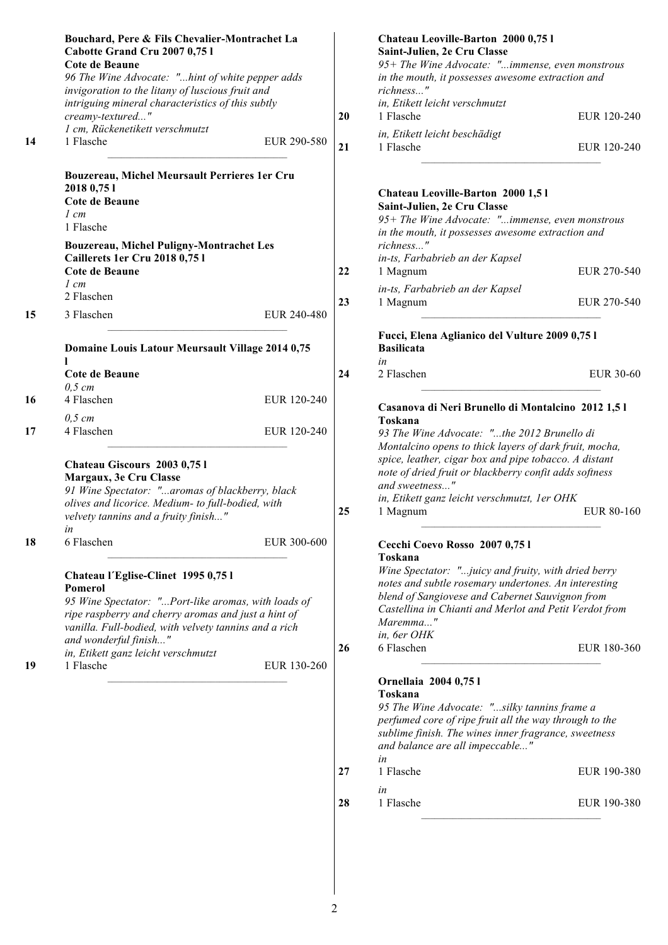|    | Bouchard, Pere & Fils Chevalier-Montrachet La<br>Cabotte Grand Cru 2007 0,75 l<br>Cote de Beaune<br>96 The Wine Advocate: "hint of white pepper adds<br>invigoration to the litany of luscious fruit and                                       |             |    | Chateau Leoville-Barton 2000 0,75 l<br>Saint-Julien, 2e Cru Classe<br>95+ The Wine Advocate: "immense, even monstrous<br>in the mouth, it possesses awesome extraction and<br>richness"<br>in, Etikett leicht verschmutzt                           |             |
|----|------------------------------------------------------------------------------------------------------------------------------------------------------------------------------------------------------------------------------------------------|-------------|----|-----------------------------------------------------------------------------------------------------------------------------------------------------------------------------------------------------------------------------------------------------|-------------|
|    | intriguing mineral characteristics of this subtly<br>creamy-textured"                                                                                                                                                                          |             | 20 | 1 Flasche                                                                                                                                                                                                                                           | EUR 120-240 |
| 14 | 1 cm, Rückenetikett verschmutzt<br>1 Flasche                                                                                                                                                                                                   | EUR 290-580 | 21 | in, Etikett leicht beschädigt<br>1 Flasche                                                                                                                                                                                                          | EUR 120-240 |
|    | Bouzereau, Michel Meursault Perrieres 1er Cru<br>2018 0,75 1<br>Cote de Beaune<br>$1 \, cm$<br>1 Flasche<br><b>Bouzereau, Michel Puligny-Montrachet Les</b><br>Caillerets 1er Cru 2018 0,751<br>Cote de Beaune                                 |             | 22 | Chateau Leoville-Barton 2000 1,51<br>Saint-Julien, 2e Cru Classe<br>95+ The Wine Advocate: "immense, even monstrous<br>in the mouth, it possesses awesome extraction and<br>richness"<br>in-ts, Farbabrieb an der Kapsel<br>1 Magnum                | EUR 270-540 |
|    | $1 \, cm$                                                                                                                                                                                                                                      |             |    | in-ts, Farbabrieb an der Kapsel                                                                                                                                                                                                                     |             |
| 15 | 2 Flaschen<br>3 Flaschen                                                                                                                                                                                                                       | EUR 240-480 | 23 | 1 Magnum                                                                                                                                                                                                                                            | EUR 270-540 |
|    | Domaine Louis Latour Meursault Village 2014 0,75<br>L                                                                                                                                                                                          |             |    | Fucci, Elena Aglianico del Vulture 2009 0,75 l<br><b>Basilicata</b><br>in                                                                                                                                                                           |             |
|    | Cote de Beaune<br>$0,5$ cm                                                                                                                                                                                                                     |             | 24 | 2 Flaschen                                                                                                                                                                                                                                          | EUR 30-60   |
| 16 | 4 Flaschen                                                                                                                                                                                                                                     | EUR 120-240 |    | Casanova di Neri Brunello di Montalcino 2012 1,51                                                                                                                                                                                                   |             |
| 17 | $0,5$ cm<br>4 Flaschen                                                                                                                                                                                                                         | EUR 120-240 |    | Toskana<br>93 The Wine Advocate: "the 2012 Brunello di<br>Montalcino opens to thick layers of dark fruit, mocha,<br>spice, leather, cigar box and pipe tobacco. A distant                                                                           |             |
|    | Chateau Giscours 2003 0,751<br>Margaux, 3e Cru Classe<br>91 Wine Spectator: "aromas of blackberry, black<br>olives and licorice. Medium- to full-bodied, with                                                                                  |             |    | note of dried fruit or blackberry confit adds softness<br>and sweetness"<br>in, Etikett ganz leicht verschmutzt, 1er OHK                                                                                                                            |             |
|    | velvety tannins and a fruity finish"<br>in                                                                                                                                                                                                     |             | 25 | 1 Magnum                                                                                                                                                                                                                                            | EUR 80-160  |
| 18 | 6 Flaschen                                                                                                                                                                                                                                     | EUR 300-600 |    | Cecchi Coevo Rosso 2007 0,751<br>Toskana                                                                                                                                                                                                            |             |
|    | Chateau l'Eglise-Clinet 1995 0,75 l<br>Pomerol<br>95 Wine Spectator: "Port-like aromas, with loads of<br>ripe raspberry and cherry aromas and just a hint of<br>vanilla. Full-bodied, with velvety tannins and a rich<br>and wonderful finish" |             |    | Wine Spectator: "juicy and fruity, with dried berry<br>notes and subtle rosemary undertones. An interesting<br>blend of Sangiovese and Cabernet Sauvignon from<br>Castellina in Chianti and Merlot and Petit Verdot from<br>Maremma"<br>in, 6er OHK |             |
|    | in, Etikett ganz leicht verschmutzt                                                                                                                                                                                                            |             | 26 | 6 Flaschen                                                                                                                                                                                                                                          | EUR 180-360 |
| 19 | 1 Flasche                                                                                                                                                                                                                                      | EUR 130-260 |    | Ornellaia 2004 0,75 l<br>Toskana<br>95 The Wine Advocate: "silky tannins frame a<br>perfumed core of ripe fruit all the way through to the<br>sublime finish. The wines inner fragrance, sweetness<br>and balance are all impeccable"<br>in         |             |

| 27 | 1 Flasche | EUR 190-380 |
|----|-----------|-------------|
|    | ın        |             |
| 28 | 1 Flasche | EUR 190-380 |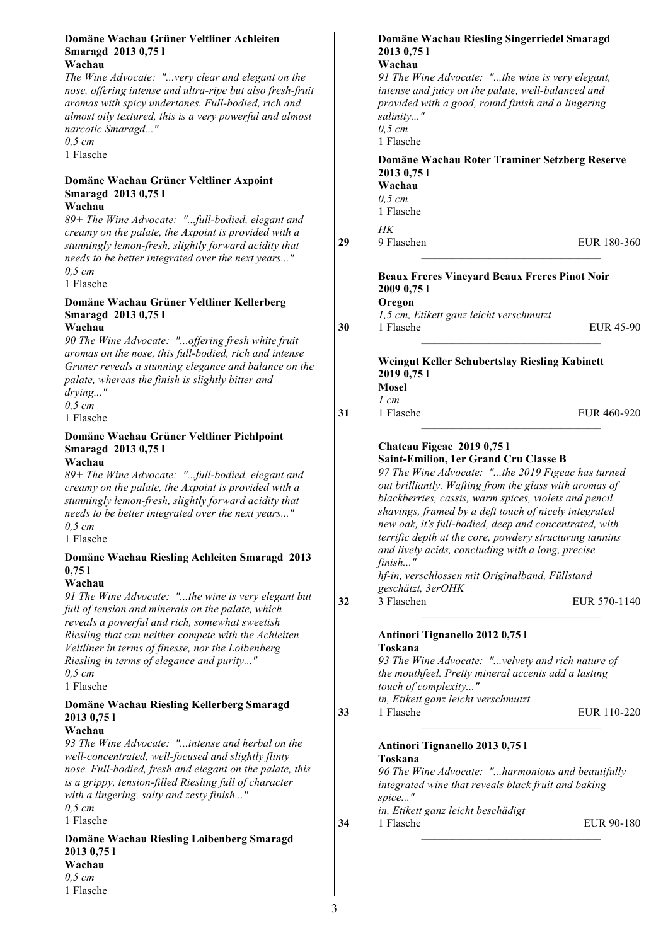#### **Domäne Wachau Grüner Veltliner Achleiten Smaragd 2013 0,75 l Wachau**

*The Wine Advocate: "...very clear and elegant on the nose, offering intense and ultra-ripe but also fresh-fruit aromas with spicy undertones. Full-bodied, rich and almost oily textured, this is a very powerful and almost narcotic Smaragd..."*

*0,5 cm* 1 Flasche

### **Domäne Wachau Grüner Veltliner Axpoint Smaragd 2013 0,75 l**

**Wachau**

*89+ The Wine Advocate: "...full-bodied, elegant and creamy on the palate, the Axpoint is provided with a stunningly lemon-fresh, slightly forward acidity that needs to be better integrated over the next years..." 0,5 cm*

1 Flasche

#### **Domäne Wachau Grüner Veltliner Kellerberg Smaragd 2013 0,75 l Wachau**

*90 The Wine Advocate: "...offering fresh white fruit aromas on the nose, this full-bodied, rich and intense Gruner reveals a stunning elegance and balance on the palate, whereas the finish is slightly bitter and drying..."*

*0,5 cm*

1 Flasche

#### **Domäne Wachau Grüner Veltliner Pichlpoint Smaragd 2013 0,75 l Wachau**

*89+ The Wine Advocate: "...full-bodied, elegant and creamy on the palate, the Axpoint is provided with a stunningly lemon-fresh, slightly forward acidity that needs to be better integrated over the next years..." 0,5 cm*

1 Flasche

#### **Domäne Wachau Riesling Achleiten Smaragd 2013 0,75 l**

#### **Wachau**

*91 The Wine Advocate: "...the wine is very elegant but full of tension and minerals on the palate, which reveals a powerful and rich, somewhat sweetish Riesling that can neither compete with the Achleiten Veltliner in terms of finesse, nor the Loibenberg Riesling in terms of elegance and purity..." 0,5 cm* 1 Flasche

#### **Domäne Wachau Riesling Kellerberg Smaragd 2013 0,75 l**

#### **Wachau**

*93 The Wine Advocate: "...intense and herbal on the well-concentrated, well-focused and slightly flinty nose. Full-bodied, fresh and elegant on the palate, this is a grippy, tension-filled Riesling full of character with a lingering, salty and zesty finish..." 0,5 cm*

1 Flasche

**Domäne Wachau Riesling Loibenberg Smaragd 2013 0,75 l Wachau** *0,5 cm* 1 Flasche

#### **Domäne Wachau Riesling Singerriedel Smaragd 2013 0,75 l**

**Wachau**

*91 The Wine Advocate: "...the wine is very elegant, intense and juicy on the palate, well-balanced and provided with a good, round finish and a lingering salinity..." 0,5 cm* 1 Flasche

### **Domäne Wachau Roter Traminer Setzberg Reserve 2013 0,75 l**

**Wachau** *0,5 cm* 1 Flasche

*HK*

**29** 9 Flaschen EUR 180-360

### **Beaux Freres Vineyard Beaux Freres Pinot Noir 2009 0,75 l Oregon**

*1,5 cm, Etikett ganz leicht verschmutzt* **30** 1 Flasche EUR 45-90

#### **Weingut Keller Schubertslay Riesling Kabinett 2019 0,75 l Mosel**

*1 cm* **31** 1 Flasche EUR 460-920

#### **Chateau Figeac 2019 0,75 l Saint-Emilion, 1er Grand Cru Classe B**

*97 The Wine Advocate: "...the 2019 Figeac has turned out brilliantly. Wafting from the glass with aromas of blackberries, cassis, warm spices, violets and pencil shavings, framed by a deft touch of nicely integrated new oak, it's full-bodied, deep and concentrated, with terrific depth at the core, powdery structuring tannins and lively acids, concluding with a long, precise finish..."*

*hf-in, verschlossen mit Originalband, Füllstand geschätzt, 3erOHK*

**32** 3 Flaschen EUR 570-1140

# **Antinori Tignanello 2012 0,75 l**

#### **Toskana**

*93 The Wine Advocate: "...velvety and rich nature of the mouthfeel. Pretty mineral accents add a lasting touch of complexity..." in, Etikett ganz leicht verschmutzt* **33** 1 Flasche EUR 110-220

#### **Antinori Tignanello 2013 0,75 l Toskana**

*96 The Wine Advocate: "...harmonious and beautifully integrated wine that reveals black fruit and baking spice..." in, Etikett ganz leicht beschädigt*

**34** 1 Flasche EUR 90-180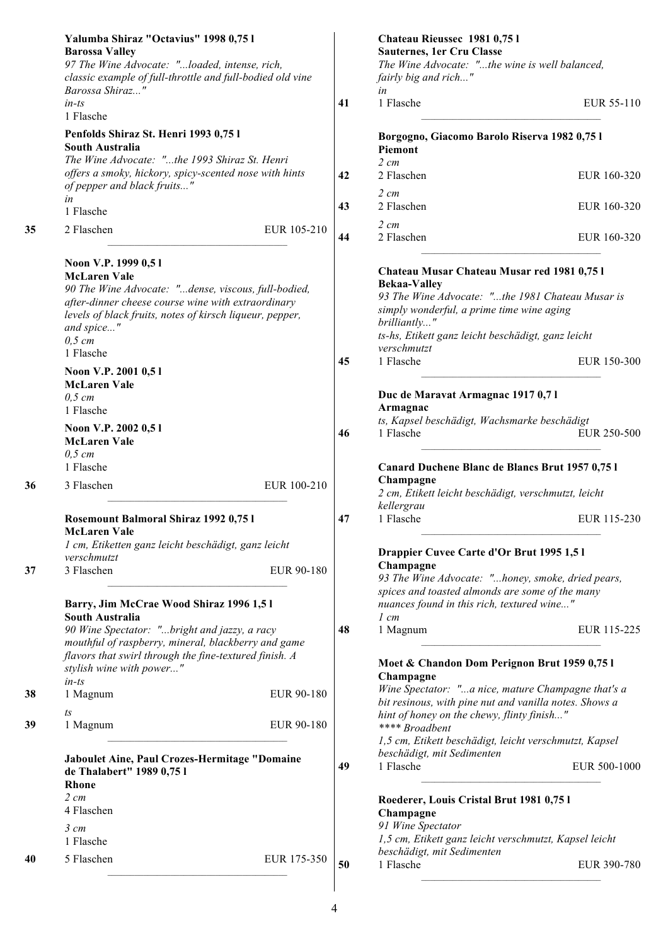|    | Yalumba Shiraz "Octavius" 1998 0,75 l<br><b>Barossa Valley</b><br>97 The Wine Advocate: "loaded, intense, rich,<br>classic example of full-throttle and full-bodied old vine                                                                               |            | Chateau Rieussec 1981 0,751<br>Sauternes, 1er Cru Classe<br>The Wine Advocate: "the wine is well balanced,<br>fairly big and rich"                                                                                                                       |
|----|------------------------------------------------------------------------------------------------------------------------------------------------------------------------------------------------------------------------------------------------------------|------------|----------------------------------------------------------------------------------------------------------------------------------------------------------------------------------------------------------------------------------------------------------|
|    | Barossa Shiraz"<br>$in-ts$<br>1 Flasche                                                                                                                                                                                                                    | 41         | in<br>1 Flasche<br>EUR 55-110                                                                                                                                                                                                                            |
|    | Penfolds Shiraz St. Henri 1993 0,75 l<br><b>South Australia</b>                                                                                                                                                                                            |            | Borgogno, Giacomo Barolo Riserva 1982 0,75 l<br>Piemont                                                                                                                                                                                                  |
|    | The Wine Advocate: "the 1993 Shiraz St. Henri<br>offers a smoky, hickory, spicy-scented nose with hints<br>of pepper and black fruits"                                                                                                                     | 42         | $2 \, cm$<br>2 Flaschen<br>EUR 160-320                                                                                                                                                                                                                   |
|    | in<br>1 Flasche                                                                                                                                                                                                                                            | 43         | $2 \, cm$<br>2 Flaschen<br>EUR 160-320                                                                                                                                                                                                                   |
| 35 | 2 Flaschen<br>EUR 105-210                                                                                                                                                                                                                                  | 44         | $2 \, cm$<br>2 Flaschen<br>EUR 160-320                                                                                                                                                                                                                   |
|    | Noon V.P. 1999 0,51<br><b>McLaren Vale</b><br>90 The Wine Advocate: "dense, viscous, full-bodied,<br>after-dinner cheese course wine with extraordinary<br>levels of black fruits, notes of kirsch liqueur, pepper,<br>and spice"<br>$0,5$ cm<br>1 Flasche |            | Chateau Musar Chateau Musar red 1981 0,75 l<br><b>Bekaa-Valley</b><br>93 The Wine Advocate: "the 1981 Chateau Musar is<br>simply wonderful, a prime time wine aging<br>brilliantly"<br>ts-hs, Etikett ganz leicht beschädigt, ganz leicht<br>verschmutzt |
|    | Noon V.P. 2001 0,51<br><b>McLaren Vale</b><br>$0,5$ cm<br>1 Flasche                                                                                                                                                                                        | 45         | 1 Flasche<br>EUR 150-300<br>Duc de Maravat Armagnac 1917 0,71<br>Armagnac                                                                                                                                                                                |
|    | Noon V.P. 2002 0,51<br><b>McLaren Vale</b><br>$0,5$ cm<br>1 Flasche                                                                                                                                                                                        | 46         | ts, Kapsel beschädigt, Wachsmarke beschädigt<br>1 Flasche<br>EUR 250-500<br>Canard Duchene Blanc de Blancs Brut 1957 0,75 l                                                                                                                              |
| 36 | EUR 100-210<br>3 Flaschen                                                                                                                                                                                                                                  |            | Champagne<br>2 cm, Etikett leicht beschädigt, verschmutzt, leicht<br>kellergrau                                                                                                                                                                          |
|    | Rosemount Balmoral Shiraz 1992 0,75 l<br><b>McLaren Vale</b><br>1 cm, Etiketten ganz leicht beschädigt, ganz leicht                                                                                                                                        | 47         | 1 Flasche<br>EUR 115-230<br>Drappier Cuvee Carte d'Or Brut 1995 1,5 l                                                                                                                                                                                    |
| 37 | verschmutzt<br>3 Flaschen                                                                                                                                                                                                                                  | EUR 90-180 | Champagne<br>93 The Wine Advocate: "honey, smoke, dried pears,<br>spices and toasted almonds are some of the many<br>nuances found in this rich, textured wine"                                                                                          |
|    | Barry, Jim McCrae Wood Shiraz 1996 1,5 l<br><b>South Australia</b><br>90 Wine Spectator: "bright and jazzy, a racy                                                                                                                                         | 48         | $1 \, cm$<br>EUR 115-225<br>1 Magnum                                                                                                                                                                                                                     |
|    | mouthful of raspberry, mineral, blackberry and game<br>flavors that swirl through the fine-textured finish. A<br>stylish wine with power"                                                                                                                  |            | Moet & Chandon Dom Perignon Brut 1959 0,75 l<br>Champagne                                                                                                                                                                                                |
| 38 | $in-ts$<br>1 Magnum                                                                                                                                                                                                                                        | EUR 90-180 | Wine Spectator: "a nice, mature Champagne that's a<br>bit resinous, with pine nut and vanilla notes. Shows a                                                                                                                                             |
| 39 | t s<br>1 Magnum                                                                                                                                                                                                                                            | EUR 90-180 | hint of honey on the chewy, flinty finish"<br>**** Broadbent<br>1,5 cm, Etikett beschädigt, leicht verschmutzt, Kapsel                                                                                                                                   |
|    | <b>Jaboulet Aine, Paul Crozes-Hermitage "Domaine</b><br>de Thalabert" 1989 0,75 l<br>Rhone                                                                                                                                                                 | 49         | beschädigt, mit Sedimenten<br>1 Flasche<br>EUR 500-1000                                                                                                                                                                                                  |
|    | $2 \, cm$<br>4 Flaschen<br>$3 \, cm$                                                                                                                                                                                                                       |            | Roederer, Louis Cristal Brut 1981 0,75 l<br>Champagne<br>91 Wine Spectator                                                                                                                                                                               |
|    | 1 Flasche                                                                                                                                                                                                                                                  |            | 1,5 cm, Etikett ganz leicht verschmutzt, Kapsel leicht<br>beschädigt, mit Sedimenten                                                                                                                                                                     |
| 40 | 5 Flaschen<br>EUR 175-350                                                                                                                                                                                                                                  | 50         | 1 Flasche<br>EUR 390-780                                                                                                                                                                                                                                 |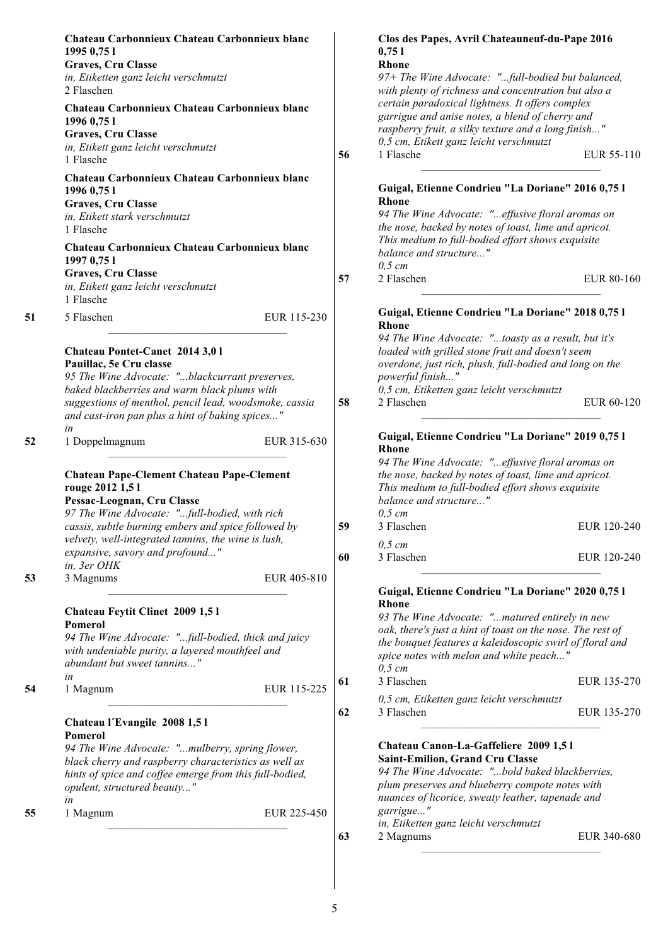|    | Chateau Carbonnieux Chateau Carbonnieux blanc<br>1995 0,75 1<br>Graves, Cru Classe<br>in, Etiketten ganz leicht verschmutzt<br>2 Flaschen                                                                                                                                                                           |          | Clos des Papes, Avril Chateauneuf-du-Pape 2016<br>0,751<br><b>Rhone</b><br>97+ The Wine Advocate: "full-bodied but balanced,<br>with plenty of richness and concentration but also a                                                                                                                 |                            |
|----|---------------------------------------------------------------------------------------------------------------------------------------------------------------------------------------------------------------------------------------------------------------------------------------------------------------------|----------|------------------------------------------------------------------------------------------------------------------------------------------------------------------------------------------------------------------------------------------------------------------------------------------------------|----------------------------|
|    | Chateau Carbonnieux Chateau Carbonnieux blanc<br>1996 0,75 1<br>Graves, Cru Classe<br>in, Etikett ganz leicht verschmutzt                                                                                                                                                                                           |          | certain paradoxical lightness. It offers complex<br>garrigue and anise notes, a blend of cherry and<br>raspberry fruit, a silky texture and a long finish"<br>0,5 cm, Etikett ganz leicht verschmutzt                                                                                                |                            |
|    | 1 Flasche                                                                                                                                                                                                                                                                                                           | 56       | 1 Flasche                                                                                                                                                                                                                                                                                            | EUR 55-110                 |
|    | Chateau Carbonnieux Chateau Carbonnieux blanc<br>1996 0,75 1<br>Graves, Cru Classe<br>in, Etikett stark verschmutzt<br>1 Flasche<br>Chateau Carbonnieux Chateau Carbonnieux blanc<br>1997 0,75 1<br>Graves, Cru Classe<br>in, Etikett ganz leicht verschmutzt                                                       | 57       | Guigal, Etienne Condrieu "La Doriane" 2016 0,75 l<br><b>Rhone</b><br>94 The Wine Advocate: "effusive floral aromas on<br>the nose, backed by notes of toast, lime and apricot.<br>This medium to full-bodied effort shows exquisite<br>balance and structure"<br>$0,5$ cm<br>2 Flaschen              | EUR 80-160                 |
| 51 | 1 Flasche<br>5 Flaschen<br>EUR 115-230                                                                                                                                                                                                                                                                              |          | Guigal, Etienne Condrieu "La Doriane" 2018 0,75 l                                                                                                                                                                                                                                                    |                            |
|    | Chateau Pontet-Canet 2014 3,0 l<br>Pauillac, 5e Cru classe<br>95 The Wine Advocate: "blackcurrant preserves,<br>baked blackberries and warm black plums with<br>suggestions of menthol, pencil lead, woodsmoke, cassia<br>and cast-iron pan plus a hint of baking spices"                                           | 58       | <b>Rhone</b><br>94 The Wine Advocate: "toasty as a result, but it's<br>loaded with grilled stone fruit and doesn't seem<br>overdone, just rich, plush, full-bodied and long on the<br>powerful finish"<br>0,5 cm, Etiketten ganz leicht verschmutzt<br>2 Flaschen                                    | EUR 60-120                 |
| 52 | in<br>1 Doppelmagnum<br>EUR 315-630                                                                                                                                                                                                                                                                                 |          | Guigal, Etienne Condrieu "La Doriane" 2019 0,75 l<br>Rhone                                                                                                                                                                                                                                           |                            |
|    | <b>Chateau Pape-Clement Chateau Pape-Clement</b><br>rouge 2012 1,5 l<br>Pessac-Leognan, Cru Classe<br>97 The Wine Advocate: "full-bodied, with rich<br>cassis, subtle burning embers and spice followed by<br>velvety, well-integrated tannins, the wine is lush,<br>expansive, savory and profound"<br>in, 3er OHK | 59<br>60 | 94 The Wine Advocate: "effusive floral aromas on<br>the nose, backed by notes of toast, lime and apricot.<br>This medium to full-bodied effort shows exquisite<br>balance and structure"<br>$0,5$ cm<br>3 Flaschen<br>$0,5$ cm<br>3 Flaschen                                                         | EUR 120-240<br>EUR 120-240 |
| 53 | 3 Magnums<br>EUR 405-810                                                                                                                                                                                                                                                                                            |          |                                                                                                                                                                                                                                                                                                      |                            |
|    | Chateau Feytit Clinet 2009 1,51<br>Pomerol<br>94 The Wine Advocate: "full-bodied, thick and juicy<br>with undeniable purity, a layered mouthfeel and<br>abundant but sweet tannins"                                                                                                                                 |          | Guigal, Etienne Condrieu "La Doriane" 2020 0,75 l<br><b>Rhone</b><br>93 The Wine Advocate: "matured entirely in new<br>oak, there's just a hint of toast on the nose. The rest of<br>the bouquet features a kaleidoscopic swirl of floral and<br>spice notes with melon and white peach"<br>$0,5$ cm |                            |
| 54 | in<br>EUR 115-225<br>1 Magnum                                                                                                                                                                                                                                                                                       | 61       | 3 Flaschen                                                                                                                                                                                                                                                                                           | EUR 135-270                |
|    |                                                                                                                                                                                                                                                                                                                     |          | 0,5 cm, Etiketten ganz leicht verschmutzt                                                                                                                                                                                                                                                            |                            |
|    | Chateau l'Evangile 2008 1,51<br>Pomerol<br>94 The Wine Advocate: "mulberry, spring flower,<br>black cherry and raspberry characteristics as well as<br>hints of spice and coffee emerge from this full-bodied,<br>opulent, structured beauty"<br>in                                                                 | 62       | 3 Flaschen<br>Chateau Canon-La-Gaffeliere 2009 1,51<br>Saint-Emilion, Grand Cru Classe<br>94 The Wine Advocate: "bold baked blackberries,<br>plum preserves and blueberry compote notes with<br>nuances of licorice, sweaty leather, tapenade and                                                    | EUR 135-270                |
| 55 | 1 Magnum<br>EUR 225-450                                                                                                                                                                                                                                                                                             |          | garrigue"                                                                                                                                                                                                                                                                                            |                            |
|    |                                                                                                                                                                                                                                                                                                                     | 63       | in, Etiketten ganz leicht verschmutzt<br>2 Magnums                                                                                                                                                                                                                                                   | EUR 340-680                |
|    |                                                                                                                                                                                                                                                                                                                     |          |                                                                                                                                                                                                                                                                                                      |                            |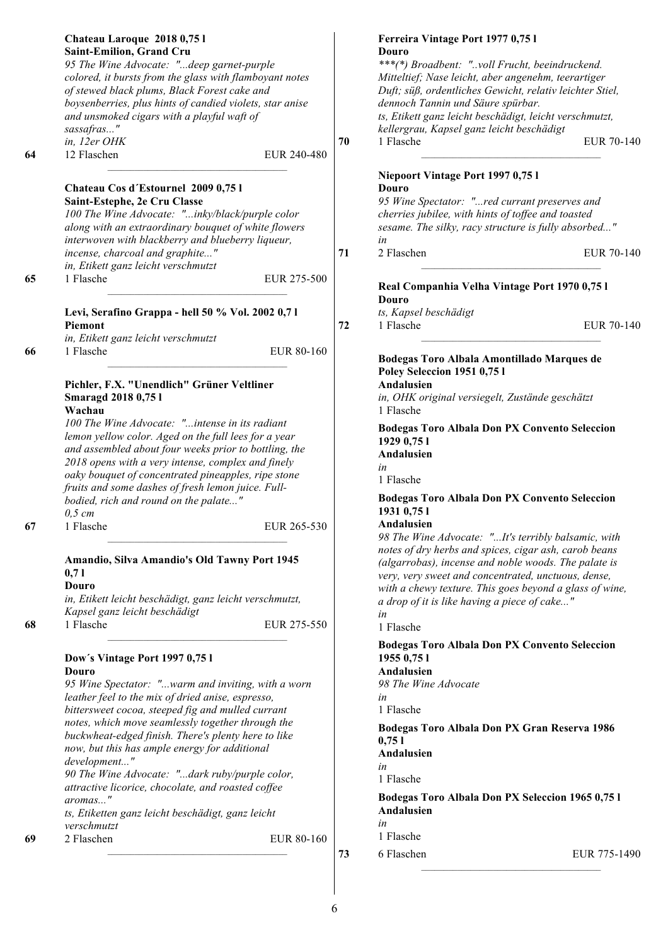|                | Chateau Laroque 2018 0,75 l<br>Saint-Emilion, Grand Cru<br>95 The Wine Advocate: "deep garnet-purple<br>colored, it bursts from the glass with flamboyant notes<br>of stewed black plums, Black Forest cake and                                                                                                                                                                                                                                                                                                                                                                                                                                                                                                                                                                                                                                                                                                                                                              |          | Ferreira Vintage Port 1977 0,75 l<br>Douro<br>***(*) Broadbent: "voll Frucht, beeindruckend.<br>Mitteltief; Nase leicht, aber angenehm, teerartiger<br>Duft; süß, ordentliches Gewicht, relativ leichter Stiel,                                                                                                                                                                                                                                                                                                                                                                                                                                                                                     |
|----------------|------------------------------------------------------------------------------------------------------------------------------------------------------------------------------------------------------------------------------------------------------------------------------------------------------------------------------------------------------------------------------------------------------------------------------------------------------------------------------------------------------------------------------------------------------------------------------------------------------------------------------------------------------------------------------------------------------------------------------------------------------------------------------------------------------------------------------------------------------------------------------------------------------------------------------------------------------------------------------|----------|-----------------------------------------------------------------------------------------------------------------------------------------------------------------------------------------------------------------------------------------------------------------------------------------------------------------------------------------------------------------------------------------------------------------------------------------------------------------------------------------------------------------------------------------------------------------------------------------------------------------------------------------------------------------------------------------------------|
|                | boysenberries, plus hints of candied violets, star anise<br>and unsmoked cigars with a playful waft of<br>sassafras"<br>in, 12er OHK                                                                                                                                                                                                                                                                                                                                                                                                                                                                                                                                                                                                                                                                                                                                                                                                                                         | 70       | dennoch Tannin und Säure spürbar.<br>ts, Etikett ganz leicht beschädigt, leicht verschmutzt,<br>kellergrau, Kapsel ganz leicht beschädigt<br>1 Flasche<br>EUR 70-140                                                                                                                                                                                                                                                                                                                                                                                                                                                                                                                                |
| 64<br>65<br>66 | 12 Flaschen<br>EUR 240-480<br>Chateau Cos d'Estournel 2009 0,75 l<br>Saint-Estephe, 2e Cru Classe<br>100 The Wine Advocate: "inky/black/purple color<br>along with an extraordinary bouquet of white flowers<br>interwoven with blackberry and blueberry liqueur,<br>incense, charcoal and graphite"<br>in, Etikett ganz leicht verschmutzt<br>1 Flasche<br>EUR 275-500<br>Levi, Serafino Grappa - hell 50 % Vol. 2002 0,71<br>Piemont<br>in, Etikett ganz leicht verschmutzt<br>1 Flasche<br>EUR 80-160<br>Pichler, F.X. "Unendlich" Grüner Veltliner<br><b>Smaragd 2018 0,751</b><br>Wachau<br>100 The Wine Advocate: "intense in its radiant<br>lemon yellow color. Aged on the full lees for a year<br>and assembled about four weeks prior to bottling, the<br>2018 opens with a very intense, complex and finely<br>oaky bouquet of concentrated pineapples, ripe stone<br>fruits and some dashes of fresh lemon juice. Full-<br>bodied, rich and round on the palate" | 71<br>72 | Niepoort Vintage Port 1997 0,75 l<br>Douro<br>95 Wine Spectator: "red currant preserves and<br>cherries jubilee, with hints of toffee and toasted<br>sesame. The silky, racy structure is fully absorbed"<br>in<br>2 Flaschen<br>EUR 70-140<br>Real Companhia Velha Vintage Port 1970 0,75 l<br>Douro<br>ts, Kapsel beschädigt<br>1 Flasche<br>EUR 70-140<br>Bodegas Toro Albala Amontillado Marques de<br>Poley Seleccion 1951 0,75 l<br>Andalusien<br>in, OHK original versiegelt, Zustände geschätzt<br>1 Flasche<br><b>Bodegas Toro Albala Don PX Convento Seleccion</b><br>1929 0,75 1<br>Andalusien<br>in<br>1 Flasche<br><b>Bodegas Toro Albala Don PX Convento Seleccion</b><br>1931 0,75 1 |
| 67<br>68       | $0,5$ cm<br>1 Flasche<br>EUR 265-530<br>Amandio, Silva Amandio's Old Tawny Port 1945<br>0,71<br>Douro<br>in, Etikett leicht beschädigt, ganz leicht verschmutzt,<br>Kapsel ganz leicht beschädigt<br>1 Flasche<br>EUR 275-550                                                                                                                                                                                                                                                                                                                                                                                                                                                                                                                                                                                                                                                                                                                                                |          | Andalusien<br>98 The Wine Advocate: "It's terribly balsamic, with<br>notes of dry herbs and spices, cigar ash, carob beans<br>(algarrobas), incense and noble woods. The palate is<br>very, very sweet and concentrated, unctuous, dense,<br>with a chewy texture. This goes beyond a glass of wine,<br>a drop of it is like having a piece of cake"<br>in<br>1 Flasche                                                                                                                                                                                                                                                                                                                             |
| 69             | Dow's Vintage Port 1997 0,75 l<br>Douro<br>95 Wine Spectator: "warm and inviting, with a worn<br>leather feel to the mix of dried anise, espresso,<br>bittersweet cocoa, steeped fig and mulled currant<br>notes, which move seamlessly together through the<br>buckwheat-edged finish. There's plenty here to like<br>now, but this has ample energy for additional<br>development"<br>90 The Wine Advocate: "dark ruby/purple color,<br>attractive licorice, chocolate, and roasted coffee<br>aromas"<br>ts, Etiketten ganz leicht beschädigt, ganz leicht<br>verschmutzt<br>2 Flaschen<br>EUR 80-160                                                                                                                                                                                                                                                                                                                                                                      |          | <b>Bodegas Toro Albala Don PX Convento Seleccion</b><br>1955 0,75 1<br>Andalusien<br>98 The Wine Advocate<br>in<br>1 Flasche<br>Bodegas Toro Albala Don PX Gran Reserva 1986<br>0,751<br>Andalusien<br>in<br>1 Flasche<br>Bodegas Toro Albala Don PX Seleccion 1965 0,75 l<br>Andalusien<br>in<br>1 Flasche                                                                                                                                                                                                                                                                                                                                                                                         |
|                |                                                                                                                                                                                                                                                                                                                                                                                                                                                                                                                                                                                                                                                                                                                                                                                                                                                                                                                                                                              | 73       | 6 Flaschen<br>EUR 775-1490                                                                                                                                                                                                                                                                                                                                                                                                                                                                                                                                                                                                                                                                          |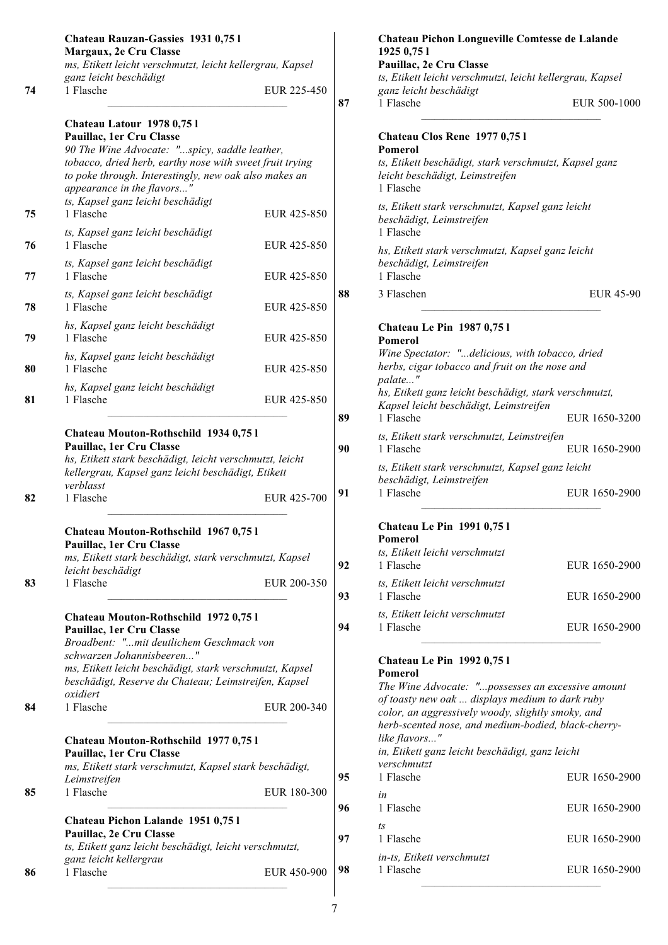|    | Chateau Rauzan-Gassies 1931 0,75 l<br>Margaux, 2e Cru Classe<br>ms, Etikett leicht verschmutzt, leicht kellergrau, Kapsel                                                                                                                                                                                   |             |          |
|----|-------------------------------------------------------------------------------------------------------------------------------------------------------------------------------------------------------------------------------------------------------------------------------------------------------------|-------------|----------|
| 74 | ganz leicht beschädigt<br>1 Flasche                                                                                                                                                                                                                                                                         | EUR 225-450 | 87       |
| 75 | Chateau Latour 1978 0,751<br>Pauillac, 1er Cru Classe<br>90 The Wine Advocate: "spicy, saddle leather,<br>tobacco, dried herb, earthy nose with sweet fruit trying<br>to poke through. Interestingly, new oak also makes an<br>appearance in the flavors"<br>ts, Kapsel ganz leicht beschädigt<br>1 Flasche | EUR 425-850 |          |
| 76 | ts, Kapsel ganz leicht beschädigt<br>1 Flasche                                                                                                                                                                                                                                                              | EUR 425-850 |          |
| 77 | ts, Kapsel ganz leicht beschädigt<br>1 Flasche                                                                                                                                                                                                                                                              | EUR 425-850 |          |
| 78 | ts, Kapsel ganz leicht beschädigt<br>1 Flasche                                                                                                                                                                                                                                                              | EUR 425-850 | 88       |
| 79 | hs, Kapsel ganz leicht beschädigt<br>1 Flasche                                                                                                                                                                                                                                                              | EUR 425-850 |          |
| 80 | hs, Kapsel ganz leicht beschädigt<br>1 Flasche                                                                                                                                                                                                                                                              | EUR 425-850 |          |
| 81 | hs, Kapsel ganz leicht beschädigt<br>1 Flasche                                                                                                                                                                                                                                                              | EUR 425-850 | 89       |
| 82 | Chateau Mouton-Rothschild 1934 0,75 l<br>Pauillac, 1er Cru Classe<br>hs, Etikett stark beschädigt, leicht verschmutzt, leicht<br>kellergrau, Kapsel ganz leicht beschädigt, Etikett<br>verblasst<br>1 Flasche                                                                                               | EUR 425-700 | 90<br>91 |
| 83 | Chateau Mouton-Rothschild 1967 0,75 l<br>Pauillac, 1er Cru Classe<br>ms, Etikett stark beschädigt, stark verschmutzt, Kapsel<br>leicht beschädigt<br>1 Flasche                                                                                                                                              | EUR 200-350 | 92       |
| 84 | Chateau Mouton-Rothschild 1972 0,75 l<br>Pauillac, 1er Cru Classe<br>Broadbent: "mit deutlichem Geschmack von<br>schwarzen Johannisbeeren"<br>ms, Etikett leicht beschädigt, stark verschmutzt, Kapsel<br>beschädigt, Reserve du Chateau; Leimstreifen, Kapsel<br>oxidiert<br>1 Flasche                     | EUR 200-340 | 93<br>94 |
| 85 | Chateau Mouton-Rothschild 1977 0,75 l<br>Pauillac, 1er Cru Classe<br>ms, Etikett stark verschmutzt, Kapsel stark beschädigt,<br>Leimstreifen<br>1 Flasche                                                                                                                                                   | EUR 180-300 | 95       |
|    | Chateau Pichon Lalande 1951 0,75 l                                                                                                                                                                                                                                                                          |             | 96       |
|    | Pauillac, 2e Cru Classe<br>ts, Etikett ganz leicht beschädigt, leicht verschmutzt,<br>ganz leicht kellergrau                                                                                                                                                                                                |             | 97       |
| 86 | 1 Flasche                                                                                                                                                                                                                                                                                                   | EUR 450-900 | 98       |

|    | 1925 0,75 1<br>Pauillac, 2e Cru Classe                                                                                                                                                                                                                                                                                                                    |               |
|----|-----------------------------------------------------------------------------------------------------------------------------------------------------------------------------------------------------------------------------------------------------------------------------------------------------------------------------------------------------------|---------------|
|    | ts, Etikett leicht verschmutzt, leicht kellergrau, Kapsel<br>ganz leicht beschädigt                                                                                                                                                                                                                                                                       |               |
| 87 | 1 Flasche                                                                                                                                                                                                                                                                                                                                                 | EUR 500-1000  |
|    | Chateau Clos Rene 1977 0,75 l<br>Pomerol                                                                                                                                                                                                                                                                                                                  |               |
|    | ts, Etikett beschädigt, stark verschmutzt, Kapsel ganz<br>leicht beschädigt, Leimstreifen<br>1 Flasche                                                                                                                                                                                                                                                    |               |
|    | ts, Etikett stark verschmutzt, Kapsel ganz leicht<br>beschädigt, Leimstreifen<br>1 Flasche                                                                                                                                                                                                                                                                |               |
|    | hs, Etikett stark verschmutzt, Kapsel ganz leicht<br>beschädigt, Leimstreifen<br>1 Flasche                                                                                                                                                                                                                                                                |               |
| 88 | 3 Flaschen                                                                                                                                                                                                                                                                                                                                                | EUR 45-90     |
|    | <b>Chateau Le Pin 1987 0,751</b><br><b>Pomerol</b><br>Wine Spectator: "delicious, with tobacco, dried<br>herbs, cigar tobacco and fruit on the nose and<br>palate"<br>hs, Etikett ganz leicht beschädigt, stark verschmutzt,<br>Kapsel leicht beschädigt, Leimstreifen                                                                                    |               |
| 89 | 1 Flasche                                                                                                                                                                                                                                                                                                                                                 | EUR 1650-3200 |
| 90 | ts, Etikett stark verschmutzt, Leimstreifen<br>1 Flasche                                                                                                                                                                                                                                                                                                  | EUR 1650-2900 |
|    | ts, Etikett stark verschmutzt, Kapsel ganz leicht<br>beschädigt, Leimstreifen                                                                                                                                                                                                                                                                             |               |
| 91 | 1 Flasche                                                                                                                                                                                                                                                                                                                                                 | EUR 1650-2900 |
|    | <b>Chateau Le Pin 1991 0,751</b><br>Pomerol<br>ts, Etikett leicht verschmutzt                                                                                                                                                                                                                                                                             |               |
| 92 | 1 Flasche<br>ts, Etikett leicht verschmutzt                                                                                                                                                                                                                                                                                                               | EUR 1650-2900 |
| 93 | 1 Flasche                                                                                                                                                                                                                                                                                                                                                 | EUR 1650-2900 |
| 94 | ts, Etikett leicht verschmutzt<br>1 Flasche                                                                                                                                                                                                                                                                                                               | EUR 1650-2900 |
|    | <b>Chateau Le Pin 1992 0,751</b><br><b>Pomerol</b><br>The Wine Advocate: "possesses an excessive amount<br>of toasty new oak  displays medium to dark ruby<br>color, an aggressively woody, slightly smoky, and<br>herb-scented nose, and medium-bodied, black-cherry-<br>like flavors"<br>in, Etikett ganz leicht beschädigt, ganz leicht<br>verschmutzt |               |
| 95 | 1 Flasche                                                                                                                                                                                                                                                                                                                                                 | EUR 1650-2900 |
| 96 | in<br>1 Flasche                                                                                                                                                                                                                                                                                                                                           | EUR 1650-2900 |
| 97 | ts<br>1 Flasche                                                                                                                                                                                                                                                                                                                                           | EUR 1650-2900 |
| 98 | in-ts, Etikett verschmutzt<br>1 Flasche                                                                                                                                                                                                                                                                                                                   | EUR 1650-2900 |
|    |                                                                                                                                                                                                                                                                                                                                                           |               |

**Chateau Pichon Longueville Comtesse de Lalande**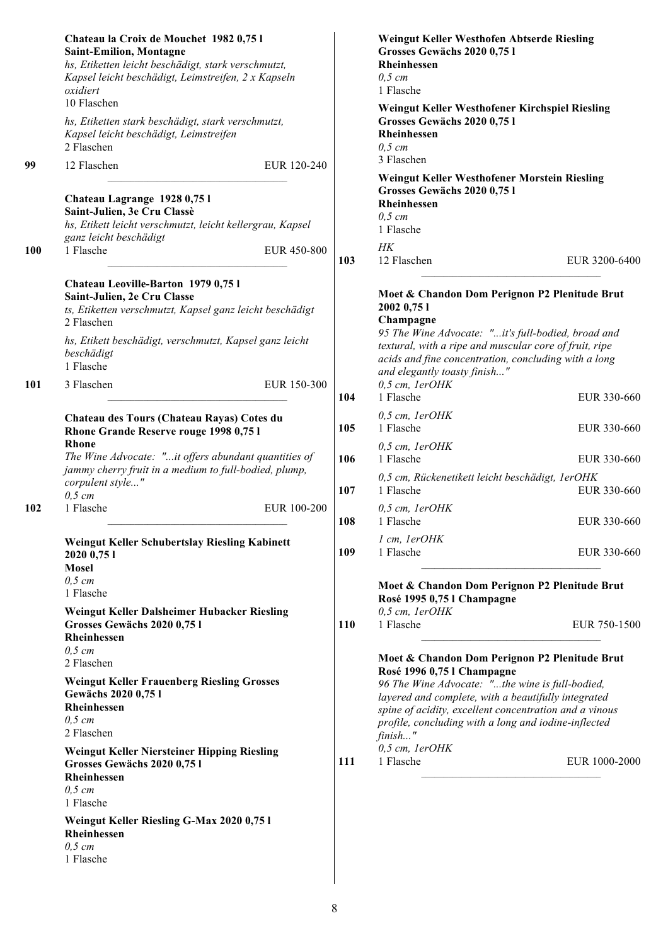|            | Chateau la Croix de Mouchet 1982 0,75 l<br><b>Saint-Emilion, Montagne</b><br>hs, Etiketten leicht beschädigt, stark verschmutzt,<br>Kapsel leicht beschädigt, Leimstreifen, 2 x Kapseln<br>oxidiert<br>10 Flaschen                 |     | Weingut Keller Westhofen Abtserde Riesling<br>Grosses Gewächs 2020 0,75 l<br>Rheinhessen<br>$0,5$ cm<br>1 Flasche                                                                                                                                                                 |
|------------|------------------------------------------------------------------------------------------------------------------------------------------------------------------------------------------------------------------------------------|-----|-----------------------------------------------------------------------------------------------------------------------------------------------------------------------------------------------------------------------------------------------------------------------------------|
|            | hs, Etiketten stark beschädigt, stark verschmutzt,<br>Kapsel leicht beschädigt, Leimstreifen<br>2 Flaschen                                                                                                                         |     | Weingut Keller Westhofener Kirchspiel Riesling<br>Grosses Gewächs 2020 0,75 l<br>Rheinhessen<br>$0,5$ cm                                                                                                                                                                          |
| 99         | 12 Flaschen<br>EUR 120-240                                                                                                                                                                                                         |     | 3 Flaschen                                                                                                                                                                                                                                                                        |
| <b>100</b> | Chateau Lagrange 1928 0,751<br>Saint-Julien, 3e Cru Classè<br>hs, Etikett leicht verschmutzt, leicht kellergrau, Kapsel<br>ganz leicht beschädigt<br>1 Flasche<br>EUR 450-800                                                      | 103 | Weingut Keller Westhofener Morstein Riesling<br>Grosses Gewächs 2020 0,75 l<br>Rheinhessen<br>$0,5$ cm<br>1 Flasche<br>H K<br>12 Flaschen<br>EUR 3200-6400                                                                                                                        |
|            | Chateau Leoville-Barton 1979 0,75 l<br>Saint-Julien, 2e Cru Classe<br>ts, Etiketten verschmutzt, Kapsel ganz leicht beschädigt<br>2 Flaschen<br>hs, Etikett beschädigt, verschmutzt, Kapsel ganz leicht<br>beschädigt<br>1 Flasche |     | Moet & Chandon Dom Perignon P2 Plenitude Brut<br>2002 0,75 1<br>Champagne<br>95 The Wine Advocate: "it's full-bodied, broad and<br>textural, with a ripe and muscular core of fruit, ripe<br>acids and fine concentration, concluding with a long<br>and elegantly toasty finish" |
| 101        | 3 Flaschen<br>EUR 150-300                                                                                                                                                                                                          | 104 | $0.5$ cm, $IerOHK$<br>1 Flasche<br>EUR 330-660                                                                                                                                                                                                                                    |
|            | Chateau des Tours (Chateau Rayas) Cotes du<br>Rhone Grande Reserve rouge 1998 0,75 l                                                                                                                                               | 105 | $0,5$ cm, $IerOHK$<br>1 Flasche<br>EUR 330-660                                                                                                                                                                                                                                    |
|            | <b>Rhone</b><br>The Wine Advocate: "it offers abundant quantities of                                                                                                                                                               | 106 | $0,5$ cm, $IerOHK$<br>1 Flasche<br>EUR 330-660                                                                                                                                                                                                                                    |
|            | jammy cherry fruit in a medium to full-bodied, plump,<br>corpulent style"<br>$0,5$ cm                                                                                                                                              | 107 | 0,5 cm, Rückenetikett leicht beschädigt, 1erOHK<br>1 Flasche<br>EUR 330-660                                                                                                                                                                                                       |
| 102        | 1 Flasche<br>EUR 100-200                                                                                                                                                                                                           | 108 | $0,5$ cm, $IerOHK$<br>1 Flasche<br>EUR 330-660                                                                                                                                                                                                                                    |
|            | Weingut Keller Schubertslay Riesling Kabinett<br>2020 0,75 1<br><b>Mosel</b>                                                                                                                                                       | 109 | 1 cm, lerOHK<br>1 Flasche<br>EUR 330-660                                                                                                                                                                                                                                          |
|            | $0,5$ cm<br>1 Flasche                                                                                                                                                                                                              |     | Moet & Chandon Dom Perignon P2 Plenitude Brut<br>Rosé 1995 0,75 l Champagne                                                                                                                                                                                                       |
|            | Weingut Keller Dalsheimer Hubacker Riesling<br>Grosses Gewächs 2020 0,75 l<br>Rheinhessen                                                                                                                                          | 110 | 0,5 cm, 1erOHK<br>1 Flasche<br>EUR 750-1500                                                                                                                                                                                                                                       |
|            | $0,5$ cm<br>2 Flaschen                                                                                                                                                                                                             |     | Moet & Chandon Dom Perignon P2 Plenitude Brut<br>Rosé 1996 0,75 l Champagne                                                                                                                                                                                                       |
|            | <b>Weingut Keller Frauenberg Riesling Grosses</b><br>Gewächs 2020 0,75 l<br>Rheinhessen<br>$0,5$ cm<br>2 Flaschen                                                                                                                  |     | 96 The Wine Advocate: "the wine is full-bodied,<br>layered and complete, with a beautifully integrated<br>spine of acidity, excellent concentration and a vinous<br>profile, concluding with a long and iodine-inflected<br>finish"                                               |
|            | Weingut Keller Niersteiner Hipping Riesling<br>Grosses Gewächs 2020 0,75 l<br>Rheinhessen<br>$0,5$ cm<br>1 Flasche                                                                                                                 | 111 | 0,5 cm, lerOHK<br>1 Flasche<br>EUR 1000-2000                                                                                                                                                                                                                                      |
|            | Weingut Keller Riesling G-Max 2020 0,75 l<br>Rheinhessen<br>$0,5$ cm<br>1 Flasche                                                                                                                                                  |     |                                                                                                                                                                                                                                                                                   |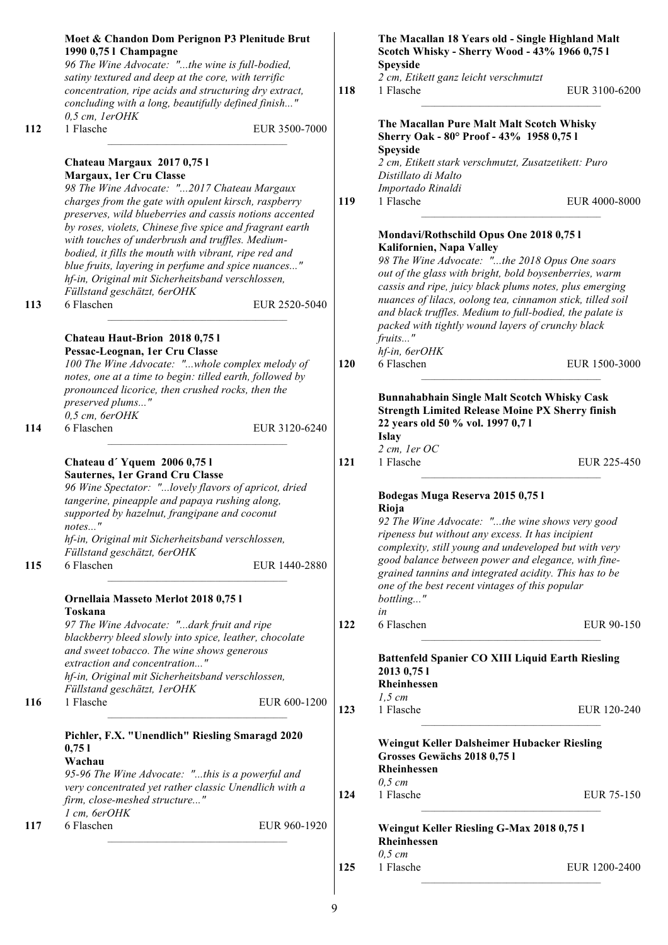|     | Moet & Chandon Dom Perignon P3 Plenitude Brut<br>1990 0,75 l Champagne<br>96 The Wine Advocate: "the wine is full-bodied,                                                                                                       |            | The Macallan 18 Years old - Single Highland Malt<br>Scotch Whisky - Sherry Wood - 43% 1966 0,75 l<br>Speyside                                                                                                                                                 |
|-----|---------------------------------------------------------------------------------------------------------------------------------------------------------------------------------------------------------------------------------|------------|---------------------------------------------------------------------------------------------------------------------------------------------------------------------------------------------------------------------------------------------------------------|
|     | satiny textured and deep at the core, with terrific<br>concentration, ripe acids and structuring dry extract,<br>concluding with a long, beautifully defined finish"                                                            | 118        | 2 cm, Etikett ganz leicht verschmutzt<br>1 Flasche<br>EUR 3100-6200                                                                                                                                                                                           |
| 112 | 0,5 cm, lerOHK<br>1 Flasche<br>EUR 3500-7000                                                                                                                                                                                    |            | The Macallan Pure Malt Malt Scotch Whisky<br>Sherry Oak - 80° Proof - 43% 1958 0,75 l                                                                                                                                                                         |
|     | Chateau Margaux 2017 0,751<br>Margaux, 1er Cru Classe<br>98 The Wine Advocate: "2017 Chateau Margaux                                                                                                                            |            | Speyside<br>2 cm, Etikett stark verschmutzt, Zusatzetikett: Puro<br>Distillato di Malto<br>Importado Rinaldi                                                                                                                                                  |
|     | charges from the gate with opulent kirsch, raspberry<br>preserves, wild blueberries and cassis notions accented<br>by roses, violets, Chinese five spice and fragrant earth<br>with touches of underbrush and truffles. Medium- | 119        | 1 Flasche<br>EUR 4000-8000<br>Mondavi/Rothschild Opus One 2018 0,75 l                                                                                                                                                                                         |
|     | bodied, it fills the mouth with vibrant, ripe red and<br>blue fruits, layering in perfume and spice nuances"<br>hf-in, Original mit Sicherheitsband verschlossen,<br>Füllstand geschätzt, 6erOHK                                |            | Kalifornien, Napa Valley<br>98 The Wine Advocate: "the 2018 Opus One soars<br>out of the glass with bright, bold boysenberries, warm<br>cassis and ripe, juicy black plums notes, plus emerging<br>nuances of lilacs, oolong tea, cinnamon stick, tilled soil |
| 113 | 6 Flaschen<br>EUR 2520-5040<br>Chateau Haut-Brion 2018 0,75 l<br>Pessac-Leognan, 1er Cru Classe                                                                                                                                 |            | and black truffles. Medium to full-bodied, the palate is<br>packed with tightly wound layers of crunchy black<br>fruits"<br>hf-in, 6erOHK                                                                                                                     |
|     | 100 The Wine Advocate: "whole complex melody of<br>notes, one at a time to begin: tilled earth, followed by<br>pronounced licorice, then crushed rocks, then the<br>preserved plums"                                            | <b>120</b> | 6 Flaschen<br>EUR 1500-3000<br><b>Bunnahabhain Single Malt Scotch Whisky Cask</b><br><b>Strength Limited Release Moine PX Sherry finish</b>                                                                                                                   |
| 114 | $0,5$ cm, $6erOHK$<br>6 Flaschen<br>EUR 3120-6240                                                                                                                                                                               |            | 22 years old 50 % vol. 1997 0,71<br><b>Islay</b>                                                                                                                                                                                                              |
|     | Chateau d'Yquem 2006 0,751<br>Sauternes, 1er Grand Cru Classe<br>96 Wine Spectator: "lovely flavors of apricot, dried<br>tangerine, pineapple and papaya rushing along,<br>supported by hazelnut, frangipane and coconut        | 121        | $2 cm$ , ler OC<br>1 Flasche<br>EUR 225-450<br>Bodegas Muga Reserva 2015 0,75 l<br>Rioja<br>92 The Wine Advocate: "the wine shows very good                                                                                                                   |
| 115 | notes"<br>hf-in, Original mit Sicherheitsband verschlossen,<br>Füllstand geschätzt, 6erOHK<br>6 Flaschen<br>EUR 1440-2880                                                                                                       |            | ripeness but without any excess. It has incipient<br>complexity, still young and undeveloped but with very<br>good balance between power and elegance, with fine-                                                                                             |
|     | Ornellaia Masseto Merlot 2018 0,75 l<br>Toskana                                                                                                                                                                                 |            | grained tannins and integrated acidity. This has to be<br>one of the best recent vintages of this popular<br>bottling"<br>in                                                                                                                                  |
|     | 97 The Wine Advocate: "dark fruit and ripe<br>blackberry bleed slowly into spice, leather, chocolate<br>and sweet tobacco. The wine shows generous                                                                              | 122        | 6 Flaschen<br>EUR 90-150                                                                                                                                                                                                                                      |
|     | extraction and concentration"<br>hf-in, Original mit Sicherheitsband verschlossen,<br>Füllstand geschätzt, 1erOHK                                                                                                               |            | <b>Battenfeld Spanier CO XIII Liquid Earth Riesling</b><br>2013 0,75 1<br>Rheinhessen<br>$1,5$ cm                                                                                                                                                             |
| 116 | 1 Flasche<br>EUR 600-1200                                                                                                                                                                                                       | 123        | 1 Flasche<br>EUR 120-240                                                                                                                                                                                                                                      |
|     | Pichler, F.X. "Unendlich" Riesling Smaragd 2020<br>0,751<br>Wachau<br>95-96 The Wine Advocate: "this is a powerful and                                                                                                          |            | Weingut Keller Dalsheimer Hubacker Riesling<br>Grosses Gewächs 2018 0,75 l<br>Rheinhessen                                                                                                                                                                     |
|     | very concentrated yet rather classic Unendlich with a<br>firm, close-meshed structure"<br>1 cm, 6erOHK                                                                                                                          | 124        | $0,5 \, cm$<br>1 Flasche<br>EUR 75-150                                                                                                                                                                                                                        |
| 117 | 6 Flaschen<br>EUR 960-1920                                                                                                                                                                                                      |            | Weingut Keller Riesling G-Max 2018 0,75 l<br>Rheinhessen                                                                                                                                                                                                      |
|     |                                                                                                                                                                                                                                 | 125        | $0,5$ cm<br>1 Flasche<br>EUR 1200-2400                                                                                                                                                                                                                        |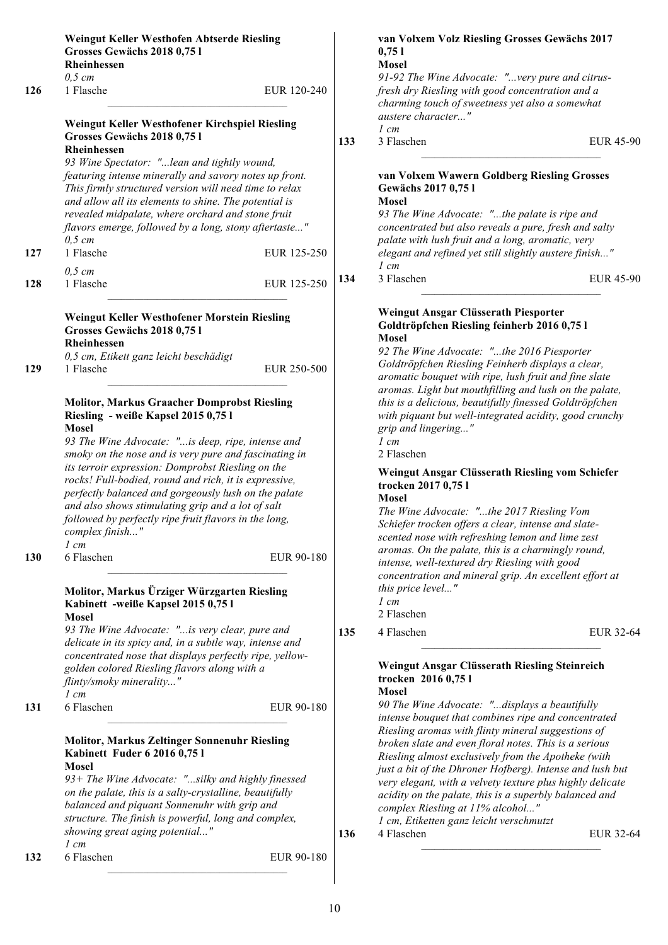|            | Weingut Keller Westhofen Abtserde Riesling<br>Grosses Gewächs 2018 0,751 |             |     | van Volxem Volz Riesling Grosses Gewächs 2017<br>0,751    |  |
|------------|--------------------------------------------------------------------------|-------------|-----|-----------------------------------------------------------|--|
|            | Rheinhessen                                                              |             |     | <b>Mosel</b>                                              |  |
|            | $0,5$ cm                                                                 |             |     | 91-92 The Wine Advocate: "very pure and citrus-           |  |
|            |                                                                          |             |     |                                                           |  |
| 126        | 1 Flasche                                                                | EUR 120-240 |     | fresh dry Riesling with good concentration and a          |  |
|            |                                                                          |             |     | charming touch of sweetness yet also a somewhat           |  |
|            |                                                                          |             |     | austere character"                                        |  |
|            | Weingut Keller Westhofener Kirchspiel Riesling                           |             |     | $1 \, cm$                                                 |  |
|            | Grosses Gewächs 2018 0,751                                               |             | 133 | 3 Flaschen<br><b>EUR 45-</b>                              |  |
|            | Rheinhessen                                                              |             |     |                                                           |  |
|            | 93 Wine Spectator: "lean and tightly wound,                              |             |     |                                                           |  |
|            |                                                                          |             |     |                                                           |  |
|            | featuring intense minerally and savory notes up front.                   |             |     | van Volxem Wawern Goldberg Riesling Grosses               |  |
|            | This firmly structured version will need time to relax                   |             |     | Gewächs 2017 0,75 l                                       |  |
|            | and allow all its elements to shine. The potential is                    |             |     | Mosel                                                     |  |
|            | revealed midpalate, where orchard and stone fruit                        |             |     | 93 The Wine Advocate: "the palate is ripe and             |  |
|            |                                                                          |             |     |                                                           |  |
|            | flavors emerge, followed by a long, stony aftertaste"                    |             |     | concentrated but also reveals a pure, fresh and salty     |  |
|            | $0,5 \, cm$                                                              |             |     | palate with lush fruit and a long, aromatic, very         |  |
| 127        | 1 Flasche                                                                | EUR 125-250 |     | elegant and refined yet still slightly austere finish"    |  |
|            |                                                                          |             |     | $1 \, cm$                                                 |  |
|            | $0,5$ cm                                                                 |             |     |                                                           |  |
| 128        | 1 Flasche                                                                | EUR 125-250 | 134 | 3 Flaschen<br><b>EUR 45-</b>                              |  |
|            |                                                                          |             |     |                                                           |  |
|            |                                                                          |             |     |                                                           |  |
|            | Weingut Keller Westhofener Morstein Riesling                             |             |     | Weingut Ansgar Clüsserath Piesporter                      |  |
|            |                                                                          |             |     | Goldtröpfchen Riesling feinherb 2016 0,75 l               |  |
|            | Grosses Gewächs 2018 0,75 l                                              |             |     | <b>Mosel</b>                                              |  |
|            | <b>Rheinhessen</b>                                                       |             |     |                                                           |  |
|            | 0,5 cm, Etikett ganz leicht beschädigt                                   |             |     | 92 The Wine Advocate: "the 2016 Piesporter                |  |
| 129        | 1 Flasche                                                                | EUR 250-500 |     | Goldtröpfchen Riesling Feinherb displays a clear,         |  |
|            |                                                                          |             |     | aromatic bouquet with ripe, lush fruit and fine slate     |  |
|            |                                                                          |             |     | aromas. Light but mouthfilling and lush on the palate,    |  |
|            |                                                                          |             |     |                                                           |  |
|            | <b>Molitor, Markus Graacher Domprobst Riesling</b>                       |             |     | this is a delicious, beautifully finessed Goldtröpfchen   |  |
|            | Riesling - weiße Kapsel 2015 0,75 l                                      |             |     | with piquant but well-integrated acidity, good crunchy    |  |
|            | <b>Mosel</b>                                                             |             |     | grip and lingering"                                       |  |
|            | 93 The Wine Advocate: "is deep, ripe, intense and                        |             |     | $1 \, cm$                                                 |  |
|            |                                                                          |             |     |                                                           |  |
|            | smoky on the nose and is very pure and fascinating in                    |             |     | 2 Flaschen                                                |  |
|            | its terroir expression: Domprobst Riesling on the                        |             |     | Weingut Ansgar Clüsserath Riesling vom Schiefer           |  |
|            | rocks! Full-bodied, round and rich, it is expressive,                    |             |     |                                                           |  |
|            | perfectly balanced and gorgeously lush on the palate                     |             |     | trocken 2017 0,75 l                                       |  |
|            |                                                                          |             |     | <b>Mosel</b>                                              |  |
|            | and also shows stimulating grip and a lot of salt                        |             |     | The Wine Advocate: "the 2017 Riesling Vom                 |  |
|            | followed by perfectly ripe fruit flavors in the long,                    |             |     | Schiefer trocken offers a clear, intense and slate-       |  |
|            | complex finish"                                                          |             |     |                                                           |  |
|            | $1 \, cm$                                                                |             |     | scented nose with refreshing lemon and lime zest          |  |
|            |                                                                          |             |     | aromas. On the palate, this is a charmingly round,        |  |
| <b>130</b> | 6 Flaschen                                                               | EUR 90-180  |     | intense, well-textured dry Riesling with good             |  |
|            |                                                                          |             |     |                                                           |  |
|            |                                                                          |             |     | concentration and mineral grip. An excellent effort at    |  |
|            | Molitor, Markus Ürziger Würzgarten Riesling                              |             |     | this price level"                                         |  |
|            | Kabinett -weiße Kapsel 2015 0,75 l                                       |             |     | $1 \, cm$                                                 |  |
|            |                                                                          |             |     | 2 Flaschen                                                |  |
|            | <b>Mosel</b>                                                             |             |     |                                                           |  |
|            | 93 The Wine Advocate: "is very clear, pure and                           |             | 135 | 4 Flaschen<br><b>EUR 32-</b>                              |  |
|            | delicate in its spicy and, in a subtle way, intense and                  |             |     |                                                           |  |
|            |                                                                          |             |     |                                                           |  |
|            | concentrated nose that displays perfectly ripe, yellow-                  |             |     |                                                           |  |
|            | golden colored Riesling flavors along with a                             |             |     | Weingut Ansgar Clüsserath Riesling Steinreich             |  |
|            | flinty/smoky minerality"                                                 |             |     | trocken 2016 0,75 l                                       |  |
|            | $1 \, cm$                                                                |             |     | <b>Mosel</b>                                              |  |
|            | 6 Flaschen                                                               |             |     | 90 The Wine Advocate: "displays a beautifully             |  |
|            |                                                                          | EUR 90-180  |     |                                                           |  |
| 131        |                                                                          |             |     | intense bouquet that combines ripe and concentrated       |  |
|            |                                                                          |             |     | Riesling aromas with flinty mineral suggestions of        |  |
|            |                                                                          |             |     | broken slate and even floral notes. This is a serious     |  |
|            | <b>Molitor, Markus Zeltinger Sonnenuhr Riesling</b>                      |             |     |                                                           |  |
|            |                                                                          |             |     |                                                           |  |
|            | Kabinett Fuder 6 2016 0,75 l                                             |             |     | Riesling almost exclusively from the Apotheke (with       |  |
|            | Mosel                                                                    |             |     | just a bit of the Dhroner Hofberg). Intense and lush but  |  |
|            | 93+ The Wine Advocate: "silky and highly finessed                        |             |     | very elegant, with a velvety texture plus highly delicate |  |
|            | on the palate, this is a salty-crystalline, beautifully                  |             |     |                                                           |  |
|            |                                                                          |             |     | acidity on the palate, this is a superbly balanced and    |  |
|            | balanced and piquant Sonnenuhr with grip and                             |             |     | complex Riesling at 11% alcohol"                          |  |
|            | structure. The finish is powerful, long and complex,                     |             |     | 1 cm, Etiketten ganz leicht verschmutzt                   |  |
|            | showing great aging potential"                                           |             | 136 | 4 Flaschen<br><b>EUR 32-</b>                              |  |
|            | $1 \, cm$                                                                |             |     |                                                           |  |
| 132        | 6 Flaschen                                                               | EUR 90-180  |     |                                                           |  |

**EUR 45-90** 

**EUR 45-90** 

**135** 4 Flaschen EUR 32-64

**136** 4 Flaschen EUR 32-64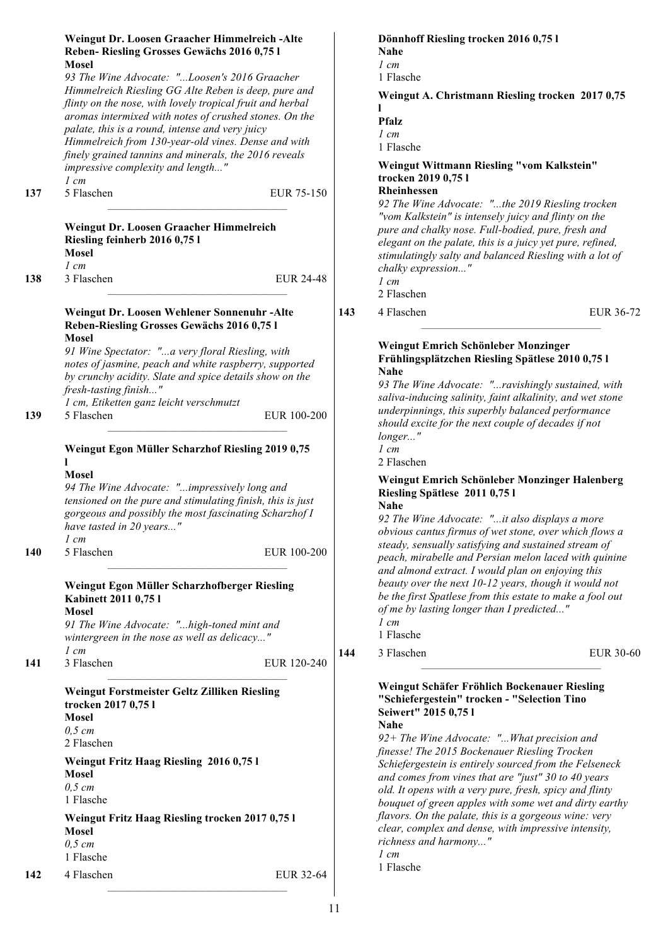| 137 | Weingut Dr. Loosen Graacher Himmelreich -Alte<br>Reben-Riesling Grosses Gewächs 2016 0,75 l<br><b>Mosel</b><br>93 The Wine Advocate: "Loosen's 2016 Graacher<br>Himmelreich Riesling GG Alte Reben is deep, pure and<br>flinty on the nose, with lovely tropical fruit and herbal<br>aromas intermixed with notes of crushed stones. On the<br>palate, this is a round, intense and very juicy<br>Himmelreich from 130-year-old vines. Dense and with<br>finely grained tannins and minerals, the 2016 reveals<br>impressive complexity and length"<br>$1 \, cm$<br>5 Flaschen<br>Weingut Dr. Loosen Graacher Himmelreich | EUR 75-150       |     | Dönnhoff Riesling trocken 2016 0,75 l<br>Nahe<br>$1 \, cm$<br>1 Flasche<br>Weingut A. Christmann Riesling trocken 2017 0,75<br><b>Pfalz</b><br>$1 \, cm$<br>1 Flasche<br>Weingut Wittmann Riesling "vom Kalkstein"<br>trocken 2019 0,75 l<br><b>Rheinhessen</b><br>92 The Wine Advocate: "the 2019 Riesling trocken<br>"vom Kalkstein" is intensely juicy and flinty on the<br>pure and chalky nose. Full-bodied, pure, fresh and                                                                                                                                                                                              |           |
|-----|---------------------------------------------------------------------------------------------------------------------------------------------------------------------------------------------------------------------------------------------------------------------------------------------------------------------------------------------------------------------------------------------------------------------------------------------------------------------------------------------------------------------------------------------------------------------------------------------------------------------------|------------------|-----|--------------------------------------------------------------------------------------------------------------------------------------------------------------------------------------------------------------------------------------------------------------------------------------------------------------------------------------------------------------------------------------------------------------------------------------------------------------------------------------------------------------------------------------------------------------------------------------------------------------------------------|-----------|
|     | Riesling feinherb 2016 0,75 l<br><b>Mosel</b>                                                                                                                                                                                                                                                                                                                                                                                                                                                                                                                                                                             |                  |     | elegant on the palate, this is a juicy yet pure, refined,<br>stimulatingly salty and balanced Riesling with a lot of                                                                                                                                                                                                                                                                                                                                                                                                                                                                                                           |           |
|     | $1 \, cm$                                                                                                                                                                                                                                                                                                                                                                                                                                                                                                                                                                                                                 |                  |     | chalky expression"                                                                                                                                                                                                                                                                                                                                                                                                                                                                                                                                                                                                             |           |
| 138 | 3 Flaschen                                                                                                                                                                                                                                                                                                                                                                                                                                                                                                                                                                                                                | <b>EUR 24-48</b> |     | $1 \, cm$<br>2 Flaschen                                                                                                                                                                                                                                                                                                                                                                                                                                                                                                                                                                                                        |           |
|     | Weingut Dr. Loosen Wehlener Sonnenuhr-Alte                                                                                                                                                                                                                                                                                                                                                                                                                                                                                                                                                                                |                  | 143 | 4 Flaschen                                                                                                                                                                                                                                                                                                                                                                                                                                                                                                                                                                                                                     | EUR 36-72 |
|     | Reben-Riesling Grosses Gewächs 2016 0,75 l                                                                                                                                                                                                                                                                                                                                                                                                                                                                                                                                                                                |                  |     |                                                                                                                                                                                                                                                                                                                                                                                                                                                                                                                                                                                                                                |           |
| 139 | <b>Mosel</b><br>91 Wine Spectator: "a very floral Riesling, with<br>notes of jasmine, peach and white raspberry, supported<br>by crunchy acidity. Slate and spice details show on the<br>fresh-tasting finish"<br>1 cm, Etiketten ganz leicht verschmutzt<br>5 Flaschen<br>Weingut Egon Müller Scharzhof Riesling 2019 0,75                                                                                                                                                                                                                                                                                               | EUR 100-200      |     | Weingut Emrich Schönleber Monzinger<br>Frühlingsplätzchen Riesling Spätlese 2010 0,75 l<br><b>Nahe</b><br>93 The Wine Advocate: "ravishingly sustained, with<br>saliva-inducing salinity, faint alkalinity, and wet stone<br>underpinnings, this superbly balanced performance<br>should excite for the next couple of decades if not<br>longer"<br>$1$ cm                                                                                                                                                                                                                                                                     |           |
| 140 | <b>Mosel</b><br>94 The Wine Advocate: "impressively long and<br>tensioned on the pure and stimulating finish, this is just<br>gorgeous and possibly the most fascinating Scharzhof I<br>have tasted in 20 years"<br>$1$ cm<br>5 Flaschen                                                                                                                                                                                                                                                                                                                                                                                  | EUR 100-200      |     | 2 Flaschen<br>Weingut Emrich Schönleber Monzinger Halenberg<br>Riesling Spätlese 2011 0,75 l<br><b>Nahe</b><br>92 The Wine Advocate: "it also displays a more<br>obvious cantus firmus of wet stone, over which flows a<br>steady, sensually satisfying and sustained stream of<br>peach, mirabelle and Persian melon laced with quinine                                                                                                                                                                                                                                                                                       |           |
| 141 | Weingut Egon Müller Scharzhofberger Riesling<br>Kabinett 2011 0,75 l<br><b>Mosel</b><br>91 The Wine Advocate: "high-toned mint and<br>wintergreen in the nose as well as delicacy"<br>$1 \, cm$<br>3 Flaschen                                                                                                                                                                                                                                                                                                                                                                                                             | EUR 120-240      | 144 | and almond extract. I would plan on enjoying this<br>beauty over the next 10-12 years, though it would not<br>be the first Spatlese from this estate to make a fool out<br>of me by lasting longer than I predicted"<br>$1 \, cm$<br>1 Flasche<br>3 Flaschen                                                                                                                                                                                                                                                                                                                                                                   | EUR 30-60 |
|     | Weingut Forstmeister Geltz Zilliken Riesling<br>trocken 2017 0,75 l<br><b>Mosel</b><br>$0,5$ cm<br>2 Flaschen<br>Weingut Fritz Haag Riesling 2016 0,75 l<br><b>Mosel</b><br>$0,5$ cm<br>1 Flasche<br>Weingut Fritz Haag Riesling trocken 2017 0,75 l<br><b>Mosel</b><br>$0,5$ cm<br>1 Flasche                                                                                                                                                                                                                                                                                                                             |                  |     | Weingut Schäfer Fröhlich Bockenauer Riesling<br>"Schiefergestein" trocken - "Selection Tino<br>Seiwert" 2015 0,75 l<br><b>Nahe</b><br>92+ The Wine Advocate: "What precision and<br>finesse! The 2015 Bockenauer Riesling Trocken<br>Schiefergestein is entirely sourced from the Felseneck<br>and comes from vines that are "just" 30 to 40 years<br>old. It opens with a very pure, fresh, spicy and flinty<br>bouquet of green apples with some wet and dirty earthy<br>flavors. On the palate, this is a gorgeous wine: very<br>clear, complex and dense, with impressive intensity,<br>richness and harmony"<br>$1 \, cm$ |           |
| 142 | 4 Flaschen                                                                                                                                                                                                                                                                                                                                                                                                                                                                                                                                                                                                                | EUR 32-64        |     | 1 Flasche                                                                                                                                                                                                                                                                                                                                                                                                                                                                                                                                                                                                                      |           |
|     |                                                                                                                                                                                                                                                                                                                                                                                                                                                                                                                                                                                                                           |                  |     |                                                                                                                                                                                                                                                                                                                                                                                                                                                                                                                                                                                                                                |           |
|     |                                                                                                                                                                                                                                                                                                                                                                                                                                                                                                                                                                                                                           |                  | 11  |                                                                                                                                                                                                                                                                                                                                                                                                                                                                                                                                                                                                                                |           |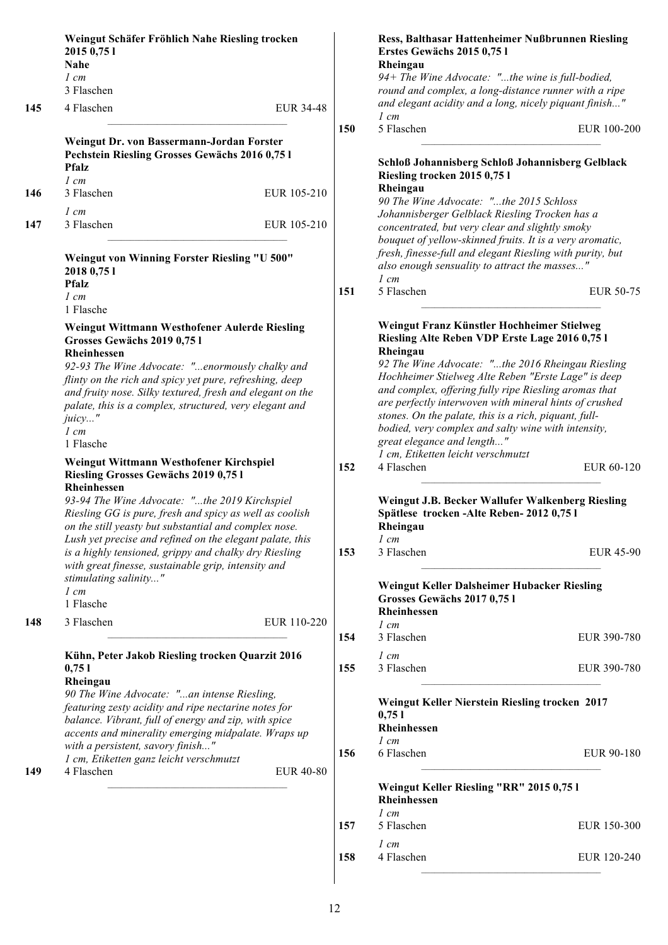|     | Weingut Schäfer Fröhlich Nahe Riesling trocken<br>2015 0,75 1<br>Nahe<br>$1 \, cm$                                                                                                                                                                                                                                                                                                                                      |                  |     | <b>Ress, Balthasar Hattenheimer Nußbrunnen Riesling</b><br>Erstes Gewächs 2015 0,75 l<br>Rheingau<br>94+ The Wine Advocate: "the wine is full-bodied,                                                                                                                                                                                                                                                                                                                                                                       |                  |
|-----|-------------------------------------------------------------------------------------------------------------------------------------------------------------------------------------------------------------------------------------------------------------------------------------------------------------------------------------------------------------------------------------------------------------------------|------------------|-----|-----------------------------------------------------------------------------------------------------------------------------------------------------------------------------------------------------------------------------------------------------------------------------------------------------------------------------------------------------------------------------------------------------------------------------------------------------------------------------------------------------------------------------|------------------|
| 145 | 3 Flaschen<br>4 Flaschen                                                                                                                                                                                                                                                                                                                                                                                                | EUR 34-48        |     | round and complex, a long-distance runner with a ripe<br>and elegant acidity and a long, nicely piquant finish"                                                                                                                                                                                                                                                                                                                                                                                                             |                  |
|     |                                                                                                                                                                                                                                                                                                                                                                                                                         |                  | 150 | $1$ cm<br>5 Flaschen                                                                                                                                                                                                                                                                                                                                                                                                                                                                                                        | EUR 100-200      |
|     | Weingut Dr. von Bassermann-Jordan Forster<br>Pechstein Riesling Grosses Gewächs 2016 0,75 l<br><b>Pfalz</b>                                                                                                                                                                                                                                                                                                             |                  |     | Schloß Johannisberg Schloß Johannisberg Gelblack<br>Riesling trocken 2015 0,75 l                                                                                                                                                                                                                                                                                                                                                                                                                                            |                  |
| 146 | $1 \, cm$<br>3 Flaschen                                                                                                                                                                                                                                                                                                                                                                                                 | EUR 105-210      |     | Rheingau<br>90 The Wine Advocate: "the 2015 Schloss                                                                                                                                                                                                                                                                                                                                                                                                                                                                         |                  |
| 147 | $1 \, cm$<br>3 Flaschen                                                                                                                                                                                                                                                                                                                                                                                                 | EUR 105-210      |     | Johannisberger Gelblack Riesling Trocken has a<br>concentrated, but very clear and slightly smoky                                                                                                                                                                                                                                                                                                                                                                                                                           |                  |
|     | Weingut von Winning Forster Riesling "U 500"<br>2018 0,75 1<br><b>Pfalz</b>                                                                                                                                                                                                                                                                                                                                             |                  |     | bouquet of yellow-skinned fruits. It is a very aromatic,<br>fresh, finesse-full and elegant Riesling with purity, but<br>also enough sensuality to attract the masses"<br>$1 \, cm$                                                                                                                                                                                                                                                                                                                                         |                  |
|     | $1 \, cm$<br>1 Flasche                                                                                                                                                                                                                                                                                                                                                                                                  |                  |     | 5 Flaschen                                                                                                                                                                                                                                                                                                                                                                                                                                                                                                                  | EUR 50-75        |
|     | Weingut Wittmann Westhofener Aulerde Riesling<br>Grosses Gewächs 2019 0,75 l<br><b>Rheinhessen</b><br>92-93 The Wine Advocate: "enormously chalky and<br>flinty on the rich and spicy yet pure, refreshing, deep<br>and fruity nose. Silky textured, fresh and elegant on the<br>palate, this is a complex, structured, very elegant and<br>juicy"<br>$1 \, cm$<br>1 Flasche<br>Weingut Wittmann Westhofener Kirchspiel |                  |     | Weingut Franz Künstler Hochheimer Stielweg<br>Riesling Alte Reben VDP Erste Lage 2016 0,75 l<br>Rheingau<br>92 The Wine Advocate: "the 2016 Rheingau Riesling<br>Hochheimer Stielweg Alte Reben "Erste Lage" is deep<br>and complex, offering fully ripe Riesling aromas that<br>are perfectly interwoven with mineral hints of crushed<br>stones. On the palate, this is a rich, piquant, full-<br>bodied, very complex and salty wine with intensity,<br>great elegance and length"<br>1 cm, Etiketten leicht verschmutzt |                  |
|     | Riesling Grosses Gewächs 2019 0,75 l<br>Rheinhessen<br>93-94 The Wine Advocate: "the 2019 Kirchspiel<br>Riesling GG is pure, fresh and spicy as well as coolish<br>on the still yeasty but substantial and complex nose.<br>Lush yet precise and refined on the elegant palate, this                                                                                                                                    |                  | 152 | 4 Flaschen<br>Weingut J.B. Becker Wallufer Walkenberg Riesling<br>Spätlese trocken - Alte Reben- 2012 0,75 l<br>Rheingau<br>$1 \, cm$                                                                                                                                                                                                                                                                                                                                                                                       | EUR 60-120       |
|     | is a highly tensioned, grippy and chalky dry Riesling<br>with great finesse, sustainable grip, intensity and<br>stimulating salinity"                                                                                                                                                                                                                                                                                   |                  | 153 | 3 Flaschen                                                                                                                                                                                                                                                                                                                                                                                                                                                                                                                  | <b>EUR 45-90</b> |
|     | $1 \, cm$<br>1 Flasche                                                                                                                                                                                                                                                                                                                                                                                                  |                  |     | Weingut Keller Dalsheimer Hubacker Riesling<br>Grosses Gewächs 2017 0,751<br>Rheinhessen                                                                                                                                                                                                                                                                                                                                                                                                                                    |                  |
| 148 | 3 Flaschen                                                                                                                                                                                                                                                                                                                                                                                                              | EUR 110-220      | 154 | $1 \, cm$<br>3 Flaschen                                                                                                                                                                                                                                                                                                                                                                                                                                                                                                     | EUR 390-780      |
|     | Kühn, Peter Jakob Riesling trocken Quarzit 2016<br>0,751<br>Rheingau                                                                                                                                                                                                                                                                                                                                                    |                  | 155 | $1 \, cm$<br>3 Flaschen                                                                                                                                                                                                                                                                                                                                                                                                                                                                                                     | EUR 390-780      |
|     | 90 The Wine Advocate: "an intense Riesling,<br>featuring zesty acidity and ripe nectarine notes for<br>balance. Vibrant, full of energy and zip, with spice<br>accents and minerality emerging midpalate. Wraps up                                                                                                                                                                                                      |                  |     | Weingut Keller Nierstein Riesling trocken 2017<br>0,751<br>Rheinhessen<br>$1 \, cm$                                                                                                                                                                                                                                                                                                                                                                                                                                         |                  |
| 149 | with a persistent, savory finish"<br>1 cm, Etiketten ganz leicht verschmutzt<br>4 Flaschen                                                                                                                                                                                                                                                                                                                              | <b>EUR 40-80</b> | 156 | 6 Flaschen                                                                                                                                                                                                                                                                                                                                                                                                                                                                                                                  | EUR 90-180       |
|     |                                                                                                                                                                                                                                                                                                                                                                                                                         |                  |     | Weingut Keller Riesling "RR" 2015 0,75 l<br>Rheinhessen<br>$1 \, cm$                                                                                                                                                                                                                                                                                                                                                                                                                                                        |                  |
|     |                                                                                                                                                                                                                                                                                                                                                                                                                         |                  | 157 | 5 Flaschen                                                                                                                                                                                                                                                                                                                                                                                                                                                                                                                  | EUR 150-300      |
|     |                                                                                                                                                                                                                                                                                                                                                                                                                         |                  | 158 | $1 \, cm$<br>4 Flaschen                                                                                                                                                                                                                                                                                                                                                                                                                                                                                                     | EUR 120-240      |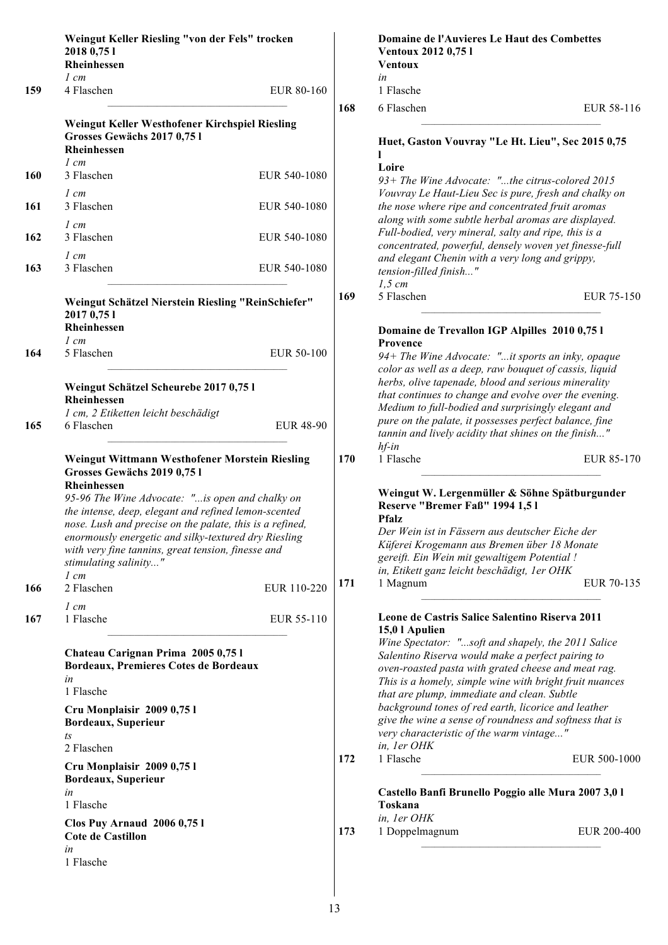|            | Weingut Keller Riesling "von der Fels" trocken<br>2018 0,75 1<br>Rheinhessen                                                                                                                            |                  |     | Domaine de l'Auvieres Le Haut des Combettes<br>Ventoux 2012 0,75 l<br><b>Ventoux</b>                                                                                                                          |              |
|------------|---------------------------------------------------------------------------------------------------------------------------------------------------------------------------------------------------------|------------------|-----|---------------------------------------------------------------------------------------------------------------------------------------------------------------------------------------------------------------|--------------|
| 159        | 1 cm<br>4 Flaschen                                                                                                                                                                                      | EUR 80-160       |     | in<br>1 Flasche                                                                                                                                                                                               |              |
|            |                                                                                                                                                                                                         |                  | 168 | 6 Flaschen                                                                                                                                                                                                    | EUR 58-116   |
|            | Weingut Keller Westhofener Kirchspiel Riesling<br>Grosses Gewächs 2017 0,751<br>Rheinhessen                                                                                                             |                  |     | Huet, Gaston Vouvray "Le Ht. Lieu", Sec 2015 0,75                                                                                                                                                             |              |
| <b>160</b> | $1 \, cm$<br>3 Flaschen                                                                                                                                                                                 | EUR 540-1080     |     | Loire                                                                                                                                                                                                         |              |
| 161        | $1 \, cm$<br>3 Flaschen                                                                                                                                                                                 | EUR 540-1080     |     | 93+ The Wine Advocate: "the citrus-colored 2015<br>Vouvray Le Haut-Lieu Sec is pure, fresh and chalky on<br>the nose where ripe and concentrated fruit aromas                                                 |              |
| 162        | $1 \, cm$<br>3 Flaschen                                                                                                                                                                                 | EUR 540-1080     |     | along with some subtle herbal aromas are displayed.<br>Full-bodied, very mineral, salty and ripe, this is a<br>concentrated, powerful, densely woven yet finesse-full                                         |              |
| 163        | $1 \, cm$<br>3 Flaschen                                                                                                                                                                                 | EUR 540-1080     |     | and elegant Chenin with a very long and grippy,<br>tension-filled finish"<br>$1,5$ cm                                                                                                                         |              |
|            | Weingut Schätzel Nierstein Riesling "ReinSchiefer"<br>2017 0,75 1<br>Rheinhessen                                                                                                                        |                  | 169 | 5 Flaschen                                                                                                                                                                                                    | EUR 75-150   |
|            | $1 \, cm$                                                                                                                                                                                               |                  |     | Domaine de Trevallon IGP Alpilles 2010 0,75 l<br>Provence                                                                                                                                                     |              |
| 164        | 5 Flaschen                                                                                                                                                                                              | EUR 50-100       |     | 94+ The Wine Advocate: "it sports an inky, opaque<br>color as well as a deep, raw bouquet of cassis, liquid<br>herbs, olive tapenade, blood and serious minerality                                            |              |
|            | Weingut Schätzel Scheurebe 2017 0,75 l<br>Rheinhessen                                                                                                                                                   |                  |     | that continues to change and evolve over the evening.                                                                                                                                                         |              |
|            | 1 cm, 2 Etiketten leicht beschädigt                                                                                                                                                                     |                  |     | Medium to full-bodied and surprisingly elegant and<br>pure on the palate, it possesses perfect balance, fine                                                                                                  |              |
| 165        | 6 Flaschen                                                                                                                                                                                              | <b>EUR 48-90</b> |     | tannin and lively acidity that shines on the finish"<br>$hf$ -in                                                                                                                                              |              |
|            | Weingut Wittmann Westhofener Morstein Riesling<br>Grosses Gewächs 2019 0,75 l<br>Rheinhessen<br>95-96 The Wine Advocate: "is open and chalky on<br>the intense, deep, elegant and refined lemon-scented |                  |     | 1 Flasche<br>Weingut W. Lergenmüller & Söhne Spätburgunder<br>Reserve "Bremer Faß" 1994 1,51                                                                                                                  | EUR 85-170   |
|            | nose. Lush and precise on the palate, this is a refined,<br>enormously energetic and silky-textured dry Riesling<br>with very fine tannins, great tension, finesse and<br>stimulating salinity"         |                  |     | <b>Pfalz</b><br>Der Wein ist in Fässern aus deutscher Eiche der<br>Küferei Krogemann aus Bremen über 18 Monate<br>gereift. Ein Wein mit gewaltigem Potential !<br>in, Etikett ganz leicht beschädigt, 1er OHK |              |
| 166        | $1 \, cm$<br>2 Flaschen                                                                                                                                                                                 | EUR 110-220      | 171 | 1 Magnum                                                                                                                                                                                                      | EUR 70-135   |
|            | $1 \, cm$                                                                                                                                                                                               |                  |     |                                                                                                                                                                                                               |              |
| 167        | 1 Flasche                                                                                                                                                                                               | EUR 55-110       |     | Leone de Castris Salice Salentino Riserva 2011<br>15,0 l Apulien<br>Wine Spectator: "soft and shapely, the 2011 Salice                                                                                        |              |
|            | Chateau Carignan Prima 2005 0,751<br>Bordeaux, Premieres Cotes de Bordeaux<br>in                                                                                                                        |                  |     | Salentino Riserva would make a perfect pairing to<br>oven-roasted pasta with grated cheese and meat rag.<br>This is a homely, simple wine with bright fruit nuances                                           |              |
|            | 1 Flasche                                                                                                                                                                                               |                  |     | that are plump, immediate and clean. Subtle<br>background tones of red earth, licorice and leather                                                                                                            |              |
|            | Cru Monplaisir 2009 0,751<br>Bordeaux, Superieur<br>ts                                                                                                                                                  |                  |     | give the wine a sense of roundness and softness that is<br>very characteristic of the warm vintage"                                                                                                           |              |
|            | 2 Flaschen                                                                                                                                                                                              |                  |     | in, 1er OHK<br>1 Flasche                                                                                                                                                                                      |              |
|            | Cru Monplaisir 2009 0,751<br>Bordeaux, Superieur                                                                                                                                                        |                  | 172 |                                                                                                                                                                                                               | EUR 500-1000 |
|            | in<br>1 Flasche                                                                                                                                                                                         |                  |     | Castello Banfi Brunello Poggio alle Mura 2007 3,0 l<br>Toskana                                                                                                                                                |              |
|            | <b>Clos Puy Arnaud 2006 0,751</b><br><b>Cote de Castillon</b>                                                                                                                                           |                  | 173 | in, ler OHK<br>1 Doppelmagnum                                                                                                                                                                                 | EUR 200-400  |
|            | in<br>1 Flasche                                                                                                                                                                                         |                  |     |                                                                                                                                                                                                               |              |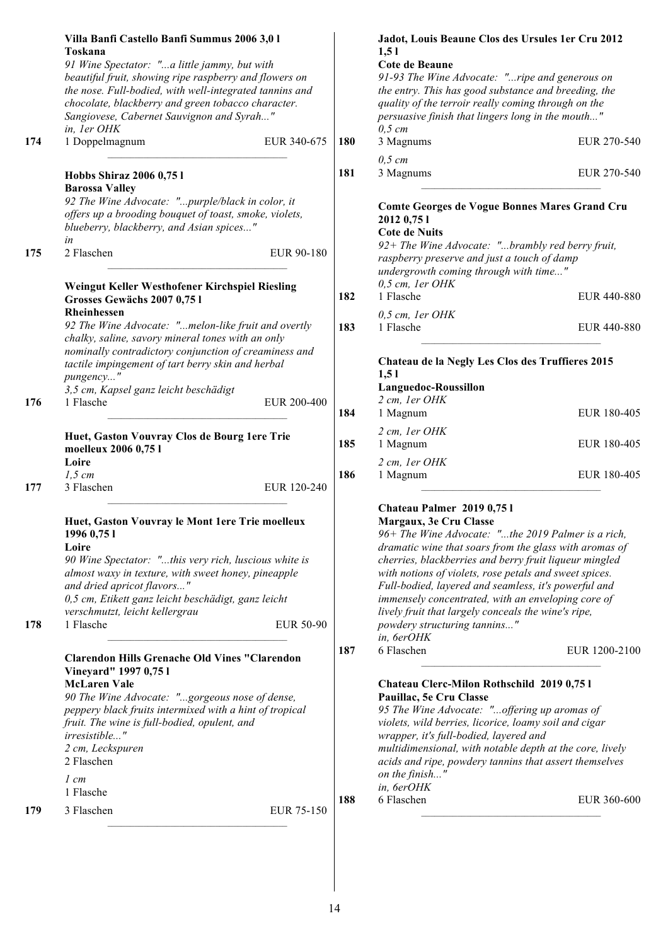|     | Villa Banfi Castello Banfi Summus 2006 3,0 l<br>Toskana<br>91 Wine Spectator: "a little jammy, but with<br>beautiful fruit, showing ripe raspberry and flowers on<br>the nose. Full-bodied, with well-integrated tannins and<br>chocolate, blackberry and green tobacco character.<br>Sangiovese, Cabernet Sauvignon and Syrah" |                    | Jadot, Louis Beaune Clos des Ursules 1 er Cru 2012<br>1,51<br>Cote de Beaune<br>91-93 The Wine Advocate: "ripe and generous on<br>the entry. This has good substance and breeding, the<br>quality of the terroir really coming through on the<br>persuasive finish that lingers long in the mouth"                                                                                                                                                                                                          |               |
|-----|---------------------------------------------------------------------------------------------------------------------------------------------------------------------------------------------------------------------------------------------------------------------------------------------------------------------------------|--------------------|-------------------------------------------------------------------------------------------------------------------------------------------------------------------------------------------------------------------------------------------------------------------------------------------------------------------------------------------------------------------------------------------------------------------------------------------------------------------------------------------------------------|---------------|
| 174 | in, ler OHK<br>1 Doppelmagnum                                                                                                                                                                                                                                                                                                   | EUR 340-675<br>180 | $0,5$ cm<br>3 Magnums                                                                                                                                                                                                                                                                                                                                                                                                                                                                                       | EUR 270-540   |
|     |                                                                                                                                                                                                                                                                                                                                 |                    | $0,5$ cm                                                                                                                                                                                                                                                                                                                                                                                                                                                                                                    |               |
|     | Hobbs Shiraz 2006 0,75 l<br><b>Barossa Valley</b><br>92 The Wine Advocate: "purple/black in color, it                                                                                                                                                                                                                           | 181                | 3 Magnums                                                                                                                                                                                                                                                                                                                                                                                                                                                                                                   | EUR 270-540   |
|     | offers up a brooding bouquet of toast, smoke, violets,<br>blueberry, blackberry, and Asian spices"                                                                                                                                                                                                                              |                    | Comte Georges de Vogue Bonnes Mares Grand Cru<br>2012 0,75 1<br><b>Cote de Nuits</b>                                                                                                                                                                                                                                                                                                                                                                                                                        |               |
| 175 | in<br>2 Flaschen                                                                                                                                                                                                                                                                                                                | EUR 90-180         | 92+ The Wine Advocate: "brambly red berry fruit,<br>raspberry preserve and just a touch of damp<br>undergrowth coming through with time"                                                                                                                                                                                                                                                                                                                                                                    |               |
|     | Weingut Keller Westhofener Kirchspiel Riesling<br>Grosses Gewächs 2007 0,75 l<br>Rheinhessen                                                                                                                                                                                                                                    | 182                | $0,5$ cm, 1er OHK<br>1 Flasche                                                                                                                                                                                                                                                                                                                                                                                                                                                                              | EUR 440-880   |
|     | 92 The Wine Advocate: "melon-like fruit and overtly<br>chalky, saline, savory mineral tones with an only                                                                                                                                                                                                                        | 183                | $0,5$ cm, 1er OHK<br>1 Flasche                                                                                                                                                                                                                                                                                                                                                                                                                                                                              | EUR 440-880   |
|     | nominally contradictory conjunction of creaminess and<br>tactile impingement of tart berry skin and herbal<br>pungency"<br>3,5 cm, Kapsel ganz leicht beschädigt                                                                                                                                                                |                    | Chateau de la Negly Les Clos des Truffieres 2015<br>1,51<br>Languedoc-Roussillon                                                                                                                                                                                                                                                                                                                                                                                                                            |               |
| 176 | 1 Flasche                                                                                                                                                                                                                                                                                                                       | EUR 200-400<br>184 | 2 cm, 1er OHK<br>1 Magnum                                                                                                                                                                                                                                                                                                                                                                                                                                                                                   | EUR 180-405   |
|     | Huet, Gaston Vouvray Clos de Bourg 1ere Trie<br>moelleux 2006 0,75 l                                                                                                                                                                                                                                                            | 185                | 2 cm, 1er OHK<br>1 Magnum                                                                                                                                                                                                                                                                                                                                                                                                                                                                                   | EUR 180-405   |
|     | Loire<br>$1,5$ cm                                                                                                                                                                                                                                                                                                               | 186                | 2 cm, 1er OHK<br>1 Magnum                                                                                                                                                                                                                                                                                                                                                                                                                                                                                   | EUR 180-405   |
| 177 | 3 Flaschen                                                                                                                                                                                                                                                                                                                      | EUR 120-240        |                                                                                                                                                                                                                                                                                                                                                                                                                                                                                                             |               |
| 178 | Huet, Gaston Vouvray le Mont 1ere Trie moelleux<br>1996 0,75 1<br>Loire<br>90 Wine Spectator: "this very rich, luscious white is<br>almost waxy in texture, with sweet honey, pineapple<br>and dried apricot flavors"<br>0,5 cm, Etikett ganz leicht beschädigt, ganz leicht<br>verschmutzt, leicht kellergrau<br>1 Flasche     | EUR 50-90          | Chateau Palmer 2019 0,75 l<br>Margaux, 3e Cru Classe<br>96+ The Wine Advocate: "the 2019 Palmer is a rich,<br>dramatic wine that soars from the glass with aromas of<br>cherries, blackberries and berry fruit liqueur mingled<br>with notions of violets, rose petals and sweet spices.<br>Full-bodied, layered and seamless, it's powerful and<br>immensely concentrated, with an enveloping core of<br>lively fruit that largely conceals the wine's ripe,<br>powdery structuring tannins"<br>in, 6erOHK |               |
|     | <b>Clarendon Hills Grenache Old Vines "Clarendon</b><br>Vineyard" 1997 0,75 l                                                                                                                                                                                                                                                   | 187                | 6 Flaschen                                                                                                                                                                                                                                                                                                                                                                                                                                                                                                  | EUR 1200-2100 |
|     | <b>McLaren Vale</b><br>90 The Wine Advocate: "gorgeous nose of dense,<br>peppery black fruits intermixed with a hint of tropical<br>fruit. The wine is full-bodied, opulent, and<br>irresistible"<br>2 cm, Leckspuren<br>2 Flaschen<br>$1 \, cm$<br>1 Flasche                                                                   |                    | Chateau Clerc-Milon Rothschild 2019 0,75 l<br>Pauillac, 5e Cru Classe<br>95 The Wine Advocate: "offering up aromas of<br>violets, wild berries, licorice, loamy soil and cigar<br>wrapper, it's full-bodied, layered and<br>multidimensional, with notable depth at the core, lively<br>acids and ripe, powdery tannins that assert themselves<br>on the finish"<br>in, 6erOHK                                                                                                                              |               |
| 179 | 3 Flaschen                                                                                                                                                                                                                                                                                                                      | 188<br>EUR 75-150  | 6 Flaschen                                                                                                                                                                                                                                                                                                                                                                                                                                                                                                  | EUR 360-600   |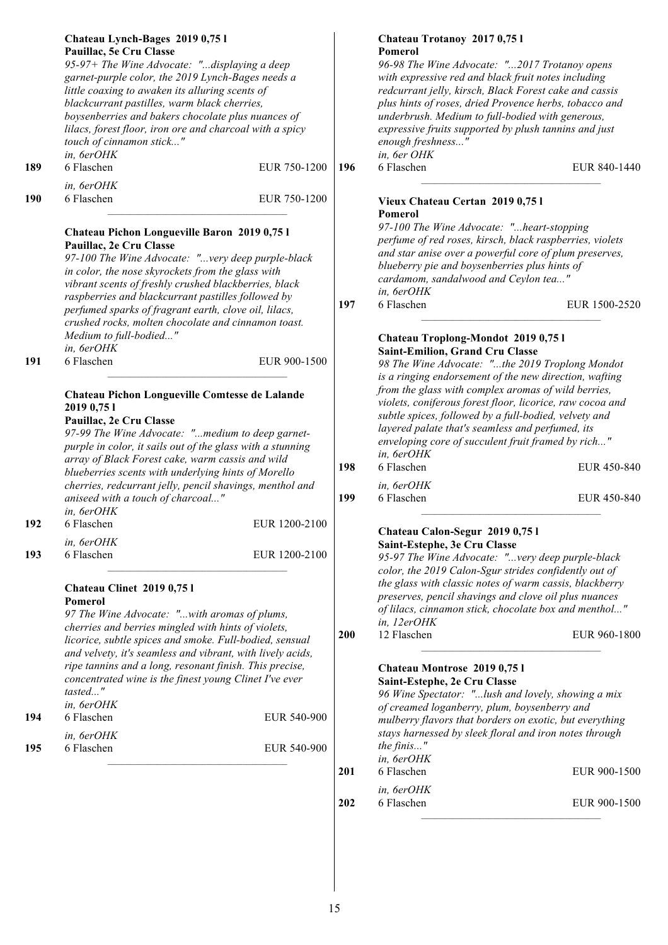| 189        | Chateau Lynch-Bages 2019 0,75 l<br>Pauillac, 5e Cru Classe<br>95-97+ The Wine Advocate: "displaying a deep<br>garnet-purple color, the 2019 Lynch-Bages needs a<br>little coaxing to awaken its alluring scents of<br>blackcurrant pastilles, warm black cherries,<br>boysenberries and bakers chocolate plus nuances of<br>lilacs, forest floor, iron ore and charcoal with a spicy<br>touch of cinnamon stick"<br>in, 6erOHK<br>6 Flaschen<br>in, 6erOHK                                                                                                                                                 | EUR 750-1200                   | 196        | Chateau Trotanoy 2017 0,75 l<br>Pomerol<br>96-98 The Wine Advocate: "2017 Trotanoy opens<br>with expressive red and black fruit notes including<br>redcurrant jelly, kirsch, Black Forest cake and cassis<br>plus hints of roses, dried Provence herbs, tobacco and<br>underbrush. Medium to full-bodied with generous,<br>expressive fruits supported by plush tannins and just<br>enough freshness"<br>in, 6er OHK<br>6 Flaschen                                                                                                                                                      | EUR 840-1440               |
|------------|------------------------------------------------------------------------------------------------------------------------------------------------------------------------------------------------------------------------------------------------------------------------------------------------------------------------------------------------------------------------------------------------------------------------------------------------------------------------------------------------------------------------------------------------------------------------------------------------------------|--------------------------------|------------|-----------------------------------------------------------------------------------------------------------------------------------------------------------------------------------------------------------------------------------------------------------------------------------------------------------------------------------------------------------------------------------------------------------------------------------------------------------------------------------------------------------------------------------------------------------------------------------------|----------------------------|
| 190        | 6 Flaschen<br>Chateau Pichon Longueville Baron 2019 0,75 l<br>Pauillac, 2e Cru Classe<br>97-100 The Wine Advocate: "very deep purple-black<br>in color, the nose skyrockets from the glass with<br>vibrant scents of freshly crushed blackberries, black<br>raspberries and blackcurrant pastilles followed by                                                                                                                                                                                                                                                                                             | EUR 750-1200                   | 197        | Vieux Chateau Certan 2019 0,75 l<br><b>Pomerol</b><br>97-100 The Wine Advocate: "heart-stopping<br>perfume of red roses, kirsch, black raspberries, violets<br>and star anise over a powerful core of plum preserves,<br>blueberry pie and boysenberries plus hints of<br>cardamom, sandalwood and Ceylon tea"<br>in, 6erOHK<br>6 Flaschen                                                                                                                                                                                                                                              | EUR 1500-2520              |
| 191        | perfumed sparks of fragrant earth, clove oil, lilacs,<br>crushed rocks, molten chocolate and cinnamon toast.<br>Medium to full-bodied"<br>in, 6erOHK<br>6 Flaschen<br>Chateau Pichon Longueville Comtesse de Lalande<br>2019 0,75 1<br>Pauillac, 2e Cru Classe<br>97-99 The Wine Advocate: "medium to deep garnet-<br>purple in color, it sails out of the glass with a stunning<br>array of Black Forest cake, warm cassis and wild<br>blueberries scents with underlying hints of Morello<br>cherries, redcurrant jelly, pencil shavings, menthol and<br>aniseed with a touch of charcoal"<br>in, 6erOHK | EUR 900-1500                   | 198<br>199 | Chateau Troplong-Mondot 2019 0,75 l<br>Saint-Emilion, Grand Cru Classe<br>98 The Wine Advocate: "the 2019 Troplong Mondot<br>is a ringing endorsement of the new direction, wafting<br>from the glass with complex aromas of wild berries,<br>violets, coniferous forest floor, licorice, raw cocoa and<br>subtle spices, followed by a full-bodied, velvety and<br>layered palate that's seamless and perfumed, its<br>enveloping core of succulent fruit framed by rich"<br>in, 6erOHK<br>6 Flaschen<br>in, 6erOHK<br>6 Flaschen                                                      | EUR 450-840<br>EUR 450-840 |
| 192<br>193 | 6 Flaschen<br>in, 6erOHK<br>6 Flaschen                                                                                                                                                                                                                                                                                                                                                                                                                                                                                                                                                                     | EUR 1200-2100<br>EUR 1200-2100 |            | Chateau Calon-Segur 2019 0,75 l<br>Saint-Estephe, 3e Cru Classe<br>95-97 The Wine Advocate: "very deep purple-black                                                                                                                                                                                                                                                                                                                                                                                                                                                                     |                            |
| 194<br>195 | <b>Chateau Clinet 2019 0,751</b><br>Pomerol<br>97 The Wine Advocate: "with aromas of plums,<br>cherries and berries mingled with hints of violets,<br>licorice, subtle spices and smoke. Full-bodied, sensual<br>and velvety, it's seamless and vibrant, with lively acids,<br>ripe tannins and a long, resonant finish. This precise,<br>concentrated wine is the finest young Clinet I've ever<br>tasted"<br>in, 6erOHK<br>6 Flaschen<br>in, 6erOHK<br>6 Flaschen                                                                                                                                        | EUR 540-900<br>EUR 540-900     | <b>200</b> | color, the 2019 Calon-Sgur strides confidently out of<br>the glass with classic notes of warm cassis, blackberry<br>preserves, pencil shavings and clove oil plus nuances<br>of lilacs, cinnamon stick, chocolate box and menthol"<br>in, 12erOHK<br>12 Flaschen<br>Chateau Montrose 2019 0,75 l<br>Saint-Estephe, 2e Cru Classe<br>96 Wine Spectator: "lush and lovely, showing a mix<br>of creamed loganberry, plum, boysenberry and<br>mulberry flavors that borders on exotic, but everything<br>stays harnessed by sleek floral and iron notes through<br>the finis"<br>in, 6erOHK | EUR 960-1800               |
|            |                                                                                                                                                                                                                                                                                                                                                                                                                                                                                                                                                                                                            |                                | 201        | 6 Flaschen<br>in, 6erOHK                                                                                                                                                                                                                                                                                                                                                                                                                                                                                                                                                                | EUR 900-1500               |
|            |                                                                                                                                                                                                                                                                                                                                                                                                                                                                                                                                                                                                            |                                | 202        | 6 Flaschen                                                                                                                                                                                                                                                                                                                                                                                                                                                                                                                                                                              | EUR 900-1500               |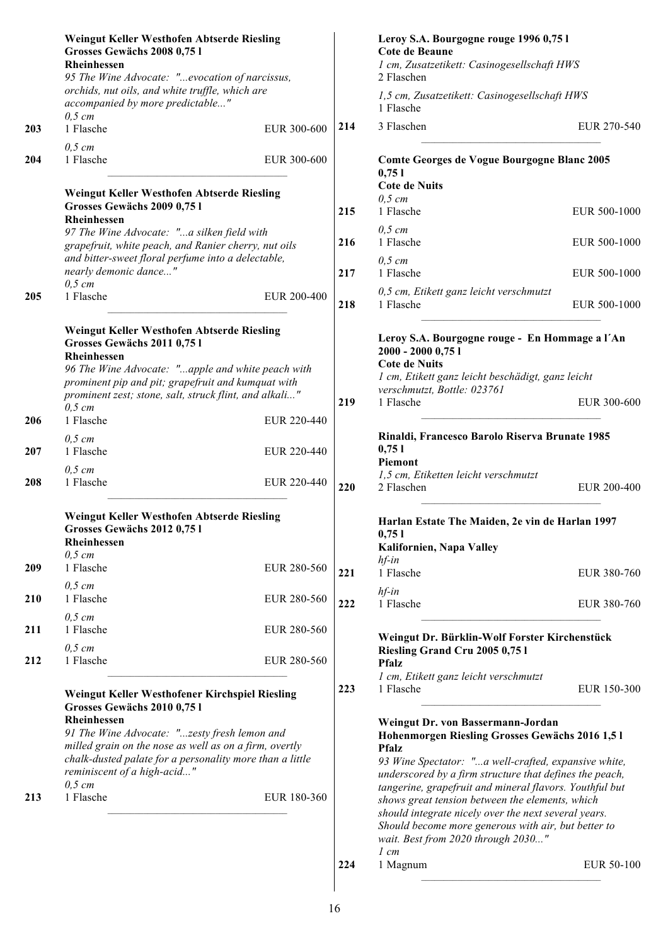|     | Weingut Keller Westhofen Abtserde Riesling<br>Grosses Gewächs 2008 0,75 l<br><b>Rheinhessen</b><br>95 The Wine Advocate: "evocation of narcissus,                                                             |             |     | Leroy S.A. Bourgogne rouge 1996 0,75 l<br>Cote de Beaune<br>1 cm, Zusatzetikett: Casinogesellschaft HWS<br>2 Flaschen                                                                                                                                                              |              |
|-----|---------------------------------------------------------------------------------------------------------------------------------------------------------------------------------------------------------------|-------------|-----|------------------------------------------------------------------------------------------------------------------------------------------------------------------------------------------------------------------------------------------------------------------------------------|--------------|
|     | orchids, nut oils, and white truffle, which are<br>accompanied by more predictable"<br>$0,5$ cm                                                                                                               |             |     | 1,5 cm, Zusatzetikett: Casinogesellschaft HWS<br>1 Flasche                                                                                                                                                                                                                         |              |
| 203 | 1 Flasche                                                                                                                                                                                                     | EUR 300-600 | 214 | 3 Flaschen                                                                                                                                                                                                                                                                         | EUR 270-540  |
| 204 | $0,5$ cm<br>1 Flasche                                                                                                                                                                                         | EUR 300-600 |     | Comte Georges de Vogue Bourgogne Blanc 2005<br>0,751                                                                                                                                                                                                                               |              |
|     | Weingut Keller Westhofen Abtserde Riesling<br>Grosses Gewächs 2009 0,75 l<br><b>Rheinhessen</b>                                                                                                               |             | 215 | <b>Cote de Nuits</b><br>$0,5 \, cm$<br>1 Flasche                                                                                                                                                                                                                                   | EUR 500-1000 |
|     | 97 The Wine Advocate: "a silken field with<br>grapefruit, white peach, and Ranier cherry, nut oils<br>and bitter-sweet floral perfume into a delectable,                                                      |             | 216 | $0,5$ cm<br>1 Flasche<br>$0,5$ cm                                                                                                                                                                                                                                                  | EUR 500-1000 |
|     | nearly demonic dance"<br>$0,5$ cm                                                                                                                                                                             |             | 217 | 1 Flasche                                                                                                                                                                                                                                                                          | EUR 500-1000 |
| 205 | 1 Flasche                                                                                                                                                                                                     | EUR 200-400 | 218 | 0,5 cm, Etikett ganz leicht verschmutzt<br>1 Flasche                                                                                                                                                                                                                               | EUR 500-1000 |
|     | Weingut Keller Westhofen Abtserde Riesling<br>Grosses Gewächs 2011 0,751<br>Rheinhessen<br>96 The Wine Advocate: "apple and white peach with<br>prominent pip and pit; grapefruit and kumquat with            |             |     | Leroy S.A. Bourgogne rouge - En Hommage a l'An<br>2000 - 2000 0,75 1<br><b>Cote de Nuits</b><br>1 cm, Etikett ganz leicht beschädigt, ganz leicht                                                                                                                                  |              |
| 206 | prominent zest; stone, salt, struck flint, and alkali"<br>$0,5$ cm<br>1 Flasche                                                                                                                               | EUR 220-440 | 219 | verschmutzt, Bottle: 023761<br>1 Flasche                                                                                                                                                                                                                                           | EUR 300-600  |
| 207 | $0,5$ cm<br>1 Flasche                                                                                                                                                                                         | EUR 220-440 |     | Rinaldi, Francesco Barolo Riserva Brunate 1985<br>0,751                                                                                                                                                                                                                            |              |
| 208 | $0,5$ cm<br>1 Flasche                                                                                                                                                                                         | EUR 220-440 | 220 | Piemont<br>1,5 cm, Etiketten leicht verschmutzt<br>2 Flaschen                                                                                                                                                                                                                      | EUR 200-400  |
|     | Weingut Keller Westhofen Abtserde Riesling<br>Grosses Gewächs 2012 0,75 l<br>Rheinhessen<br>$0,5 \, cm$                                                                                                       |             |     | Harlan Estate The Maiden, 2e vin de Harlan 1997<br>0,751<br>Kalifornien, Napa Valley<br>$hf$ -in                                                                                                                                                                                   |              |
| 209 | 1 Flasche                                                                                                                                                                                                     | EUR 280-560 | 221 | 1 Flasche                                                                                                                                                                                                                                                                          | EUR 380-760  |
| 210 | $0,5$ cm<br>1 Flasche<br>$0,5$ cm                                                                                                                                                                             | EUR 280-560 | 222 | $hf$ -in<br>1 Flasche                                                                                                                                                                                                                                                              | EUR 380-760  |
| 211 | 1 Flasche<br>$0,5$ cm                                                                                                                                                                                         | EUR 280-560 |     | Weingut Dr. Bürklin-Wolf Forster Kirchenstück<br>Riesling Grand Cru 2005 0,75 l                                                                                                                                                                                                    |              |
| 212 | 1 Flasche                                                                                                                                                                                                     | EUR 280-560 |     | <b>Pfalz</b><br>1 cm, Etikett ganz leicht verschmutzt                                                                                                                                                                                                                              |              |
|     | Weingut Keller Westhofener Kirchspiel Riesling<br>Grosses Gewächs 2010 0,751<br>Rheinhessen                                                                                                                   |             | 223 | 1 Flasche                                                                                                                                                                                                                                                                          | EUR 150-300  |
|     | 91 The Wine Advocate: "zesty fresh lemon and<br>milled grain on the nose as well as on a firm, overtly<br>chalk-dusted palate for a personality more than a little<br>reminiscent of a high-acid"<br>$0,5$ cm |             |     | Weingut Dr. von Bassermann-Jordan<br>Hohenmorgen Riesling Grosses Gewächs 2016 1,5 l<br><b>Pfalz</b><br>93 Wine Spectator: "a well-crafted, expansive white,<br>underscored by a firm structure that defines the peach,<br>tangerine, grapefruit and mineral flavors. Youthful but |              |
| 213 | 1 Flasche                                                                                                                                                                                                     | EUR 180-360 |     | shows great tension between the elements, which<br>should integrate nicely over the next several years.<br>Should become more generous with air, but better to<br>wait. Best from 2020 through 2030"<br>$1 \, cm$                                                                  |              |
|     |                                                                                                                                                                                                               |             | 224 | 1 Magnum                                                                                                                                                                                                                                                                           | EUR 50-100   |
|     |                                                                                                                                                                                                               |             |     |                                                                                                                                                                                                                                                                                    |              |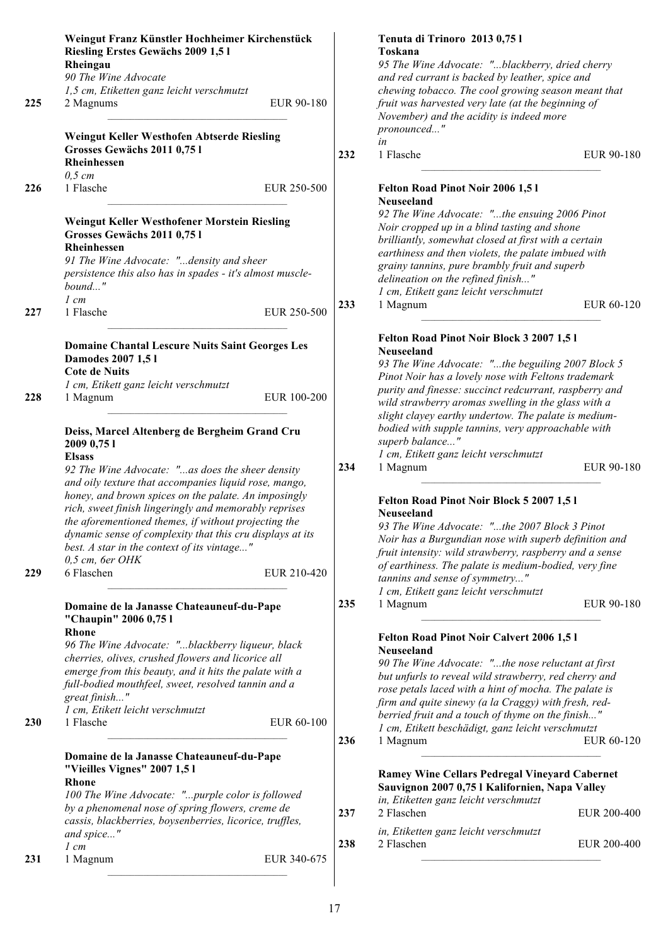|     | Weingut Franz Künstler Hochheimer Kirchenstück<br>Riesling Erstes Gewächs 2009 1,51                                                                                                                                                                                                                |            | Tenuta di Trinoro 2013 0,751<br>Toskana                                                                                                                                                                                                                                                                                                     |             |
|-----|----------------------------------------------------------------------------------------------------------------------------------------------------------------------------------------------------------------------------------------------------------------------------------------------------|------------|---------------------------------------------------------------------------------------------------------------------------------------------------------------------------------------------------------------------------------------------------------------------------------------------------------------------------------------------|-------------|
|     | Rheingau<br>90 The Wine Advocate                                                                                                                                                                                                                                                                   |            | 95 The Wine Advocate: "blackberry, dried cherry<br>and red currant is backed by leather, spice and                                                                                                                                                                                                                                          |             |
| 225 | 1,5 cm, Etiketten ganz leicht verschmutzt<br>2 Magnums                                                                                                                                                                                                                                             | EUR 90-180 | chewing tobacco. The cool growing season meant that<br>fruit was harvested very late (at the beginning of<br>November) and the acidity is indeed more                                                                                                                                                                                       |             |
|     |                                                                                                                                                                                                                                                                                                    |            | pronounced"                                                                                                                                                                                                                                                                                                                                 |             |
|     | Weingut Keller Westhofen Abtserde Riesling<br>Grosses Gewächs 2011 0,75 l<br>Rheinhessen                                                                                                                                                                                                           | 232        | in<br>1 Flasche                                                                                                                                                                                                                                                                                                                             | EUR 90-180  |
| 226 | $0,5$ cm<br>1 Flasche<br>EUR 250-500                                                                                                                                                                                                                                                               |            | Felton Road Pinot Noir 2006 1,51<br>Neuseeland                                                                                                                                                                                                                                                                                              |             |
|     | Weingut Keller Westhofener Morstein Riesling<br>Grosses Gewächs 2011 0,75 l<br><b>Rheinhessen</b><br>91 The Wine Advocate: "density and sheer<br>persistence this also has in spades - it's almost muscle-                                                                                         |            | 92 The Wine Advocate: "the ensuing 2006 Pinot<br>Noir cropped up in a blind tasting and shone<br>brilliantly, somewhat closed at first with a certain<br>earthiness and then violets, the palate imbued with<br>grainy tannins, pure brambly fruit and superb                                                                               |             |
|     | bound"                                                                                                                                                                                                                                                                                             |            | delineation on the refined finish"                                                                                                                                                                                                                                                                                                          |             |
|     | $1 \, cm$                                                                                                                                                                                                                                                                                          | 233        | 1 cm, Etikett ganz leicht verschmutzt                                                                                                                                                                                                                                                                                                       | EUR 60-120  |
| 227 | 1 Flasche<br>EUR 250-500                                                                                                                                                                                                                                                                           |            | 1 Magnum                                                                                                                                                                                                                                                                                                                                    |             |
| 228 | <b>Domaine Chantal Lescure Nuits Saint Georges Les</b><br>Damodes 2007 1,51<br><b>Cote de Nuits</b><br>1 cm, Etikett ganz leicht verschmutzt<br>EUR 100-200<br>1 Magnum                                                                                                                            |            | Felton Road Pinot Noir Block 3 2007 1,51<br><b>Neuseeland</b><br>93 The Wine Advocate: "the beguiling 2007 Block 5<br>Pinot Noir has a lovely nose with Feltons trademark<br>purity and finesse: succinct redcurrant, raspberry and<br>wild strawberry aromas swelling in the glass with a                                                  |             |
|     | Deiss, Marcel Altenberg de Bergheim Grand Cru                                                                                                                                                                                                                                                      |            | slight clayey earthy undertow. The palate is medium-<br>bodied with supple tannins, very approachable with                                                                                                                                                                                                                                  |             |
|     | 2009 0,75 1                                                                                                                                                                                                                                                                                        |            | superb balance"                                                                                                                                                                                                                                                                                                                             |             |
|     | <b>Elsass</b>                                                                                                                                                                                                                                                                                      |            | 1 cm, Etikett ganz leicht verschmutzt                                                                                                                                                                                                                                                                                                       |             |
|     | 92 The Wine Advocate: "as does the sheer density<br>and oily texture that accompanies liquid rose, mango,<br>honey, and brown spices on the palate. An imposingly                                                                                                                                  | 234        | 1 Magnum                                                                                                                                                                                                                                                                                                                                    | EUR 90-180  |
|     | rich, sweet finish lingeringly and memorably reprises<br>the aforementioned themes, if without projecting the<br>dynamic sense of complexity that this cru displays at its<br>best. A star in the context of its vintage"<br>$0,5$ cm, 6er OHK                                                     |            | Felton Road Pinot Noir Block 5 2007 1,5 l<br>Neuseeland<br>93 The Wine Advocate: "the 2007 Block 3 Pinot<br>Noir has a Burgundian nose with superb definition and<br>fruit intensity: wild strawberry, raspberry and a sense<br>of earthiness. The palate is medium-bodied, very fine                                                       |             |
| 229 | 6 Flaschen<br>EUR 210-420                                                                                                                                                                                                                                                                          |            | tannins and sense of symmetry"                                                                                                                                                                                                                                                                                                              |             |
|     | Domaine de la Janasse Chateauneuf-du-Pape<br>"Chaupin" 2006 0,75 l                                                                                                                                                                                                                                 | 235        | 1 cm, Etikett ganz leicht verschmutzt<br>1 Magnum                                                                                                                                                                                                                                                                                           | EUR 90-180  |
| 230 | Rhone<br>96 The Wine Advocate: "blackberry liqueur, black<br>cherries, olives, crushed flowers and licorice all<br>emerge from this beauty, and it hits the palate with a<br>full-bodied mouthfeel, sweet, resolved tannin and a<br>great finish"<br>1 cm, Etikett leicht verschmutzt<br>1 Flasche | EUR 60-100 | Felton Road Pinot Noir Calvert 2006 1,51<br>Neuseeland<br>90 The Wine Advocate: "the nose reluctant at first<br>but unfurls to reveal wild strawberry, red cherry and<br>rose petals laced with a hint of mocha. The palate is<br>firm and quite sinewy (a la Craggy) with fresh, red-<br>berried fruit and a touch of thyme on the finish" |             |
|     |                                                                                                                                                                                                                                                                                                    | 236        | 1 cm, Etikett beschädigt, ganz leicht verschmutzt<br>1 Magnum                                                                                                                                                                                                                                                                               | EUR 60-120  |
|     | Domaine de la Janasse Chateauneuf-du-Pape<br>"Vieilles Vignes" 2007 1,5 l<br><b>Rhone</b><br>100 The Wine Advocate: "purple color is followed                                                                                                                                                      |            | <b>Ramey Wine Cellars Pedregal Vineyard Cabernet</b><br>Sauvignon 2007 0,75 l Kalifornien, Napa Valley<br>in, Etiketten ganz leicht verschmutzt                                                                                                                                                                                             |             |
|     | by a phenomenal nose of spring flowers, creme de                                                                                                                                                                                                                                                   | 237        | 2 Flaschen                                                                                                                                                                                                                                                                                                                                  | EUR 200-400 |
|     | cassis, blackberries, boysenberries, licorice, truffles,<br>and spice"<br>$1 \, cm$                                                                                                                                                                                                                | 238        | in, Etiketten ganz leicht verschmutzt<br>2 Flaschen                                                                                                                                                                                                                                                                                         | EUR 200-400 |
| 231 | EUR 340-675<br>1 Magnum                                                                                                                                                                                                                                                                            |            |                                                                                                                                                                                                                                                                                                                                             |             |
|     |                                                                                                                                                                                                                                                                                                    |            |                                                                                                                                                                                                                                                                                                                                             |             |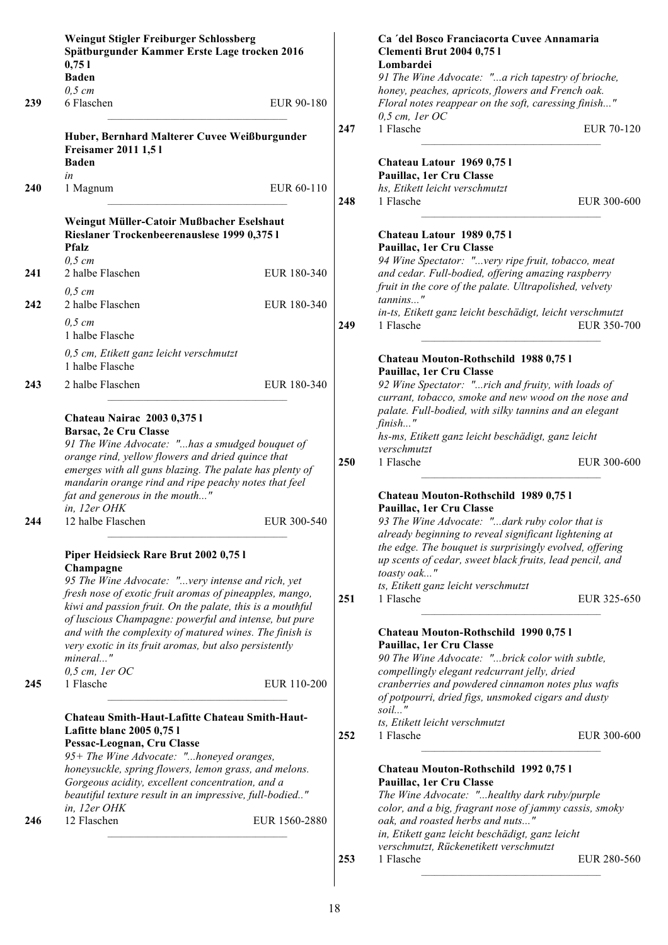|     | Weingut Stigler Freiburger Schlossberg                                                                                                                          |               |     | Ca 'del Bosco Franciacorta Cuvee Annamaria                               |
|-----|-----------------------------------------------------------------------------------------------------------------------------------------------------------------|---------------|-----|--------------------------------------------------------------------------|
|     | Spätburgunder Kammer Erste Lage trocken 2016                                                                                                                    |               |     | <b>Clementi Brut 2004 0,75 l</b>                                         |
|     | 0,751                                                                                                                                                           |               |     | Lombardei                                                                |
|     | <b>Baden</b>                                                                                                                                                    |               |     | 91 The Wine Advocate: "a rich tapestry of brioche,                       |
|     | $0,5$ cm                                                                                                                                                        |               |     | honey, peaches, apricots, flowers and French oak.                        |
| 239 | 6 Flaschen                                                                                                                                                      | EUR 90-180    |     | Floral notes reappear on the soft, caressing finish"<br>$0,5$ cm, 1er OC |
|     |                                                                                                                                                                 |               | 247 | 1 Flasche<br>EUR 70-120                                                  |
|     | Huber, Bernhard Malterer Cuvee Weißburgunder                                                                                                                    |               |     |                                                                          |
|     | <b>Freisamer 2011 1,51</b>                                                                                                                                      |               |     |                                                                          |
|     | <b>Baden</b>                                                                                                                                                    |               |     | Chateau Latour 1969 0,751                                                |
|     | in                                                                                                                                                              |               |     | Pauillac, 1er Cru Classe                                                 |
| 240 | 1 Magnum                                                                                                                                                        | EUR 60-110    | 248 | hs, Etikett leicht verschmutzt<br>1 Flasche<br>EUR 300-600               |
|     |                                                                                                                                                                 |               |     |                                                                          |
|     | Weingut Müller-Catoir Mußbacher Eselshaut                                                                                                                       |               |     |                                                                          |
|     | Rieslaner Trockenbeerenauslese 1999 0,375 l                                                                                                                     |               |     | Chateau Latour 1989 0,751                                                |
|     | <b>Pfalz</b>                                                                                                                                                    |               |     | Pauillac, 1er Cru Classe                                                 |
|     | $0,5$ cm                                                                                                                                                        |               |     | 94 Wine Spectator: "very ripe fruit, tobacco, meat                       |
| 241 | 2 halbe Flaschen                                                                                                                                                | EUR 180-340   |     | and cedar. Full-bodied, offering amazing raspberry                       |
|     | $0,5$ cm                                                                                                                                                        |               |     | fruit in the core of the palate. Ultrapolished, velvety                  |
| 242 | 2 halbe Flaschen                                                                                                                                                | EUR 180-340   |     | tannins"                                                                 |
|     |                                                                                                                                                                 |               |     | in-ts, Etikett ganz leicht beschädigt, leicht verschmutzt                |
|     | $0,5$ cm                                                                                                                                                        |               | 249 | 1 Flasche<br>EUR 350-700                                                 |
|     | 1 halbe Flasche                                                                                                                                                 |               |     |                                                                          |
|     | 0,5 cm, Etikett ganz leicht verschmutzt                                                                                                                         |               |     |                                                                          |
|     | 1 halbe Flasche                                                                                                                                                 |               |     | Chateau Mouton-Rothschild 1988 0,751                                     |
|     |                                                                                                                                                                 |               |     | Pauillac, 1er Cru Classe                                                 |
| 243 | 2 halbe Flaschen                                                                                                                                                | EUR 180-340   |     | 92 Wine Spectator: "rich and fruity, with loads of                       |
|     |                                                                                                                                                                 |               |     | currant, tobacco, smoke and new wood on the nose and                     |
|     | Chateau Nairac 2003 0,375 l                                                                                                                                     |               |     | palate. Full-bodied, with silky tannins and an elegant                   |
|     | Barsac, 2e Cru Classe                                                                                                                                           |               |     | $finish$ "                                                               |
|     | 91 The Wine Advocate: "has a smudged bouquet of<br>orange rind, yellow flowers and dried quince that<br>emerges with all guns blazing. The palate has plenty of |               |     | hs-ms, Etikett ganz leicht beschädigt, ganz leicht                       |
|     |                                                                                                                                                                 |               |     | verschmutzt                                                              |
|     |                                                                                                                                                                 |               |     | 1 Flasche<br>EUR 300-600                                                 |
|     | mandarin orange rind and ripe peachy notes that feel                                                                                                            |               |     |                                                                          |
|     |                                                                                                                                                                 |               |     | Chateau Mouton-Rothschild 1989 0,751                                     |
|     | fat and generous in the mouth"<br>in, 12er OHK                                                                                                                  |               |     | Pauillac, 1er Cru Classe                                                 |
|     |                                                                                                                                                                 |               |     |                                                                          |
| 244 | 12 halbe Flaschen                                                                                                                                               | EUR 300-540   |     | 93 The Wine Advocate: "dark ruby color that is                           |
|     |                                                                                                                                                                 |               |     | already beginning to reveal significant lightening at                    |
|     | Piper Heidsieck Rare Brut 2002 0,75 l                                                                                                                           |               |     | the edge. The bouquet is surprisingly evolved, offering                  |
|     | Champagne                                                                                                                                                       |               |     | up scents of cedar, sweet black fruits, lead pencil, and                 |
|     | 95 The Wine Advocate: "very intense and rich, yet                                                                                                               |               |     | toasty oak"                                                              |
|     | fresh nose of exotic fruit aromas of pineapples, mango,                                                                                                         |               |     | ts, Etikett ganz leicht verschmutzt                                      |
|     | kiwi and passion fruit. On the palate, this is a mouthful                                                                                                       |               | 251 | 1 Flasche<br>EUR 325-650                                                 |
|     | of luscious Champagne: powerful and intense, but pure                                                                                                           |               |     |                                                                          |
|     | and with the complexity of matured wines. The finish is                                                                                                         |               |     | Chateau Mouton-Rothschild 1990 0,751                                     |
|     | very exotic in its fruit aromas, but also persistently                                                                                                          |               |     | Pauillac, 1er Cru Classe                                                 |
|     | mineral"                                                                                                                                                        |               |     | 90 The Wine Advocate: "brick color with subtle,                          |
|     | $0,5$ cm, 1er OC                                                                                                                                                |               |     | compellingly elegant redcurrant jelly, dried                             |
| 245 | 1 Flasche                                                                                                                                                       | EUR 110-200   |     | cranberries and powdered cinnamon notes plus wafts                       |
|     |                                                                                                                                                                 |               |     | of potpourri, dried figs, unsmoked cigars and dusty                      |
|     |                                                                                                                                                                 |               |     | soil"                                                                    |
|     | Chateau Smith-Haut-Lafitte Chateau Smith-Haut-                                                                                                                  |               |     | ts, Etikett leicht verschmutzt                                           |
|     | Lafitte blanc 2005 0,75 l                                                                                                                                       |               | 252 | 1 Flasche<br>EUR 300-600                                                 |
|     | Pessac-Leognan, Cru Classe                                                                                                                                      |               |     |                                                                          |
|     | 95+ The Wine Advocate: "honeyed oranges,                                                                                                                        |               |     |                                                                          |
|     | honeysuckle, spring flowers, lemon grass, and melons.                                                                                                           |               |     | Chateau Mouton-Rothschild 1992 0,751                                     |
|     | Gorgeous acidity, excellent concentration, and a                                                                                                                |               |     | Pauillac, 1er Cru Classe                                                 |
|     | beautiful texture result in an impressive, full-bodied"                                                                                                         |               |     | The Wine Advocate: "healthy dark ruby/purple                             |
|     | in, 12er OHK                                                                                                                                                    |               |     | color, and a big, fragrant nose of jammy cassis, smoky                   |
| 246 | 12 Flaschen                                                                                                                                                     | EUR 1560-2880 |     | oak, and roasted herbs and nuts"                                         |
|     |                                                                                                                                                                 |               |     | in, Etikett ganz leicht beschädigt, ganz leicht                          |
|     |                                                                                                                                                                 |               |     | verschmutzt, Rückenetikett verschmutzt                                   |
|     |                                                                                                                                                                 |               | 253 | 1 Flasche<br>EUR 280-560                                                 |
|     |                                                                                                                                                                 |               |     |                                                                          |

 $\begin{array}{c} \hline \end{array}$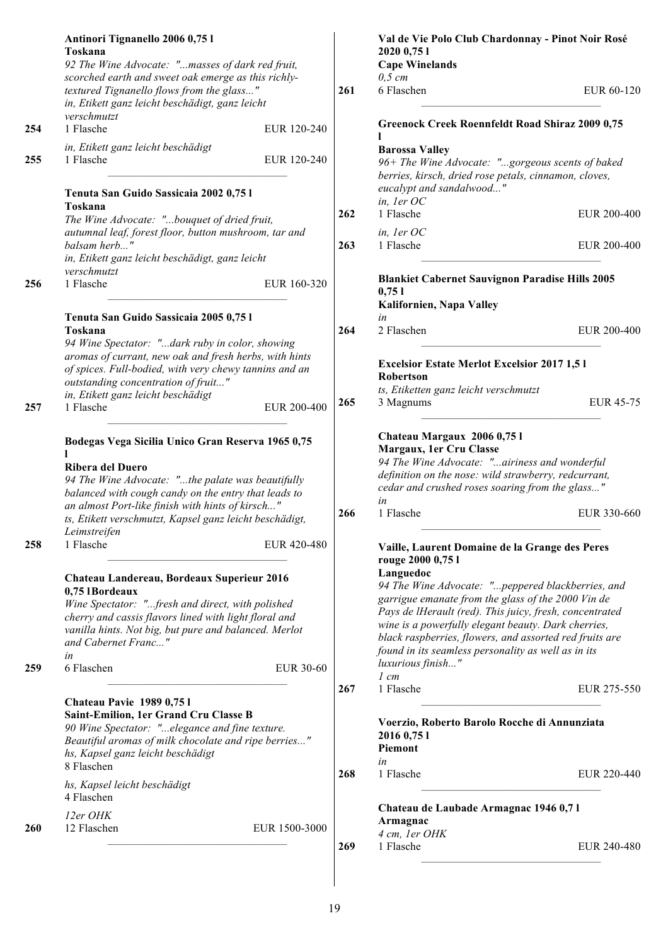|     | Antinori Tignanello 2006 0,75 l<br>Toskana<br>92 The Wine Advocate: "masses of dark red fruit,                                                                                                                                                                                                           |                  |     | Val de Vie Polo Club Chardonnay - Pinot Noir Rosé<br>2020 0,75 1<br><b>Cape Winelands</b>                                                                                                                                                                                                                                                                                                  |                  |
|-----|----------------------------------------------------------------------------------------------------------------------------------------------------------------------------------------------------------------------------------------------------------------------------------------------------------|------------------|-----|--------------------------------------------------------------------------------------------------------------------------------------------------------------------------------------------------------------------------------------------------------------------------------------------------------------------------------------------------------------------------------------------|------------------|
|     | scorched earth and sweet oak emerge as this richly-<br>textured Tignanello flows from the glass"<br>in, Etikett ganz leicht beschädigt, ganz leicht                                                                                                                                                      |                  | 261 | $0,5 \, cm$<br>6 Flaschen                                                                                                                                                                                                                                                                                                                                                                  | EUR 60-120       |
| 254 | verschmutzt<br>1 Flasche                                                                                                                                                                                                                                                                                 | EUR 120-240      |     | <b>Greenock Creek Roennfeldt Road Shiraz 2009 0,75</b>                                                                                                                                                                                                                                                                                                                                     |                  |
| 255 | in, Etikett ganz leicht beschädigt<br>1 Flasche                                                                                                                                                                                                                                                          | EUR 120-240      |     | <b>Barossa Valley</b><br>96+ The Wine Advocate: "gorgeous scents of baked<br>berries, kirsch, dried rose petals, cinnamon, cloves,                                                                                                                                                                                                                                                         |                  |
|     | Tenuta San Guido Sassicaia 2002 0,75 l<br>Toskana                                                                                                                                                                                                                                                        |                  | 262 | eucalypt and sandalwood"<br>in, 1er OC<br>1 Flasche                                                                                                                                                                                                                                                                                                                                        | EUR 200-400      |
|     | The Wine Advocate: "bouquet of dried fruit,<br>autumnal leaf, forest floor, button mushroom, tar and                                                                                                                                                                                                     |                  |     | in, ler OC                                                                                                                                                                                                                                                                                                                                                                                 |                  |
|     | balsam herb"<br>in, Etikett ganz leicht beschädigt, ganz leicht                                                                                                                                                                                                                                          |                  | 263 | 1 Flasche                                                                                                                                                                                                                                                                                                                                                                                  | EUR 200-400      |
| 256 | verschmutzt<br>1 Flasche                                                                                                                                                                                                                                                                                 | EUR 160-320      |     | <b>Blankiet Cabernet Sauvignon Paradise Hills 2005</b><br>0,751<br>Kalifornien, Napa Valley                                                                                                                                                                                                                                                                                                |                  |
|     | Tenuta San Guido Sassicaia 2005 0,75 l<br>Toskana<br>94 Wine Spectator: "dark ruby in color, showing                                                                                                                                                                                                     |                  | 264 | in<br>2 Flaschen                                                                                                                                                                                                                                                                                                                                                                           | EUR 200-400      |
|     | aromas of currant, new oak and fresh herbs, with hints<br>of spices. Full-bodied, with very chewy tannins and an<br>outstanding concentration of fruit"                                                                                                                                                  |                  |     | <b>Excelsior Estate Merlot Excelsior 2017 1,51</b><br><b>Robertson</b><br>ts, Etiketten ganz leicht verschmutzt                                                                                                                                                                                                                                                                            |                  |
| 257 | in, Etikett ganz leicht beschädigt<br>1 Flasche                                                                                                                                                                                                                                                          | EUR 200-400      | 265 | 3 Magnums                                                                                                                                                                                                                                                                                                                                                                                  | <b>EUR 45-75</b> |
|     | Bodegas Vega Sicilia Unico Gran Reserva 1965 0,75<br><b>Ribera del Duero</b><br>94 The Wine Advocate: "the palate was beautifully<br>balanced with cough candy on the entry that leads to<br>an almost Port-like finish with hints of kirsch"<br>ts, Etikett verschmutzt, Kapsel ganz leicht beschädigt, |                  | 266 | Chateau Margaux 2006 0,75 l<br>Margaux, 1er Cru Classe<br>94 The Wine Advocate: "airiness and wonderful<br>definition on the nose: wild strawberry, redcurrant,<br>cedar and crushed roses soaring from the glass"<br>in<br>1 Flasche                                                                                                                                                      | EUR 330-660      |
| 258 | Leimstreifen<br>1 Flasche                                                                                                                                                                                                                                                                                | EUR 420-480      |     | Vaille, Laurent Domaine de la Grange des Peres<br>rouge 2000 0,75 l                                                                                                                                                                                                                                                                                                                        |                  |
| 259 | Chateau Landereau, Bordeaux Superieur 2016<br>0,75 IBordeaux<br>Wine Spectator: "fresh and direct, with polished<br>cherry and cassis flavors lined with light floral and<br>vanilla hints. Not big, but pure and balanced. Merlot<br>and Cabernet Franc"<br>in<br>6 Flaschen                            | <b>EUR 30-60</b> |     | Languedoc<br>94 The Wine Advocate: "peppered blackberries, and<br>garrigue emanate from the glass of the 2000 Vin de<br>Pays de lHerault (red). This juicy, fresh, concentrated<br>wine is a powerfully elegant beauty. Dark cherries,<br>black raspberries, flowers, and assorted red fruits are<br>found in its seamless personality as well as in its<br>luxurious finish"<br>$1 \, cm$ |                  |
|     |                                                                                                                                                                                                                                                                                                          |                  | 267 | 1 Flasche                                                                                                                                                                                                                                                                                                                                                                                  | EUR 275-550      |
|     | <b>Chateau Pavie 1989 0,751</b><br>Saint-Emilion, 1er Grand Cru Classe B<br>90 Wine Spectator: "elegance and fine texture.<br>Beautiful aromas of milk chocolate and ripe berries"<br>hs, Kapsel ganz leicht beschädigt<br>8 Flaschen                                                                    |                  |     | Voerzio, Roberto Barolo Rocche di Annunziata<br>2016 0,75 1<br>Piemont<br>in                                                                                                                                                                                                                                                                                                               |                  |
|     | hs, Kapsel leicht beschädigt<br>4 Flaschen                                                                                                                                                                                                                                                               |                  | 268 | 1 Flasche                                                                                                                                                                                                                                                                                                                                                                                  | EUR 220-440      |
| 260 | 12er OHK<br>12 Flaschen                                                                                                                                                                                                                                                                                  | EUR 1500-3000    |     | Chateau de Laubade Armagnac 1946 0,71<br>Armagnac<br>4 cm, 1er OHK                                                                                                                                                                                                                                                                                                                         |                  |
|     |                                                                                                                                                                                                                                                                                                          |                  | 269 | 1 Flasche                                                                                                                                                                                                                                                                                                                                                                                  | EUR 240-480      |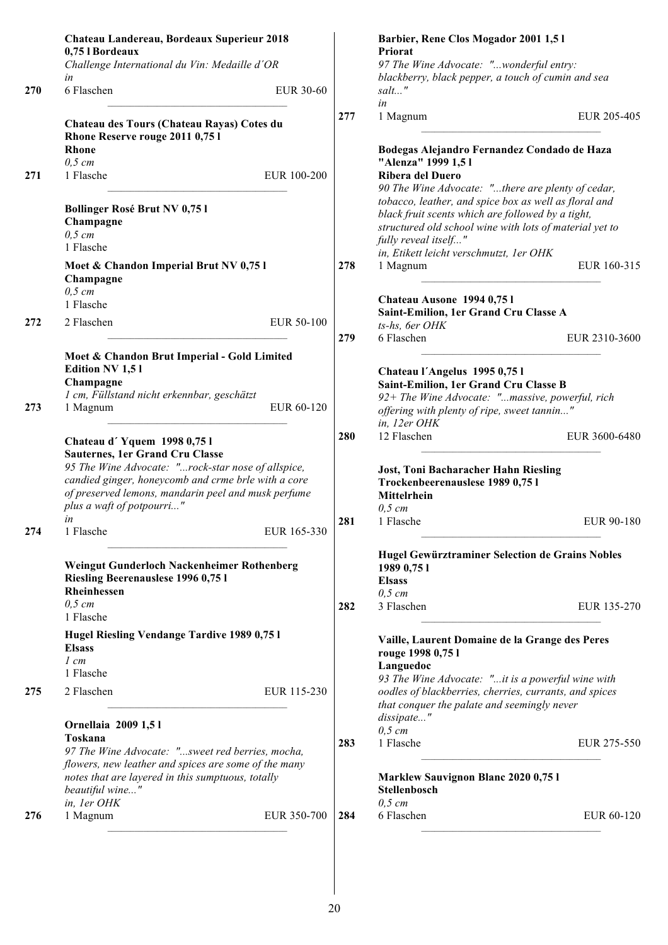|     | Chateau Landereau, Bordeaux Superieur 2018<br>0,75 l Bordeaux                                                                                                                                                                                                               |     | Barbier, Rene Clos Mogador 2001 1,51<br>Priorat                                                                                                                                                                                          |
|-----|-----------------------------------------------------------------------------------------------------------------------------------------------------------------------------------------------------------------------------------------------------------------------------|-----|------------------------------------------------------------------------------------------------------------------------------------------------------------------------------------------------------------------------------------------|
|     | Challenge International du Vin: Medaille d'OR<br>in                                                                                                                                                                                                                         |     | 97 The Wine Advocate: "wonderful entry:<br>blackberry, black pepper, a touch of cumin and sea                                                                                                                                            |
| 270 | 6 Flaschen<br>EUR 30-60                                                                                                                                                                                                                                                     |     | salt"<br>in                                                                                                                                                                                                                              |
|     | Chateau des Tours (Chateau Rayas) Cotes du<br>Rhone Reserve rouge 2011 0,75 l                                                                                                                                                                                               | 277 | EUR 205-405<br>1 Magnum                                                                                                                                                                                                                  |
|     | <b>Rhone</b><br>$0,5$ cm                                                                                                                                                                                                                                                    |     | Bodegas Alejandro Fernandez Condado de Haza<br>"Alenza" 1999 1,51                                                                                                                                                                        |
| 271 | 1 Flasche<br>EUR 100-200                                                                                                                                                                                                                                                    |     | Ribera del Duero<br>90 The Wine Advocate: "there are plenty of cedar,                                                                                                                                                                    |
|     | <b>Bollinger Rosé Brut NV 0,751</b><br>Champagne<br>$0,5$ cm<br>1 Flasche                                                                                                                                                                                                   |     | tobacco, leather, and spice box as well as floral and<br>black fruit scents which are followed by a tight,<br>structured old school wine with lots of material yet to<br>fully reveal itself"<br>in, Etikett leicht verschmutzt, 1er OHK |
|     | Moet & Chandon Imperial Brut NV 0,751<br>Champagne<br>$0,5$ cm                                                                                                                                                                                                              | 278 | 1 Magnum<br>EUR 160-315<br>Chateau Ausone 1994 0,751                                                                                                                                                                                     |
| 272 | 1 Flasche<br>2 Flaschen<br>EUR 50-100                                                                                                                                                                                                                                       |     | Saint-Emilion, 1er Grand Cru Classe A<br>ts-hs, 6er OHK                                                                                                                                                                                  |
|     |                                                                                                                                                                                                                                                                             | 279 | 6 Flaschen<br>EUR 2310-3600                                                                                                                                                                                                              |
|     | Moet & Chandon Brut Imperial - Gold Limited<br><b>Edition NV 1,51</b><br>Champagne<br>1 cm, Füllstand nicht erkennbar, geschätzt                                                                                                                                            |     | Chateau l'Angelus 1995 0,75 l<br>Saint-Emilion, 1er Grand Cru Classe B<br>92+ The Wine Advocate: "massive, powerful, rich                                                                                                                |
| 273 | 1 Magnum<br>EUR 60-120                                                                                                                                                                                                                                                      |     | offering with plenty of ripe, sweet tannin"<br>in, 12er OHK                                                                                                                                                                              |
|     | Chateau d'Yquem 1998 0,751<br><b>Sauternes, 1er Grand Cru Classe</b><br>95 The Wine Advocate: "rock-star nose of allspice,<br>candied ginger, honeycomb and crme brle with a core<br>of preserved lemons, mandarin peel and musk perfume<br>plus a waft of potpourri"<br>in | 280 | 12 Flaschen<br>EUR 3600-6480<br><b>Jost, Toni Bacharacher Hahn Riesling</b><br>Trockenbeerenauslese 1989 0,75 l<br><b>Mittelrhein</b><br>$0,5$ cm                                                                                        |
| 274 | EUR 165-330<br>1 Flasche                                                                                                                                                                                                                                                    | 281 | 1 Flasche<br>EUR 90-180                                                                                                                                                                                                                  |
|     | Weingut Gunderloch Nackenheimer Rothenberg<br>Riesling Beerenauslese 1996 0,75 l<br>Rheinhessen                                                                                                                                                                             |     | Hugel Gewürztraminer Selection de Grains Nobles<br>1989 0,75 1<br><b>Elsass</b><br>$0.5$ cm                                                                                                                                              |
|     | $0,5$ cm<br>1 Flasche                                                                                                                                                                                                                                                       | 282 | 3 Flaschen<br>EUR 135-270                                                                                                                                                                                                                |
|     | Hugel Riesling Vendange Tardive 1989 0,75 l<br><b>Elsass</b><br>$1 \, cm$                                                                                                                                                                                                   |     | Vaille, Laurent Domaine de la Grange des Peres<br>rouge 1998 0,75 l<br>Languedoc                                                                                                                                                         |
| 275 | 1 Flasche<br>2 Flaschen<br>EUR 115-230                                                                                                                                                                                                                                      |     | 93 The Wine Advocate: "it is a powerful wine with<br>oodles of blackberries, cherries, currants, and spices<br>that conquer the palate and seemingly never                                                                               |
|     | Ornellaia 2009 1,51<br>Toskana                                                                                                                                                                                                                                              | 283 | dissipate"<br>$0,5$ cm<br>1 Flasche<br>EUR 275-550                                                                                                                                                                                       |
|     | 97 The Wine Advocate: "sweet red berries, mocha,<br>flowers, new leather and spices are some of the many<br>notes that are layered in this sumptuous, totally<br>beautiful wine"                                                                                            |     | <b>Marklew Sauvignon Blanc 2020 0,75 l</b><br>Stellenbosch                                                                                                                                                                               |
| 276 | in, 1er OHK<br>1 Magnum<br>EUR 350-700                                                                                                                                                                                                                                      | 284 | $0,5 \, cm$<br>6 Flaschen<br>EUR 60-120                                                                                                                                                                                                  |
|     |                                                                                                                                                                                                                                                                             |     |                                                                                                                                                                                                                                          |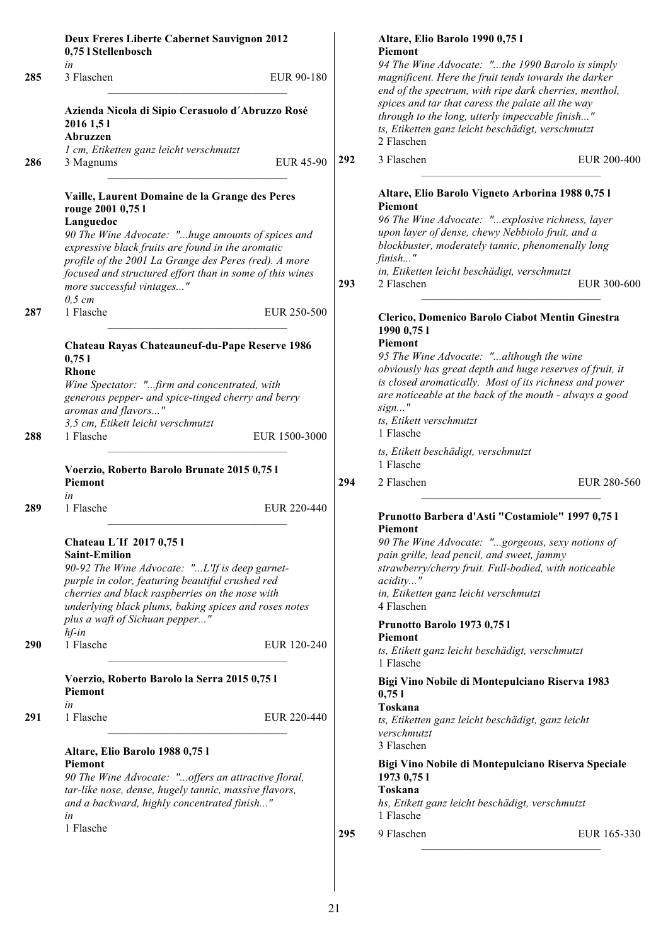|     | <b>Deux Freres Liberte Cabernet Sauvignon 2012</b><br>0,75 l Stellenbosch                                                                                                                                                                                                                                                                    |                  |     | Altare, Elio Barolo 1990 0,75 l<br>Piemont                                                                                                                                                                                                                                                                              |  |
|-----|----------------------------------------------------------------------------------------------------------------------------------------------------------------------------------------------------------------------------------------------------------------------------------------------------------------------------------------------|------------------|-----|-------------------------------------------------------------------------------------------------------------------------------------------------------------------------------------------------------------------------------------------------------------------------------------------------------------------------|--|
| 285 | in<br>3 Flaschen<br>EUR 90-180                                                                                                                                                                                                                                                                                                               |                  |     | 94 The Wine Advocate: "the 1990 Barolo is simply<br>magnificent. Here the fruit tends towards the darker<br>end of the spectrum, with ripe dark cherries, menthol,<br>spices and tar that caress the palate all the way                                                                                                 |  |
|     | Azienda Nicola di Sipio Cerasuolo d'Abruzzo Rosé<br>2016 1,51<br>Abruzzen                                                                                                                                                                                                                                                                    |                  |     | through to the long, utterly impeccable finish"<br>ts, Etiketten ganz leicht beschädigt, verschmutzt<br>2 Flaschen                                                                                                                                                                                                      |  |
| 286 | 1 cm, Etiketten ganz leicht verschmutzt<br>3 Magnums                                                                                                                                                                                                                                                                                         | <b>EUR 45-90</b> | 292 | 3 Flaschen<br>EUR 200-400                                                                                                                                                                                                                                                                                               |  |
|     | Vaille, Laurent Domaine de la Grange des Peres<br>rouge 2001 0,75 l<br>Languedoc<br>90 The Wine Advocate: "huge amounts of spices and<br>expressive black fruits are found in the aromatic<br>profile of the 2001 La Grange des Peres (red). A more<br>focused and structured effort than in some of this wines<br>more successful vintages" |                  | 293 | Altare, Elio Barolo Vigneto Arborina 1988 0,75 l<br><b>Piemont</b><br>96 The Wine Advocate: "explosive richness, layer<br>upon layer of dense, chewy Nebbiolo fruit, and a<br>blockbuster, moderately tannic, phenomenally long<br>finish"<br>in, Etiketten leicht beschädigt, verschmutzt<br>2 Flaschen<br>EUR 300-600 |  |
| 287 | $0,5$ cm<br>1 Flasche                                                                                                                                                                                                                                                                                                                        | EUR 250-500      |     | Clerico, Domenico Barolo Ciabot Mentin Ginestra                                                                                                                                                                                                                                                                         |  |
| 288 | Chateau Rayas Chateauneuf-du-Pape Reserve 1986<br>0,751<br><b>Rhone</b><br>Wine Spectator: "firm and concentrated, with<br>generous pepper- and spice-tinged cherry and berry<br>aromas and flavors"<br>3,5 cm, Etikett leicht verschmutzt<br>1 Flasche                                                                                      | EUR 1500-3000    |     | 1990 0,75 1<br>Piemont<br>95 The Wine Advocate: "although the wine<br>obviously has great depth and huge reserves of fruit, it<br>is closed aromatically. Most of its richness and power<br>are noticeable at the back of the mouth - always a good<br>$sign$ "<br>ts, Etikett verschmutzt<br>1 Flasche                 |  |
|     | Voerzio, Roberto Barolo Brunate 2015 0,75 l                                                                                                                                                                                                                                                                                                  |                  |     | ts, Etikett beschädigt, verschmutzt<br>1 Flasche                                                                                                                                                                                                                                                                        |  |
|     | Piemont                                                                                                                                                                                                                                                                                                                                      |                  | 294 | 2 Flaschen<br>EUR 280-560                                                                                                                                                                                                                                                                                               |  |
| 289 | in<br>1 Flasche                                                                                                                                                                                                                                                                                                                              | EUR 220-440      |     | Prunotto Barbera d'Asti "Costamiole" 1997 0,75 l<br>Piemont                                                                                                                                                                                                                                                             |  |
|     | Chateau L'If 2017 0,75 l<br><b>Saint-Emilion</b><br>90-92 The Wine Advocate: "L'If is deep garnet-<br>purple in color, featuring beautiful crushed red<br>cherries and black raspberries on the nose with<br>underlying black plums, baking spices and roses notes                                                                           |                  |     | 90 The Wine Advocate: "gorgeous, sexy notions of<br>pain grille, lead pencil, and sweet, jammy<br>strawberry/cherry fruit. Full-bodied, with noticeable<br>acidity"<br>in, Etiketten ganz leicht verschmutzt<br>4 Flaschen                                                                                              |  |
|     | plus a waft of Sichuan pepper"<br>$hf$ -in                                                                                                                                                                                                                                                                                                   |                  |     | Prunotto Barolo 1973 0,75 l                                                                                                                                                                                                                                                                                             |  |
| 290 | 1 Flasche                                                                                                                                                                                                                                                                                                                                    | EUR 120-240      |     | Piemont<br>ts, Etikett ganz leicht beschädigt, verschmutzt<br>1 Flasche                                                                                                                                                                                                                                                 |  |
|     | Voerzio, Roberto Barolo la Serra 2015 0,75 l<br>Piemont                                                                                                                                                                                                                                                                                      |                  |     | Bigi Vino Nobile di Montepulciano Riserva 1983<br>0,751                                                                                                                                                                                                                                                                 |  |
| 291 | in<br>1 Flasche                                                                                                                                                                                                                                                                                                                              | EUR 220-440      |     | Toskana<br>ts, Etiketten ganz leicht beschädigt, ganz leicht<br>verschmutzt<br>3 Flaschen                                                                                                                                                                                                                               |  |
|     | Altare, Elio Barolo 1988 0,75 l<br>Piemont<br>90 The Wine Advocate: "offers an attractive floral,<br>tar-like nose, dense, hugely tannic, massive flavors,<br>and a backward, highly concentrated finish"<br>in                                                                                                                              |                  |     | Bigi Vino Nobile di Montepulciano Riserva Speciale<br>1973 0,75 1<br>Toskana<br>hs, Etikett ganz leicht beschädigt, verschmutzt<br>1 Flasche                                                                                                                                                                            |  |
|     | 1 Flasche                                                                                                                                                                                                                                                                                                                                    |                  |     |                                                                                                                                                                                                                                                                                                                         |  |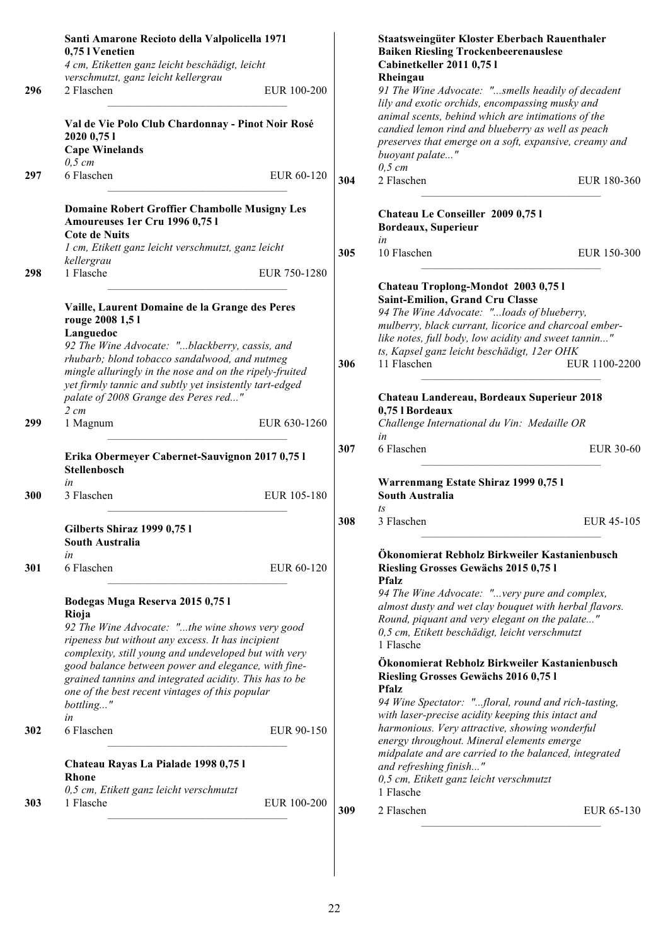| 296<br>297 | Santi Amarone Recioto della Valpolicella 1971<br>0,75 l Venetien<br>4 cm, Etiketten ganz leicht beschädigt, leicht<br>verschmutzt, ganz leicht kellergrau<br>2 Flaschen<br>EUR 100-200<br>Val de Vie Polo Club Chardonnay - Pinot Noir Rosé<br>2020 0,75 1<br><b>Cape Winelands</b><br>$0,5$ cm<br>6 Flaschen<br>EUR 60-120                                                                       | 304 | Staatsweingüter Kloster Eberbach Rauenthaler<br><b>Baiken Riesling Trockenbeerenauslese</b><br>Cabinetkeller 2011 0,75 l<br>Rheingau<br>91 The Wine Advocate: "smells headily of decadent<br>lily and exotic orchids, encompassing musky and<br>animal scents, behind which are intimations of the<br>candied lemon rind and blueberry as well as peach<br>preserves that emerge on a soft, expansive, creamy and<br>buoyant palate"<br>$0,5$ cm<br>2 Flaschen | EUR 180-360      |
|------------|---------------------------------------------------------------------------------------------------------------------------------------------------------------------------------------------------------------------------------------------------------------------------------------------------------------------------------------------------------------------------------------------------|-----|----------------------------------------------------------------------------------------------------------------------------------------------------------------------------------------------------------------------------------------------------------------------------------------------------------------------------------------------------------------------------------------------------------------------------------------------------------------|------------------|
|            |                                                                                                                                                                                                                                                                                                                                                                                                   |     |                                                                                                                                                                                                                                                                                                                                                                                                                                                                |                  |
|            | <b>Domaine Robert Groffier Chambolle Musigny Les</b><br>Amoureuses 1er Cru 1996 0,75 l<br><b>Cote de Nuits</b><br>1 cm, Etikett ganz leicht verschmutzt, ganz leicht                                                                                                                                                                                                                              | 305 | Chateau Le Conseiller 2009 0,75 l<br>Bordeaux, Superieur<br>in<br>10 Flaschen                                                                                                                                                                                                                                                                                                                                                                                  | EUR 150-300      |
| 298        | kellergrau<br>1 Flasche<br>EUR 750-1280                                                                                                                                                                                                                                                                                                                                                           |     |                                                                                                                                                                                                                                                                                                                                                                                                                                                                |                  |
| 299        | Vaille, Laurent Domaine de la Grange des Peres<br>rouge 2008 1,5 l<br>Languedoc<br>92 The Wine Advocate: "blackberry, cassis, and<br>rhubarb; blond tobacco sandalwood, and nutmeg<br>mingle alluringly in the nose and on the ripely-fruited<br>yet firmly tannic and subtly yet insistently tart-edged<br>palate of 2008 Grange des Peres red"<br>$2 \, cm$<br>EUR 630-1260<br>1 Magnum         | 306 | Chateau Troplong-Mondot 2003 0,75 l<br><b>Saint-Emilion, Grand Cru Classe</b><br>94 The Wine Advocate: "loads of blueberry,<br>mulberry, black currant, licorice and charcoal ember-<br>like notes, full body, low acidity and sweet tannin"<br>ts, Kapsel ganz leicht beschädigt, 12er OHK<br>11 Flaschen<br>Chateau Landereau, Bordeaux Superieur 2018<br>0,75 l Bordeaux<br>Challenge International du Vin: Medaille OR                                     | EUR 1100-2200    |
|            | Erika Obermeyer Cabernet-Sauvignon 2017 0,75 l<br>Stellenbosch                                                                                                                                                                                                                                                                                                                                    | 307 | in<br>6 Flaschen                                                                                                                                                                                                                                                                                                                                                                                                                                               | <b>EUR 30-60</b> |
| 300        | in<br>3 Flaschen<br>EUR 105-180                                                                                                                                                                                                                                                                                                                                                                   |     | Warrenmang Estate Shiraz 1999 0,75 l<br><b>South Australia</b>                                                                                                                                                                                                                                                                                                                                                                                                 |                  |
|            |                                                                                                                                                                                                                                                                                                                                                                                                   |     | ts                                                                                                                                                                                                                                                                                                                                                                                                                                                             |                  |
|            | Gilberts Shiraz 1999 0,75 l<br><b>South Australia</b>                                                                                                                                                                                                                                                                                                                                             | 308 | 3 Flaschen                                                                                                                                                                                                                                                                                                                                                                                                                                                     | EUR 45-105       |
| 301        | in<br>6 Flaschen<br>EUR 60-120                                                                                                                                                                                                                                                                                                                                                                    |     | Ökonomierat Rebholz Birkweiler Kastanienbusch<br>Riesling Grosses Gewächs 2015 0,75 l                                                                                                                                                                                                                                                                                                                                                                          |                  |
|            | Bodegas Muga Reserva 2015 0,75 l<br>Rioja<br>92 The Wine Advocate: "the wine shows very good<br>ripeness but without any excess. It has incipient<br>complexity, still young and undeveloped but with very<br>good balance between power and elegance, with fine-<br>grained tannins and integrated acidity. This has to be<br>one of the best recent vintages of this popular<br>bottling"<br>in |     | <b>Pfalz</b><br>94 The Wine Advocate: "very pure and complex,<br>almost dusty and wet clay bouquet with herbal flavors.<br>Round, piquant and very elegant on the palate"<br>0,5 cm, Etikett beschädigt, leicht verschmutzt<br>1 Flasche<br>Ökonomierat Rebholz Birkweiler Kastanienbusch<br>Riesling Grosses Gewächs 2016 0,75 l<br><b>Pfalz</b><br>94 Wine Spectator: "floral, round and rich-tasting,<br>with laser-precise acidity keeping this intact and |                  |
| 302        | 6 Flaschen<br>EUR 90-150                                                                                                                                                                                                                                                                                                                                                                          |     | harmonious. Very attractive, showing wonderful<br>energy throughout. Mineral elements emerge<br>midpalate and are carried to the balanced, integrated                                                                                                                                                                                                                                                                                                          |                  |
|            | Chateau Rayas La Pialade 1998 0,75 l<br><b>Rhone</b><br>0,5 cm, Etikett ganz leicht verschmutzt                                                                                                                                                                                                                                                                                                   |     | and refreshing finish"<br>0,5 cm, Etikett ganz leicht verschmutzt<br>1 Flasche                                                                                                                                                                                                                                                                                                                                                                                 |                  |
| 303        | 1 Flasche<br>EUR 100-200                                                                                                                                                                                                                                                                                                                                                                          | 309 | 2 Flaschen                                                                                                                                                                                                                                                                                                                                                                                                                                                     | EUR 65-130       |
|            |                                                                                                                                                                                                                                                                                                                                                                                                   |     |                                                                                                                                                                                                                                                                                                                                                                                                                                                                |                  |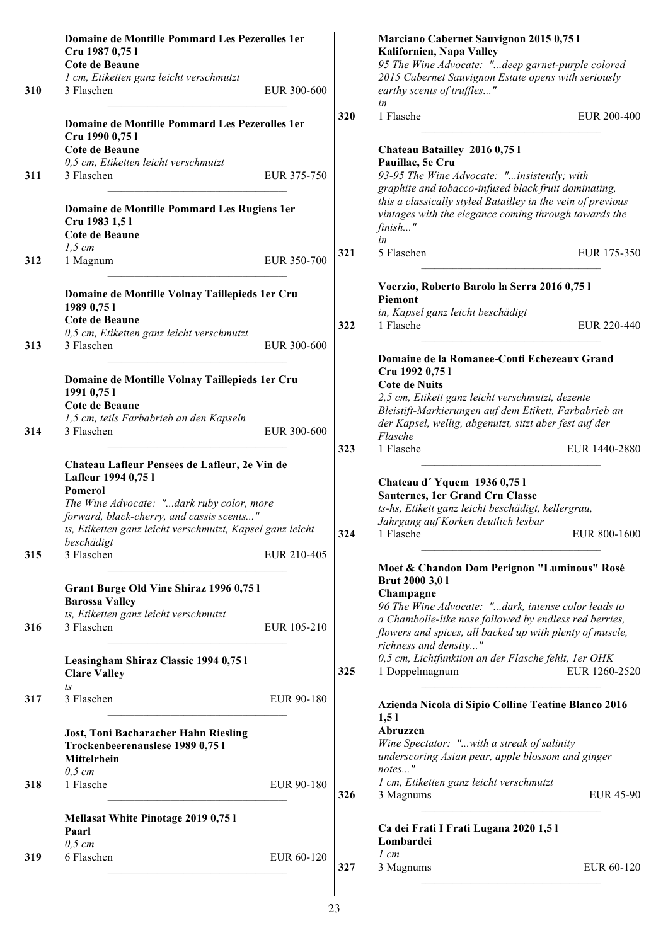|     | Domaine de Montille Pommard Les Pezerolles 1er<br>Cru 1987 0,75 l                                                                                                                                                                      |             |            | Marciano Cabernet Sauvignon 2015 0,75 l<br>Kalifornien, Napa Valley                                                                                                                                                   |
|-----|----------------------------------------------------------------------------------------------------------------------------------------------------------------------------------------------------------------------------------------|-------------|------------|-----------------------------------------------------------------------------------------------------------------------------------------------------------------------------------------------------------------------|
|     | Cote de Beaune                                                                                                                                                                                                                         |             |            | 95 The Wine Advocate: "deep garnet-purple colored                                                                                                                                                                     |
| 310 | 1 cm, Etiketten ganz leicht verschmutzt<br>3 Flaschen                                                                                                                                                                                  | EUR 300-600 |            | 2015 Cabernet Sauvignon Estate opens with seriously<br>earthy scents of truffles"<br>in                                                                                                                               |
|     | Domaine de Montille Pommard Les Pezerolles 1er<br>Cru 1990 0,75 l                                                                                                                                                                      |             | 320        | 1 Flasche<br>EUR 200-400                                                                                                                                                                                              |
|     | Cote de Beaune                                                                                                                                                                                                                         |             |            | Chateau Batailley 2016 0,75 l                                                                                                                                                                                         |
|     | 0,5 cm, Etiketten leicht verschmutzt                                                                                                                                                                                                   |             |            | Pauillac, 5e Cru                                                                                                                                                                                                      |
| 311 | 3 Flaschen                                                                                                                                                                                                                             | EUR 375-750 |            | 93-95 The Wine Advocate: "insistently; with<br>graphite and tobacco-infused black fruit dominating,<br>this a classically styled Batailley in the vein of previous                                                    |
|     | Domaine de Montille Pommard Les Rugiens 1er<br>Cru 1983 1,51<br>Cote de Beaune                                                                                                                                                         |             |            | vintages with the elegance coming through towards the<br>finish"                                                                                                                                                      |
|     | $1,5$ cm                                                                                                                                                                                                                               |             |            | in                                                                                                                                                                                                                    |
| 312 | 1 Magnum                                                                                                                                                                                                                               | EUR 350-700 | 321        | 5 Flaschen<br>EUR 175-350                                                                                                                                                                                             |
|     | Domaine de Montille Volnay Taillepieds 1er Cru<br>1989 0,75 1                                                                                                                                                                          |             |            | Voerzio, Roberto Barolo la Serra 2016 0,75 l<br><b>Piemont</b>                                                                                                                                                        |
|     | Cote de Beaune                                                                                                                                                                                                                         |             | 322        | in, Kapsel ganz leicht beschädigt<br>1 Flasche<br>EUR 220-440                                                                                                                                                         |
|     | 0,5 cm, Etiketten ganz leicht verschmutzt                                                                                                                                                                                              |             |            |                                                                                                                                                                                                                       |
| 313 | 3 Flaschen                                                                                                                                                                                                                             | EUR 300-600 |            | Domaine de la Romanee-Conti Echezeaux Grand                                                                                                                                                                           |
|     | Domaine de Montille Volnay Taillepieds 1er Cru                                                                                                                                                                                         |             |            | Cru 1992 0,75 l                                                                                                                                                                                                       |
|     | 1991 0,75 1                                                                                                                                                                                                                            |             |            | <b>Cote de Nuits</b><br>2,5 cm, Etikett ganz leicht verschmutzt, dezente                                                                                                                                              |
|     | Cote de Beaune                                                                                                                                                                                                                         |             |            | Bleistift-Markierungen auf dem Etikett, Farbabrieb an                                                                                                                                                                 |
|     | 1,5 cm, teils Farbabrieb an den Kapseln                                                                                                                                                                                                |             |            | der Kapsel, wellig, abgenutzt, sitzt aber fest auf der                                                                                                                                                                |
| 314 | 3 Flaschen                                                                                                                                                                                                                             | EUR 300-600 |            | Flasche                                                                                                                                                                                                               |
|     | Chateau Lafleur Pensees de Lafleur, 2e Vin de<br>Lafleur 1994 0,75 l<br>Pomerol<br>The Wine Advocate: "dark ruby color, more<br>forward, black-cherry, and cassis scents"<br>ts, Etiketten ganz leicht verschmutzt, Kapsel ganz leicht |             | 323<br>324 | 1 Flasche<br>EUR 1440-2880<br>Chateau d'Yquem 1936 0,751<br>Sauternes, 1er Grand Cru Classe<br>ts-hs, Etikett ganz leicht beschädigt, kellergrau,<br>Jahrgang auf Korken deutlich lesbar<br>EUR 800-1600<br>1 Flasche |
|     | beschädigt                                                                                                                                                                                                                             |             |            |                                                                                                                                                                                                                       |
| 315 | 3 Flaschen                                                                                                                                                                                                                             | EUR 210-405 |            |                                                                                                                                                                                                                       |
|     | Grant Burge Old Vine Shiraz 1996 0,75 l<br><b>Barossa Valley</b><br>ts, Etiketten ganz leicht verschmutzt                                                                                                                              |             |            | Moet & Chandon Dom Perignon "Luminous" Rosé<br>Brut 2000 3,01<br>Champagne<br>96 The Wine Advocate: "dark, intense color leads to<br>a Chambolle-like nose followed by endless red berries,                           |
| 316 | 3 Flaschen                                                                                                                                                                                                                             | EUR 105-210 |            | flowers and spices, all backed up with plenty of muscle,<br>richness and density"                                                                                                                                     |
|     | Leasingham Shiraz Classic 1994 0,75 l<br><b>Clare Valley</b><br>$t_{\rm S}$                                                                                                                                                            |             | 325        | 0,5 cm, Lichtfunktion an der Flasche fehlt, 1er OHK<br>1 Doppelmagnum<br>EUR 1260-2520                                                                                                                                |
| 317 | 3 Flaschen                                                                                                                                                                                                                             | EUR 90-180  |            | Azienda Nicola di Sipio Colline Teatine Blanco 2016<br>1,51                                                                                                                                                           |
|     | <b>Jost, Toni Bacharacher Hahn Riesling</b><br>Trockenbeerenauslese 1989 0,75 l<br>Mittelrhein                                                                                                                                         |             |            | Abruzzen<br>Wine Spectator: "with a streak of salinity<br>underscoring Asian pear, apple blossom and ginger                                                                                                           |
|     | $0,5$ cm                                                                                                                                                                                                                               |             |            | $notes$ "<br>1 cm, Etiketten ganz leicht verschmutzt                                                                                                                                                                  |
| 318 | 1 Flasche                                                                                                                                                                                                                              | EUR 90-180  | 326        | 3 Magnums<br><b>EUR 45-90</b>                                                                                                                                                                                         |
|     | Mellasat White Pinotage 2019 0,75 l<br>Paarl<br>$0,5$ cm                                                                                                                                                                               |             |            | Ca dei Frati I Frati Lugana 2020 1,51<br>Lombardei                                                                                                                                                                    |
| 319 | 6 Flaschen                                                                                                                                                                                                                             | EUR 60-120  |            | $1 \, cm$                                                                                                                                                                                                             |
|     |                                                                                                                                                                                                                                        |             | 327        | EUR 60-120<br>3 Magnums                                                                                                                                                                                               |
|     |                                                                                                                                                                                                                                        |             |            |                                                                                                                                                                                                                       |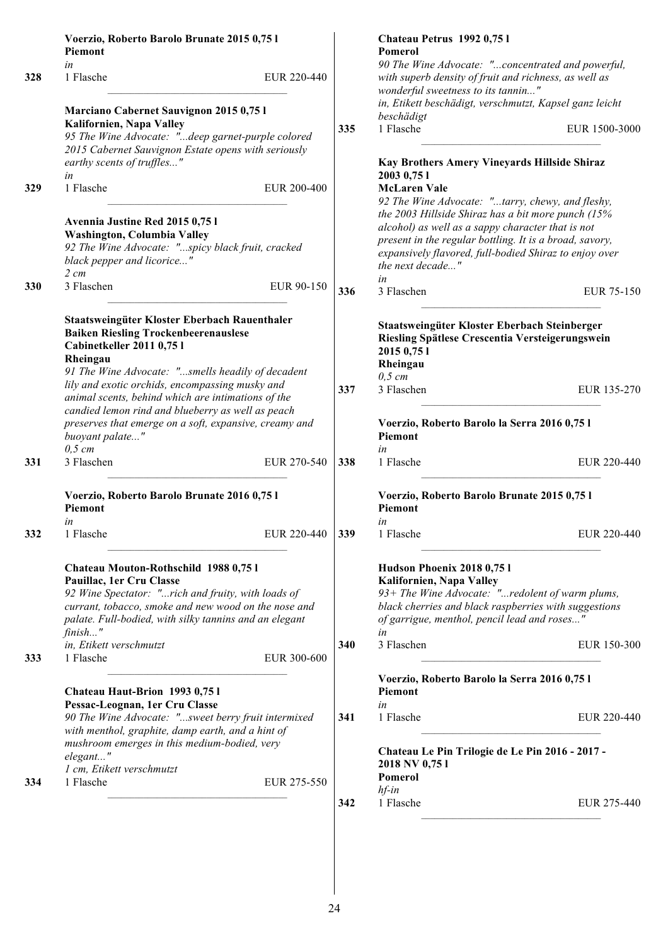|     | Voerzio, Roberto Barolo Brunate 2015 0,75 l<br>Piemont                                                                                                                                                                                   |     | Chateau Petrus 1992 0,751<br>Pomerol                                                                                                                                                                                                                   |
|-----|------------------------------------------------------------------------------------------------------------------------------------------------------------------------------------------------------------------------------------------|-----|--------------------------------------------------------------------------------------------------------------------------------------------------------------------------------------------------------------------------------------------------------|
| 328 | in<br>1 Flasche<br>EUR 220-440                                                                                                                                                                                                           |     | 90 The Wine Advocate: "concentrated and powerful,<br>with superb density of fruit and richness, as well as                                                                                                                                             |
|     | Marciano Cabernet Sauvignon 2015 0,75 l                                                                                                                                                                                                  |     | wonderful sweetness to its tannin"<br>in, Etikett beschädigt, verschmutzt, Kapsel ganz leicht                                                                                                                                                          |
|     | Kalifornien, Napa Valley<br>95 The Wine Advocate: "deep garnet-purple colored<br>2015 Cabernet Sauvignon Estate opens with seriously                                                                                                     | 335 | beschädigt<br>1 Flasche<br>EUR 1500-3000                                                                                                                                                                                                               |
|     | earthy scents of truffles"<br>in                                                                                                                                                                                                         |     | Kay Brothers Amery Vineyards Hillside Shiraz<br>2003 0,75 1                                                                                                                                                                                            |
| 329 | 1 Flasche<br>EUR 200-400                                                                                                                                                                                                                 |     | <b>McLaren Vale</b><br>92 The Wine Advocate: "tarry, chewy, and fleshy,                                                                                                                                                                                |
|     | Avennia Justine Red 2015 0,75 l<br>Washington, Columbia Valley<br>92 The Wine Advocate: "spicy black fruit, cracked<br>black pepper and licorice"<br>$2 \, cm$                                                                           |     | the 2003 Hillside Shiraz has a bit more punch (15%<br>alcohol) as well as a sappy character that is not<br>present in the regular bottling. It is a broad, savory,<br>expansively flavored, full-bodied Shiraz to enjoy over<br>the next decade"<br>in |
| 330 | 3 Flaschen<br>EUR 90-150                                                                                                                                                                                                                 | 336 | 3 Flaschen<br>EUR 75-150                                                                                                                                                                                                                               |
|     | Staatsweingüter Kloster Eberbach Rauenthaler<br><b>Baiken Riesling Trockenbeerenauslese</b><br>Cabinetkeller 2011 0,75 l<br>Rheingau<br>91 The Wine Advocate: "smells headily of decadent                                                |     | Staatsweingüter Kloster Eberbach Steinberger<br>Riesling Spätlese Crescentia Versteigerungswein<br>2015 0,75 1<br>Rheingau                                                                                                                             |
|     | lily and exotic orchids, encompassing musky and<br>animal scents, behind which are intimations of the<br>candied lemon rind and blueberry as well as peach                                                                               | 337 | $0,5$ cm<br>3 Flaschen<br>EUR 135-270                                                                                                                                                                                                                  |
|     | preserves that emerge on a soft, expansive, creamy and<br>buoyant palate"<br>$0,5$ cm                                                                                                                                                    |     | Voerzio, Roberto Barolo la Serra 2016 0,75 l<br><b>Piemont</b><br>in                                                                                                                                                                                   |
| 331 | 3 Flaschen<br>EUR 270-540                                                                                                                                                                                                                | 338 | 1 Flasche<br>EUR 220-440                                                                                                                                                                                                                               |
|     | Voerzio, Roberto Barolo Brunate 2016 0,75 l<br>Piemont                                                                                                                                                                                   |     | Voerzio, Roberto Barolo Brunate 2015 0,75 l<br>Piemont                                                                                                                                                                                                 |
| 332 | in<br>1 Flasche<br>EUR 220-440                                                                                                                                                                                                           | 339 | in<br>1 Flasche<br>EUR 220-440                                                                                                                                                                                                                         |
|     | Chateau Mouton-Rothschild 1988 0,751<br>Pauillac, 1er Cru Classe<br>92 Wine Spectator: "rich and fruity, with loads of<br>currant, tobacco, smoke and new wood on the nose and<br>palate. Full-bodied, with silky tannins and an elegant |     | Hudson Phoenix 2018 0,751<br>Kalifornien, Napa Valley<br>93+ The Wine Advocate: "redolent of warm plums,<br>black cherries and black raspberries with suggestions<br>of garrigue, menthol, pencil lead and roses"                                      |
| 333 | $finish$ "<br>in, Etikett verschmutzt<br>1 Flasche<br>EUR 300-600                                                                                                                                                                        | 340 | in<br>3 Flaschen<br>EUR 150-300                                                                                                                                                                                                                        |
|     | Chateau Haut-Brion 1993 0,75 l<br>Pessac-Leognan, 1er Cru Classe                                                                                                                                                                         |     | Voerzio, Roberto Barolo la Serra 2016 0,75 l<br>Piemont<br>in                                                                                                                                                                                          |
|     | 90 The Wine Advocate: "sweet berry fruit intermixed<br>with menthol, graphite, damp earth, and a hint of                                                                                                                                 | 341 | 1 Flasche<br>EUR 220-440                                                                                                                                                                                                                               |
| 334 | mushroom emerges in this medium-bodied, very<br>elegant"<br>1 cm, Etikett verschmutzt<br>1 Flasche<br>EUR 275-550                                                                                                                        |     | Chateau Le Pin Trilogie de Le Pin 2016 - 2017 -<br>2018 NV 0,751<br>Pomerol                                                                                                                                                                            |
|     |                                                                                                                                                                                                                                          | 342 | $hf$ -in<br>1 Flasche<br>EUR 275-440                                                                                                                                                                                                                   |
|     |                                                                                                                                                                                                                                          |     |                                                                                                                                                                                                                                                        |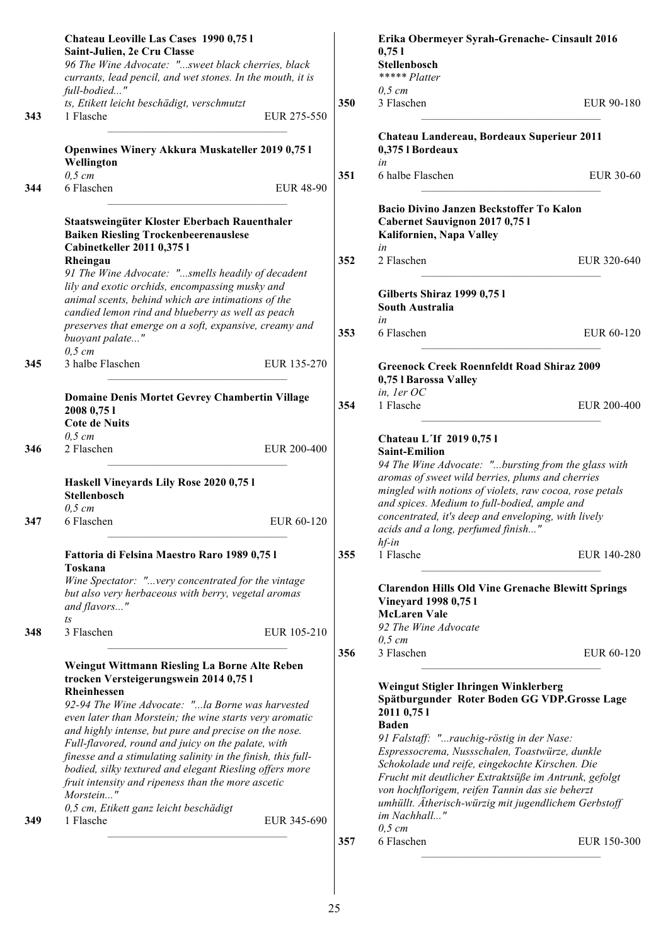| 96 The Wine Advocate: "sweet black cherries, black<br>currants, lead pencil, and wet stones. In the mouth, it is<br>full-bodied" |                                                                                                                                         |                                                                                                                                                                                                                                                                                                                                                                                                                                                                                                                                                                                                                                                                                                                                                                                                                                                                                                                                                                                                                                        | <b>Stellenbosch</b>                                                                                          |                                                                                                                                                                                                                                                                                                                                                                                                                                                                                                         |
|----------------------------------------------------------------------------------------------------------------------------------|-----------------------------------------------------------------------------------------------------------------------------------------|----------------------------------------------------------------------------------------------------------------------------------------------------------------------------------------------------------------------------------------------------------------------------------------------------------------------------------------------------------------------------------------------------------------------------------------------------------------------------------------------------------------------------------------------------------------------------------------------------------------------------------------------------------------------------------------------------------------------------------------------------------------------------------------------------------------------------------------------------------------------------------------------------------------------------------------------------------------------------------------------------------------------------------------|--------------------------------------------------------------------------------------------------------------|---------------------------------------------------------------------------------------------------------------------------------------------------------------------------------------------------------------------------------------------------------------------------------------------------------------------------------------------------------------------------------------------------------------------------------------------------------------------------------------------------------|
|                                                                                                                                  |                                                                                                                                         |                                                                                                                                                                                                                                                                                                                                                                                                                                                                                                                                                                                                                                                                                                                                                                                                                                                                                                                                                                                                                                        | ***** Platter                                                                                                |                                                                                                                                                                                                                                                                                                                                                                                                                                                                                                         |
|                                                                                                                                  |                                                                                                                                         |                                                                                                                                                                                                                                                                                                                                                                                                                                                                                                                                                                                                                                                                                                                                                                                                                                                                                                                                                                                                                                        | $0,5$ cm                                                                                                     |                                                                                                                                                                                                                                                                                                                                                                                                                                                                                                         |
| ts, Etikett leicht beschädigt, verschmutzt<br>1 Flasche                                                                          | EUR 275-550                                                                                                                             | 350                                                                                                                                                                                                                                                                                                                                                                                                                                                                                                                                                                                                                                                                                                                                                                                                                                                                                                                                                                                                                                    | 3 Flaschen                                                                                                   | EUR 90-180                                                                                                                                                                                                                                                                                                                                                                                                                                                                                              |
| Openwines Winery Akkura Muskateller 2019 0,75 l                                                                                  |                                                                                                                                         |                                                                                                                                                                                                                                                                                                                                                                                                                                                                                                                                                                                                                                                                                                                                                                                                                                                                                                                                                                                                                                        | Chateau Landereau, Bordeaux Superieur 2011<br>0,375 l Bordeaux                                               |                                                                                                                                                                                                                                                                                                                                                                                                                                                                                                         |
| Wellington                                                                                                                       |                                                                                                                                         | 351                                                                                                                                                                                                                                                                                                                                                                                                                                                                                                                                                                                                                                                                                                                                                                                                                                                                                                                                                                                                                                    | in<br>6 halbe Flaschen                                                                                       | EUR 30-60                                                                                                                                                                                                                                                                                                                                                                                                                                                                                               |
| $0,5$ cm<br>6 Flaschen                                                                                                           | <b>EUR 48-90</b>                                                                                                                        |                                                                                                                                                                                                                                                                                                                                                                                                                                                                                                                                                                                                                                                                                                                                                                                                                                                                                                                                                                                                                                        |                                                                                                              |                                                                                                                                                                                                                                                                                                                                                                                                                                                                                                         |
| <b>Baiken Riesling Trockenbeerenauslese</b><br>Cabinetkeller 2011 0,375 l                                                        |                                                                                                                                         |                                                                                                                                                                                                                                                                                                                                                                                                                                                                                                                                                                                                                                                                                                                                                                                                                                                                                                                                                                                                                                        | Bacio Divino Janzen Beckstoffer To Kalon<br>Cabernet Sauvignon 2017 0,75 l<br>Kalifornien, Napa Valley<br>in |                                                                                                                                                                                                                                                                                                                                                                                                                                                                                                         |
|                                                                                                                                  |                                                                                                                                         |                                                                                                                                                                                                                                                                                                                                                                                                                                                                                                                                                                                                                                                                                                                                                                                                                                                                                                                                                                                                                                        |                                                                                                              | EUR 320-640                                                                                                                                                                                                                                                                                                                                                                                                                                                                                             |
|                                                                                                                                  |                                                                                                                                         |                                                                                                                                                                                                                                                                                                                                                                                                                                                                                                                                                                                                                                                                                                                                                                                                                                                                                                                                                                                                                                        | Gilberts Shiraz 1999 0,75 l<br><b>South Australia</b><br>in                                                  |                                                                                                                                                                                                                                                                                                                                                                                                                                                                                                         |
| buoyant palate"                                                                                                                  |                                                                                                                                         | 353                                                                                                                                                                                                                                                                                                                                                                                                                                                                                                                                                                                                                                                                                                                                                                                                                                                                                                                                                                                                                                    | 6 Flaschen                                                                                                   | EUR 60-120                                                                                                                                                                                                                                                                                                                                                                                                                                                                                              |
| 3 halbe Flaschen                                                                                                                 | EUR 135-270                                                                                                                             |                                                                                                                                                                                                                                                                                                                                                                                                                                                                                                                                                                                                                                                                                                                                                                                                                                                                                                                                                                                                                                        | <b>Greenock Creek Roennfeldt Road Shiraz 2009</b><br>0,75 l Barossa Valley                                   |                                                                                                                                                                                                                                                                                                                                                                                                                                                                                                         |
| 2008 0,75 1                                                                                                                      |                                                                                                                                         | 354                                                                                                                                                                                                                                                                                                                                                                                                                                                                                                                                                                                                                                                                                                                                                                                                                                                                                                                                                                                                                                    | 1 Flasche                                                                                                    | EUR 200-400                                                                                                                                                                                                                                                                                                                                                                                                                                                                                             |
|                                                                                                                                  |                                                                                                                                         |                                                                                                                                                                                                                                                                                                                                                                                                                                                                                                                                                                                                                                                                                                                                                                                                                                                                                                                                                                                                                                        |                                                                                                              |                                                                                                                                                                                                                                                                                                                                                                                                                                                                                                         |
| 2 Flaschen                                                                                                                       | EUR 200-400                                                                                                                             |                                                                                                                                                                                                                                                                                                                                                                                                                                                                                                                                                                                                                                                                                                                                                                                                                                                                                                                                                                                                                                        |                                                                                                              |                                                                                                                                                                                                                                                                                                                                                                                                                                                                                                         |
| Haskell Vineyards Lily Rose 2020 0,75 l                                                                                          |                                                                                                                                         |                                                                                                                                                                                                                                                                                                                                                                                                                                                                                                                                                                                                                                                                                                                                                                                                                                                                                                                                                                                                                                        | 94 The Wine Advocate: "bursting from the glass with<br>aromas of sweet wild berries, plums and cherries      |                                                                                                                                                                                                                                                                                                                                                                                                                                                                                                         |
|                                                                                                                                  |                                                                                                                                         |                                                                                                                                                                                                                                                                                                                                                                                                                                                                                                                                                                                                                                                                                                                                                                                                                                                                                                                                                                                                                                        | and spices. Medium to full-bodied, ample and                                                                 |                                                                                                                                                                                                                                                                                                                                                                                                                                                                                                         |
| 6 Flaschen                                                                                                                       | EUR 60-120                                                                                                                              |                                                                                                                                                                                                                                                                                                                                                                                                                                                                                                                                                                                                                                                                                                                                                                                                                                                                                                                                                                                                                                        | concentrated, it's deep and enveloping, with lively<br>acids and a long, perfumed finish"                    |                                                                                                                                                                                                                                                                                                                                                                                                                                                                                                         |
|                                                                                                                                  |                                                                                                                                         | 355                                                                                                                                                                                                                                                                                                                                                                                                                                                                                                                                                                                                                                                                                                                                                                                                                                                                                                                                                                                                                                    | 1 Flasche                                                                                                    | EUR 140-280                                                                                                                                                                                                                                                                                                                                                                                                                                                                                             |
| and flavors"                                                                                                                     |                                                                                                                                         |                                                                                                                                                                                                                                                                                                                                                                                                                                                                                                                                                                                                                                                                                                                                                                                                                                                                                                                                                                                                                                        | <b>Clarendon Hills Old Vine Grenache Blewitt Springs</b><br>Vineyard 1998 0,75 l                             |                                                                                                                                                                                                                                                                                                                                                                                                                                                                                                         |
| $\sqrt{t}S$                                                                                                                      |                                                                                                                                         |                                                                                                                                                                                                                                                                                                                                                                                                                                                                                                                                                                                                                                                                                                                                                                                                                                                                                                                                                                                                                                        |                                                                                                              |                                                                                                                                                                                                                                                                                                                                                                                                                                                                                                         |
|                                                                                                                                  |                                                                                                                                         |                                                                                                                                                                                                                                                                                                                                                                                                                                                                                                                                                                                                                                                                                                                                                                                                                                                                                                                                                                                                                                        |                                                                                                              |                                                                                                                                                                                                                                                                                                                                                                                                                                                                                                         |
|                                                                                                                                  |                                                                                                                                         | 356                                                                                                                                                                                                                                                                                                                                                                                                                                                                                                                                                                                                                                                                                                                                                                                                                                                                                                                                                                                                                                    | 3 Flaschen                                                                                                   | EUR 60-120                                                                                                                                                                                                                                                                                                                                                                                                                                                                                              |
| trocken Versteigerungswein 2014 0,75 l<br>Rheinhessen                                                                            |                                                                                                                                         |                                                                                                                                                                                                                                                                                                                                                                                                                                                                                                                                                                                                                                                                                                                                                                                                                                                                                                                                                                                                                                        | Weingut Stigler Ihringen Winklerberg                                                                         |                                                                                                                                                                                                                                                                                                                                                                                                                                                                                                         |
|                                                                                                                                  |                                                                                                                                         |                                                                                                                                                                                                                                                                                                                                                                                                                                                                                                                                                                                                                                                                                                                                                                                                                                                                                                                                                                                                                                        | 2011 0,75 1                                                                                                  |                                                                                                                                                                                                                                                                                                                                                                                                                                                                                                         |
|                                                                                                                                  |                                                                                                                                         |                                                                                                                                                                                                                                                                                                                                                                                                                                                                                                                                                                                                                                                                                                                                                                                                                                                                                                                                                                                                                                        |                                                                                                              |                                                                                                                                                                                                                                                                                                                                                                                                                                                                                                         |
|                                                                                                                                  |                                                                                                                                         |                                                                                                                                                                                                                                                                                                                                                                                                                                                                                                                                                                                                                                                                                                                                                                                                                                                                                                                                                                                                                                        |                                                                                                              |                                                                                                                                                                                                                                                                                                                                                                                                                                                                                                         |
|                                                                                                                                  |                                                                                                                                         |                                                                                                                                                                                                                                                                                                                                                                                                                                                                                                                                                                                                                                                                                                                                                                                                                                                                                                                                                                                                                                        |                                                                                                              |                                                                                                                                                                                                                                                                                                                                                                                                                                                                                                         |
|                                                                                                                                  |                                                                                                                                         |                                                                                                                                                                                                                                                                                                                                                                                                                                                                                                                                                                                                                                                                                                                                                                                                                                                                                                                                                                                                                                        | Frucht mit deutlicher Extraktsüße im Antrunk, gefolgt                                                        |                                                                                                                                                                                                                                                                                                                                                                                                                                                                                                         |
| 0,5 cm, Etikett ganz leicht beschädigt                                                                                           |                                                                                                                                         |                                                                                                                                                                                                                                                                                                                                                                                                                                                                                                                                                                                                                                                                                                                                                                                                                                                                                                                                                                                                                                        | umhüllt. Ätherisch-würzig mit jugendlichem Gerbstoff                                                         |                                                                                                                                                                                                                                                                                                                                                                                                                                                                                                         |
|                                                                                                                                  |                                                                                                                                         |                                                                                                                                                                                                                                                                                                                                                                                                                                                                                                                                                                                                                                                                                                                                                                                                                                                                                                                                                                                                                                        | $0,5$ cm                                                                                                     |                                                                                                                                                                                                                                                                                                                                                                                                                                                                                                         |
|                                                                                                                                  |                                                                                                                                         | 357                                                                                                                                                                                                                                                                                                                                                                                                                                                                                                                                                                                                                                                                                                                                                                                                                                                                                                                                                                                                                                    | 6 Flaschen                                                                                                   | EUR 150-300                                                                                                                                                                                                                                                                                                                                                                                                                                                                                             |
|                                                                                                                                  | Rheingau<br>$0,5$ cm<br><b>Cote de Nuits</b><br>$0,5$ cm<br>Stellenbosch<br>$0,5$ cm<br>Toskana<br>3 Flaschen<br>Morstein"<br>1 Flasche | Staatsweingüter Kloster Eberbach Rauenthaler<br>91 The Wine Advocate: "smells headily of decadent<br>lily and exotic orchids, encompassing musky and<br>animal scents, behind which are intimations of the<br>candied lemon rind and blueberry as well as peach<br>preserves that emerge on a soft, expansive, creamy and<br>Domaine Denis Mortet Gevrey Chambertin Village<br>Fattoria di Felsina Maestro Raro 1989 0,75 l<br>Wine Spectator: "very concentrated for the vintage<br>but also very herbaceous with berry, vegetal aromas<br>EUR 105-210<br>Weingut Wittmann Riesling La Borne Alte Reben<br>92-94 The Wine Advocate: "la Borne was harvested<br>even later than Morstein; the wine starts very aromatic<br>and highly intense, but pure and precise on the nose.<br>Full-flavored, round and juicy on the palate, with<br>finesse and a stimulating salinity in the finish, this full-<br>bodied, silky textured and elegant Riesling offers more<br>fruit intensity and ripeness than the more ascetic<br>EUR 345-690 | 352                                                                                                          | 2 Flaschen<br>$in,$ ler $OC$<br>Chateau L'If 2019 0,75 l<br><b>Saint-Emilion</b><br>mingled with notions of violets, raw cocoa, rose petals<br>$hf$ -in<br><b>McLaren Vale</b><br>92 The Wine Advocate<br>$0,5$ cm<br>Spätburgunder Roter Boden GG VDP.Grosse Lage<br><b>Baden</b><br>91 Falstaff: "rauchig-röstig in der Nase:<br>Espressocrema, Nussschalen, Toastwürze, dunkle<br>Schokolade und reife, eingekochte Kirschen. Die<br>von hochflorigem, reifen Tannin das sie beherzt<br>im Nachhall" |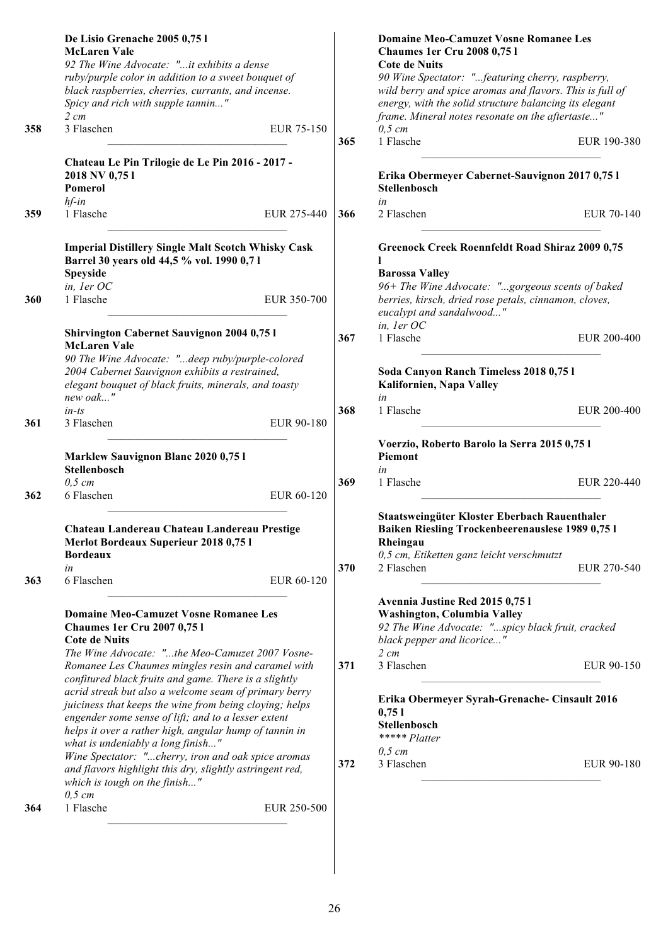|     | De Lisio Grenache 2005 0,75 l<br><b>McLaren Vale</b>                                                                                                         |     | <b>Domaine Meo-Camuzet Vosne Romanee Les</b><br><b>Chaumes 1er Cru 2008 0,751</b>                                                                              |             |
|-----|--------------------------------------------------------------------------------------------------------------------------------------------------------------|-----|----------------------------------------------------------------------------------------------------------------------------------------------------------------|-------------|
|     | 92 The Wine Advocate: "it exhibits a dense                                                                                                                   |     | <b>Cote de Nuits</b>                                                                                                                                           |             |
|     | ruby/purple color in addition to a sweet bouquet of                                                                                                          |     | 90 Wine Spectator: "featuring cherry, raspberry,                                                                                                               |             |
|     | black raspberries, cherries, currants, and incense.                                                                                                          |     | wild berry and spice aromas and flavors. This is full of                                                                                                       |             |
|     | Spicy and rich with supple tannin"                                                                                                                           |     | energy, with the solid structure balancing its elegant                                                                                                         |             |
|     | $2 \, cm$                                                                                                                                                    |     | frame. Mineral notes resonate on the aftertaste"                                                                                                               |             |
| 358 | 3 Flaschen<br>EUR 75-150                                                                                                                                     |     | $0,5 \, cm$                                                                                                                                                    |             |
|     |                                                                                                                                                              | 365 | 1 Flasche                                                                                                                                                      | EUR 190-380 |
|     | Chateau Le Pin Trilogie de Le Pin 2016 - 2017 -                                                                                                              |     |                                                                                                                                                                |             |
|     | 2018 NV 0,751                                                                                                                                                |     | Erika Obermeyer Cabernet-Sauvignon 2017 0,75 l                                                                                                                 |             |
|     | Pomerol                                                                                                                                                      |     | <b>Stellenbosch</b>                                                                                                                                            |             |
|     | $hf$ -in                                                                                                                                                     |     | in                                                                                                                                                             |             |
| 359 | 1 Flasche<br>EUR 275-440                                                                                                                                     | 366 | 2 Flaschen                                                                                                                                                     | EUR 70-140  |
|     | <b>Imperial Distillery Single Malt Scotch Whisky Cask</b><br>Barrel 30 years old 44,5 % vol. 1990 0,71                                                       |     | <b>Greenock Creek Roennfeldt Road Shiraz 2009 0,75</b>                                                                                                         |             |
|     | Speyside                                                                                                                                                     |     | <b>Barossa Valley</b>                                                                                                                                          |             |
|     | in, ler OC                                                                                                                                                   |     | 96+ The Wine Advocate: "gorgeous scents of baked                                                                                                               |             |
| 360 | 1 Flasche<br>EUR 350-700                                                                                                                                     |     | berries, kirsch, dried rose petals, cinnamon, cloves,<br>eucalypt and sandalwood"                                                                              |             |
|     | <b>Shirvington Cabernet Sauvignon 2004 0,75 l</b>                                                                                                            |     | in, ler OC                                                                                                                                                     |             |
|     | <b>McLaren Vale</b>                                                                                                                                          | 367 | 1 Flasche                                                                                                                                                      | EUR 200-400 |
|     | 90 The Wine Advocate: "deep ruby/purple-colored                                                                                                              |     |                                                                                                                                                                |             |
|     | 2004 Cabernet Sauvignon exhibits a restrained,                                                                                                               |     | Soda Canyon Ranch Timeless 2018 0,75 l                                                                                                                         |             |
|     | elegant bouquet of black fruits, minerals, and toasty                                                                                                        |     | Kalifornien, Napa Valley                                                                                                                                       |             |
|     | new oak"                                                                                                                                                     |     | in                                                                                                                                                             |             |
|     | $in-ts$                                                                                                                                                      | 368 | 1 Flasche                                                                                                                                                      | EUR 200-400 |
| 361 | 3 Flaschen<br>EUR 90-180                                                                                                                                     |     |                                                                                                                                                                |             |
|     | <b>Marklew Sauvignon Blanc 2020 0,751</b>                                                                                                                    |     | Voerzio, Roberto Barolo la Serra 2015 0,75 l<br><b>Piemont</b>                                                                                                 |             |
|     | Stellenbosch                                                                                                                                                 |     | in                                                                                                                                                             |             |
|     | $0,5$ cm                                                                                                                                                     | 369 | 1 Flasche                                                                                                                                                      | EUR 220-440 |
| 362 | 6 Flaschen<br>EUR 60-120                                                                                                                                     |     |                                                                                                                                                                |             |
|     | Chateau Landereau Chateau Landereau Prestige<br>Merlot Bordeaux Superieur 2018 0,75 l                                                                        |     | Staatsweingüter Kloster Eberbach Rauenthaler<br><b>Baiken Riesling Trockenbeerenauslese 1989 0,75 l</b><br>Rheingau                                            |             |
|     | <b>Bordeaux</b>                                                                                                                                              |     | 0,5 cm, Etiketten ganz leicht verschmutzt                                                                                                                      |             |
|     | in                                                                                                                                                           | 370 | 2 Flaschen                                                                                                                                                     | EUR 270-540 |
| 363 | 6 Flaschen<br>EUR 60-120                                                                                                                                     |     |                                                                                                                                                                |             |
|     | <b>Domaine Meo-Camuzet Vosne Romanee Les</b><br><b>Chaumes 1er Cru 2007 0,751</b><br><b>Cote de Nuits</b><br>The Wine Advocate: "the Meo-Camuzet 2007 Vosne- |     | Avennia Justine Red 2015 0,75 l<br>Washington, Columbia Valley<br>92 The Wine Advocate: "spicy black fruit, cracked<br>black pepper and licorice"<br>$2 \, cm$ |             |
|     | Romanee Les Chaumes mingles resin and caramel with                                                                                                           | 371 | 3 Flaschen                                                                                                                                                     | EUR 90-150  |
|     | confitured black fruits and game. There is a slightly                                                                                                        |     |                                                                                                                                                                |             |
|     | acrid streak but also a welcome seam of primary berry                                                                                                        |     |                                                                                                                                                                |             |
|     | juiciness that keeps the wine from being cloying; helps                                                                                                      |     | Erika Obermeyer Syrah-Grenache- Cinsault 2016                                                                                                                  |             |
|     | engender some sense of lift; and to a lesser extent                                                                                                          |     | 0,751                                                                                                                                                          |             |
|     | helps it over a rather high, angular hump of tannin in                                                                                                       |     | Stellenbosch<br>***** Platter                                                                                                                                  |             |
|     | what is undeniably a long finish"                                                                                                                            |     | $0,5$ cm                                                                                                                                                       |             |
|     | Wine Spectator: "cherry, iron and oak spice aromas                                                                                                           | 372 | 3 Flaschen                                                                                                                                                     | EUR 90-180  |
|     | and flavors highlight this dry, slightly astringent red,<br>which is tough on the finish"                                                                    |     |                                                                                                                                                                |             |
|     | $0,5$ cm                                                                                                                                                     |     |                                                                                                                                                                |             |
| 364 | 1 Flasche<br>EUR 250-500                                                                                                                                     |     |                                                                                                                                                                |             |
|     |                                                                                                                                                              |     |                                                                                                                                                                |             |
|     |                                                                                                                                                              |     |                                                                                                                                                                |             |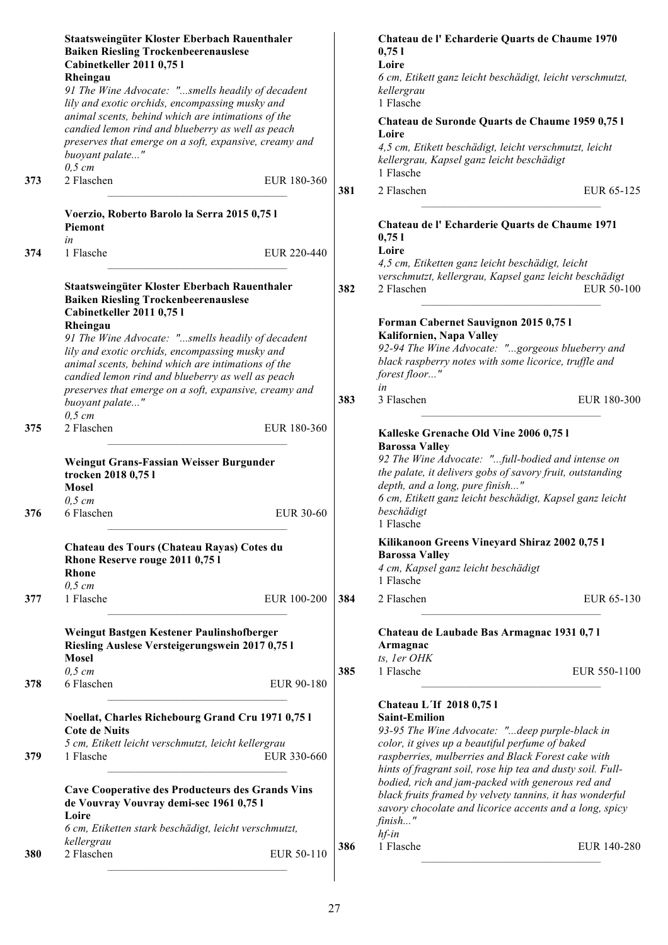|     | Staatsweingüter Kloster Eberbach Rauenthaler<br><b>Baiken Riesling Trockenbeerenauslese</b><br>Cabinetkeller 2011 0,75 l<br>Rheingau                                                                            |                    | Chateau de l'Echarderie Quarts de Chaume 1970<br>0,751<br>Loire<br>6 cm, Etikett ganz leicht beschädigt, leicht verschmutzt,                                                                                  |
|-----|-----------------------------------------------------------------------------------------------------------------------------------------------------------------------------------------------------------------|--------------------|---------------------------------------------------------------------------------------------------------------------------------------------------------------------------------------------------------------|
|     | 91 The Wine Advocate: "smells headily of decadent<br>lily and exotic orchids, encompassing musky and                                                                                                            |                    | kellergrau<br>1 Flasche                                                                                                                                                                                       |
|     | animal scents, behind which are intimations of the<br>candied lemon rind and blueberry as well as peach<br>preserves that emerge on a soft, expansive, creamy and                                               |                    | Chateau de Suronde Quarts de Chaume 1959 0,75 l<br>Loire                                                                                                                                                      |
|     | buoyant palate"<br>$0,5$ cm                                                                                                                                                                                     |                    | 4,5 cm, Etikett beschädigt, leicht verschmutzt, leicht<br>kellergrau, Kapsel ganz leicht beschädigt<br>1 Flasche                                                                                              |
| 373 | 2 Flaschen                                                                                                                                                                                                      | EUR 180-360<br>381 | 2 Flaschen<br>EUR 65-125                                                                                                                                                                                      |
|     | Voerzio, Roberto Barolo la Serra 2015 0,75 l<br>Piemont                                                                                                                                                         |                    | Chateau de l'Echarderie Quarts de Chaume 1971<br>0,751                                                                                                                                                        |
| 374 | in<br>1 Flasche                                                                                                                                                                                                 | EUR 220-440        | Loire<br>4,5 cm, Etiketten ganz leicht beschädigt, leicht                                                                                                                                                     |
|     | Staatsweingüter Kloster Eberbach Rauenthaler<br><b>Baiken Riesling Trockenbeerenauslese</b><br>Cabinetkeller 2011 0,75 l                                                                                        | 382                | verschmutzt, kellergrau, Kapsel ganz leicht beschädigt<br>2 Flaschen<br>EUR 50-100                                                                                                                            |
|     | Rheingau                                                                                                                                                                                                        |                    | Forman Cabernet Sauvignon 2015 0,75 l                                                                                                                                                                         |
|     | 91 The Wine Advocate: "smells headily of decadent<br>lily and exotic orchids, encompassing musky and<br>animal scents, behind which are intimations of the<br>candied lemon rind and blueberry as well as peach |                    | Kalifornien, Napa Valley<br>92-94 The Wine Advocate: "gorgeous blueberry and<br>black raspberry notes with some licorice, truffle and<br>forest floor"                                                        |
|     | preserves that emerge on a soft, expansive, creamy and<br>buoyant palate"<br>$0,5$ cm                                                                                                                           | 383                | in<br>3 Flaschen<br>EUR 180-300                                                                                                                                                                               |
| 375 | 2 Flaschen                                                                                                                                                                                                      | EUR 180-360        | Kalleske Grenache Old Vine 2006 0,75 l<br><b>Barossa Valley</b>                                                                                                                                               |
|     | Weingut Grans-Fassian Weisser Burgunder<br>trocken 2018 0,75 l<br><b>Mosel</b><br>$0,5$ cm                                                                                                                      |                    | 92 The Wine Advocate: "full-bodied and intense on<br>the palate, it delivers gobs of savory fruit, outstanding<br>depth, and a long, pure finish"<br>6 cm, Etikett ganz leicht beschädigt, Kapsel ganz leicht |
| 376 | 6 Flaschen                                                                                                                                                                                                      | <b>EUR 30-60</b>   | beschädigt<br>1 Flasche                                                                                                                                                                                       |
|     | Chateau des Tours (Chateau Rayas) Cotes du<br>Rhone Reserve rouge 2011 0,75 l<br>Rhone                                                                                                                          |                    | Kilikanoon Greens Vineyard Shiraz 2002 0,75 l<br><b>Barossa Valley</b><br>4 cm, Kapsel ganz leicht beschädigt<br>1 Flasche                                                                                    |
| 377 | $0,5$ cm<br>1 Flasche                                                                                                                                                                                           | EUR 100-200<br>384 | 2 Flaschen<br>EUR 65-130                                                                                                                                                                                      |
|     | Weingut Bastgen Kestener Paulinshofberger<br>Riesling Auslese Versteigerungswein 2017 0,75 l                                                                                                                    |                    | Chateau de Laubade Bas Armagnac 1931 0,71<br>Armagnac                                                                                                                                                         |
|     | <b>Mosel</b><br>$0,5$ cm                                                                                                                                                                                        | 385                | ts, 1er OHK<br>EUR 550-1100<br>1 Flasche                                                                                                                                                                      |
| 378 | 6 Flaschen                                                                                                                                                                                                      | EUR 90-180         |                                                                                                                                                                                                               |
|     | Noellat, Charles Richebourg Grand Cru 1971 0,75 l<br><b>Cote de Nuits</b>                                                                                                                                       |                    | <b>Chateau L'If 2018 0,75 l</b><br><b>Saint-Emilion</b><br>93-95 The Wine Advocate: "deep purple-black in                                                                                                     |
| 379 | 5 cm, Etikett leicht verschmutzt, leicht kellergrau<br>1 Flasche                                                                                                                                                | EUR 330-660        | color, it gives up a beautiful perfume of baked<br>raspberries, mulberries and Black Forest cake with<br>hints of fragrant soil, rose hip tea and dusty soil. Full-                                           |
|     | <b>Cave Cooperative des Producteurs des Grands Vins</b><br>de Vouvray Vouvray demi-sec 1961 0,75 l<br>Loire                                                                                                     |                    | bodied, rich and jam-packed with generous red and<br>black fruits framed by velvety tannins, it has wonderful<br>savory chocolate and licorice accents and a long, spicy<br>finish"                           |
|     | 6 cm, Etiketten stark beschädigt, leicht verschmutzt,<br>kellergrau                                                                                                                                             | 386                | $hf$ -in<br>1 Flasche<br>EUR 140-280                                                                                                                                                                          |
| 380 | 2 Flaschen                                                                                                                                                                                                      | EUR 50-110         |                                                                                                                                                                                                               |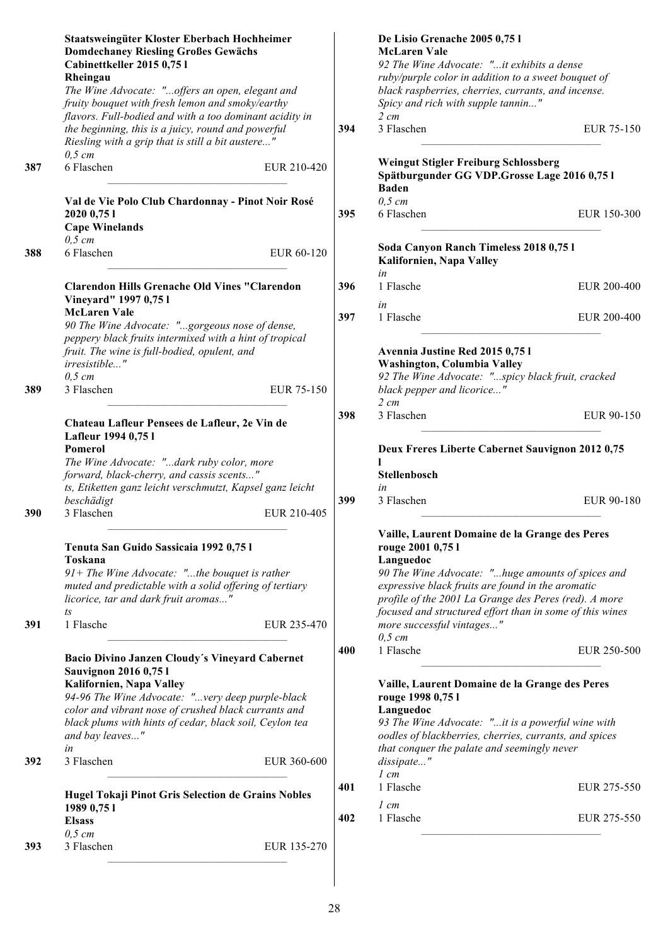|     | Staatsweingüter Kloster Eberbach Hochheimer<br><b>Domdechaney Riesling Großes Gewächs</b><br>Cabinettkeller 2015 0,75 l |     | De Lisio Grenache 2005 0,75 l<br><b>McLaren Vale</b><br>92 The Wine Advocate: "it exhibits a dense                                               |             |
|-----|-------------------------------------------------------------------------------------------------------------------------|-----|--------------------------------------------------------------------------------------------------------------------------------------------------|-------------|
|     | Rheingau<br>The Wine Advocate: "offers an open, elegant and<br>fruity bouquet with fresh lemon and smoky/earthy         |     | ruby/purple color in addition to a sweet bouquet of<br>black raspberries, cherries, currants, and incense.<br>Spicy and rich with supple tannin" |             |
|     | flavors. Full-bodied and with a too dominant acidity in                                                                 |     | $2 \, cm$                                                                                                                                        |             |
|     | the beginning, this is a juicy, round and powerful                                                                      | 394 | 3 Flaschen                                                                                                                                       | EUR 75-150  |
|     | Riesling with a grip that is still a bit austere"<br>$0,5$ cm                                                           |     |                                                                                                                                                  |             |
| 387 | 6 Flaschen<br>EUR 210-420                                                                                               |     | <b>Weingut Stigler Freiburg Schlossberg</b><br>Spätburgunder GG VDP.Grosse Lage 2016 0,75 l<br><b>Baden</b>                                      |             |
|     | Val de Vie Polo Club Chardonnay - Pinot Noir Rosé                                                                       |     | $0,5$ cm                                                                                                                                         |             |
|     | 2020 0,75 1                                                                                                             | 395 | 6 Flaschen                                                                                                                                       | EUR 150-300 |
|     | <b>Cape Winelands</b>                                                                                                   |     |                                                                                                                                                  |             |
| 388 | $0,5$ cm<br>6 Flaschen<br>EUR 60-120                                                                                    |     | Soda Canyon Ranch Timeless 2018 0,75 l<br>Kalifornien, Napa Valley                                                                               |             |
|     | <b>Clarendon Hills Grenache Old Vines "Clarendon</b><br>Vineyard" 1997 0,751                                            | 396 | in<br>1 Flasche                                                                                                                                  | EUR 200-400 |
|     | <b>McLaren Vale</b>                                                                                                     | 397 | in<br>1 Flasche                                                                                                                                  | EUR 200-400 |
|     | 90 The Wine Advocate: "gorgeous nose of dense,                                                                          |     |                                                                                                                                                  |             |
|     | peppery black fruits intermixed with a hint of tropical                                                                 |     |                                                                                                                                                  |             |
|     | fruit. The wine is full-bodied, opulent, and<br>irresistible"                                                           |     | Avennia Justine Red 2015 0,75 l<br>Washington, Columbia Valley                                                                                   |             |
|     | $0,5$ cm                                                                                                                |     | 92 The Wine Advocate: "spicy black fruit, cracked                                                                                                |             |
| 389 | 3 Flaschen<br>EUR 75-150                                                                                                |     | black pepper and licorice"                                                                                                                       |             |
|     |                                                                                                                         |     | $2 \, cm$                                                                                                                                        |             |
|     | Chateau Lafleur Pensees de Lafleur, 2e Vin de                                                                           | 398 | 3 Flaschen                                                                                                                                       | EUR 90-150  |
|     | Lafleur 1994 0,75 l                                                                                                     |     |                                                                                                                                                  |             |
|     | Pomerol<br>The Wine Advocate: "dark ruby color, more                                                                    |     | Deux Freres Liberte Cabernet Sauvignon 2012 0,75                                                                                                 |             |
|     | forward, black-cherry, and cassis scents"                                                                               |     | Stellenbosch                                                                                                                                     |             |
|     | ts, Etiketten ganz leicht verschmutzt, Kapsel ganz leicht                                                               |     | in                                                                                                                                               |             |
|     | beschädigt                                                                                                              | 399 | 3 Flaschen                                                                                                                                       | EUR 90-180  |
| 390 | 3 Flaschen<br>EUR 210-405                                                                                               |     |                                                                                                                                                  |             |
|     | Tenuta San Guido Sassicaia 1992 0,751<br>Toskana                                                                        |     | Vaille, Laurent Domaine de la Grange des Peres<br>rouge 2001 0,75 l<br>Languedoc                                                                 |             |
|     | $91+$ The Wine Advocate: "the bouquet is rather                                                                         |     | 90 The Wine Advocate: "huge amounts of spices and                                                                                                |             |
|     | muted and predictable with a solid offering of tertiary                                                                 |     | expressive black fruits are found in the aromatic                                                                                                |             |
|     | licorice, tar and dark fruit aromas"                                                                                    |     | profile of the 2001 La Grange des Peres (red). A more                                                                                            |             |
| 391 | $t_{\rm S}$<br>1 Flasche<br>EUR 235-470                                                                                 |     | focused and structured effort than in some of this wines<br>more successful vintages"<br>$0,5$ cm                                                |             |
|     | Bacio Divino Janzen Cloudy's Vineyard Cabernet                                                                          | 400 | 1 Flasche                                                                                                                                        | EUR 250-500 |
|     | <b>Sauvignon 2016 0,751</b>                                                                                             |     |                                                                                                                                                  |             |
|     | Kalifornien, Napa Valley                                                                                                |     | Vaille, Laurent Domaine de la Grange des Peres                                                                                                   |             |
|     | 94-96 The Wine Advocate: "very deep purple-black                                                                        |     | rouge 1998 0,75 l                                                                                                                                |             |
|     | color and vibrant nose of crushed black currants and                                                                    |     | Languedoc                                                                                                                                        |             |
|     | black plums with hints of cedar, black soil, Ceylon tea                                                                 |     | 93 The Wine Advocate: "it is a powerful wine with                                                                                                |             |
|     | and bay leaves"                                                                                                         |     | oodles of blackberries, cherries, currants, and spices                                                                                           |             |
| 392 | in<br>3 Flaschen<br>EUR 360-600                                                                                         |     | that conquer the palate and seemingly never<br>dissipate"<br>$1 \, cm$                                                                           |             |
|     |                                                                                                                         | 401 | 1 Flasche                                                                                                                                        | EUR 275-550 |
|     | Hugel Tokaji Pinot Gris Selection de Grains Nobles                                                                      |     | $1 \, cm$                                                                                                                                        |             |
|     | 1989 0,75 1<br><b>Elsass</b>                                                                                            | 402 | 1 Flasche                                                                                                                                        | EUR 275-550 |
|     | $0,5$ cm                                                                                                                |     |                                                                                                                                                  |             |
| 393 | 3 Flaschen<br>EUR 135-270                                                                                               |     |                                                                                                                                                  |             |
|     |                                                                                                                         |     |                                                                                                                                                  |             |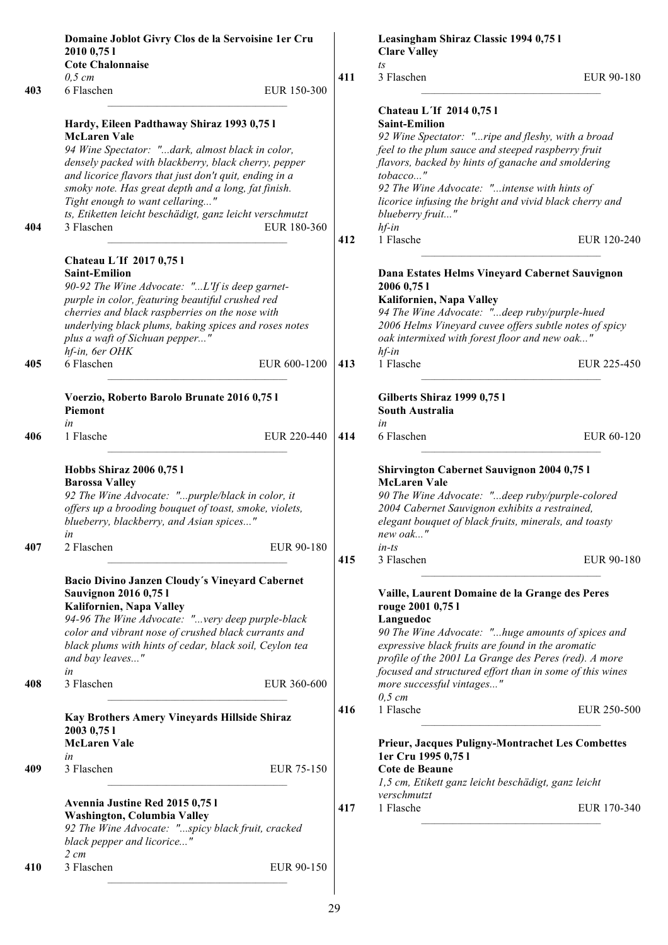|     | Domaine Joblot Givry Clos de la Servoisine 1er Cru<br>2010 0,75 1<br><b>Cote Chalonnaise</b>                                                                                                                                                                                                                                           |              |     | Leasingham Shiraz Classic 1994 0,75 l<br><b>Clare Valley</b><br>$\sqrt{t}S$                                                                                                                                                                                                                                                                  |             |
|-----|----------------------------------------------------------------------------------------------------------------------------------------------------------------------------------------------------------------------------------------------------------------------------------------------------------------------------------------|--------------|-----|----------------------------------------------------------------------------------------------------------------------------------------------------------------------------------------------------------------------------------------------------------------------------------------------------------------------------------------------|-------------|
|     | $0,5$ cm                                                                                                                                                                                                                                                                                                                               |              | 411 | 3 Flaschen                                                                                                                                                                                                                                                                                                                                   | EUR 90-180  |
| 403 | 6 Flaschen<br>Hardy, Eileen Padthaway Shiraz 1993 0,75 l<br><b>McLaren Vale</b>                                                                                                                                                                                                                                                        | EUR 150-300  |     | Chateau L'If 2014 0,75 l<br><b>Saint-Emilion</b>                                                                                                                                                                                                                                                                                             |             |
| 404 | 94 Wine Spectator: "dark, almost black in color,<br>densely packed with blackberry, black cherry, pepper<br>and licorice flavors that just don't quit, ending in a<br>smoky note. Has great depth and a long, fat finish.<br>Tight enough to want cellaring"<br>ts, Etiketten leicht beschädigt, ganz leicht verschmutzt<br>3 Flaschen | EUR 180-360  |     | 92 Wine Spectator: "ripe and fleshy, with a broad<br>feel to the plum sauce and steeped raspberry fruit<br>flavors, backed by hints of ganache and smoldering<br>tobacco"<br>92 The Wine Advocate: "intense with hints of<br>licorice infusing the bright and vivid black cherry and<br>blueberry fruit"<br>$hf$ -in                         |             |
|     |                                                                                                                                                                                                                                                                                                                                        |              | 412 | 1 Flasche                                                                                                                                                                                                                                                                                                                                    | EUR 120-240 |
| 405 | Chateau L'If 2017 0,75 l<br><b>Saint-Emilion</b><br>90-92 The Wine Advocate: "L'If is deep garnet-<br>purple in color, featuring beautiful crushed red<br>cherries and black raspberries on the nose with<br>underlying black plums, baking spices and roses notes<br>plus a waft of Sichuan pepper"<br>hf-in, 6er OHK<br>6 Flaschen   | EUR 600-1200 | 413 | Dana Estates Helms Vineyard Cabernet Sauvignon<br>2006 0,75 1<br>Kalifornien, Napa Valley<br>94 The Wine Advocate: "deep ruby/purple-hued<br>2006 Helms Vineyard cuvee offers subtle notes of spicy<br>oak intermixed with forest floor and new oak"<br>$hf$ -in<br>1 Flasche                                                                | EUR 225-450 |
|     |                                                                                                                                                                                                                                                                                                                                        |              |     |                                                                                                                                                                                                                                                                                                                                              |             |
|     | Voerzio, Roberto Barolo Brunate 2016 0,75 l<br>Piemont<br>in                                                                                                                                                                                                                                                                           |              |     | Gilberts Shiraz 1999 0,75 l<br><b>South Australia</b><br>in                                                                                                                                                                                                                                                                                  |             |
| 406 | 1 Flasche                                                                                                                                                                                                                                                                                                                              | EUR 220-440  | 414 | 6 Flaschen                                                                                                                                                                                                                                                                                                                                   | EUR 60-120  |
| 407 | Hobbs Shiraz 2006 0,75 l<br><b>Barossa Valley</b><br>92 The Wine Advocate: "purple/black in color, it<br>offers up a brooding bouquet of toast, smoke, violets,<br>blueberry, blackberry, and Asian spices"<br>in<br>2 Flaschen                                                                                                        | EUR 90-180   |     | <b>Shirvington Cabernet Sauvignon 2004 0,75 l</b><br><b>McLaren Vale</b><br>90 The Wine Advocate: "deep ruby/purple-colored<br>2004 Cabernet Sauvignon exhibits a restrained,<br>elegant bouquet of black fruits, minerals, and toasty<br>new oak"<br>$in$ -ts                                                                               |             |
|     |                                                                                                                                                                                                                                                                                                                                        |              | 415 | 3 Flaschen                                                                                                                                                                                                                                                                                                                                   | EUR 90-180  |
| 408 | Bacio Divino Janzen Cloudy's Vineyard Cabernet<br><b>Sauvignon 2016 0,751</b><br>Kalifornien, Napa Valley<br>94-96 The Wine Advocate: "very deep purple-black<br>color and vibrant nose of crushed black currants and<br>black plums with hints of cedar, black soil, Ceylon tea<br>and bay leaves"<br>in<br>3 Flaschen                | EUR 360-600  |     | Vaille, Laurent Domaine de la Grange des Peres<br>rouge 2001 0,75 l<br>Languedoc<br>90 The Wine Advocate: "huge amounts of spices and<br>expressive black fruits are found in the aromatic<br>profile of the 2001 La Grange des Peres (red). A more<br>focused and structured effort than in some of this wines<br>more successful vintages" |             |
|     | Kay Brothers Amery Vineyards Hillside Shiraz                                                                                                                                                                                                                                                                                           |              | 416 | $0,5$ cm<br>1 Flasche                                                                                                                                                                                                                                                                                                                        | EUR 250-500 |
|     | 2003 0,75 1<br><b>McLaren Vale</b><br>in                                                                                                                                                                                                                                                                                               |              |     | <b>Prieur, Jacques Puligny-Montrachet Les Combettes</b><br>1er Cru 1995 0,75 l                                                                                                                                                                                                                                                               |             |
| 409 | 3 Flaschen                                                                                                                                                                                                                                                                                                                             | EUR 75-150   |     | Cote de Beaune<br>1,5 cm, Etikett ganz leicht beschädigt, ganz leicht                                                                                                                                                                                                                                                                        |             |
|     | Avennia Justine Red 2015 0,75 l<br>Washington, Columbia Valley<br>92 The Wine Advocate: "spicy black fruit, cracked<br>black pepper and licorice"<br>$2 \, cm$                                                                                                                                                                         |              | 417 | verschmutzt<br>1 Flasche                                                                                                                                                                                                                                                                                                                     | EUR 170-340 |
| 410 | 3 Flaschen                                                                                                                                                                                                                                                                                                                             | EUR 90-150   |     |                                                                                                                                                                                                                                                                                                                                              |             |
|     |                                                                                                                                                                                                                                                                                                                                        |              |     |                                                                                                                                                                                                                                                                                                                                              |             |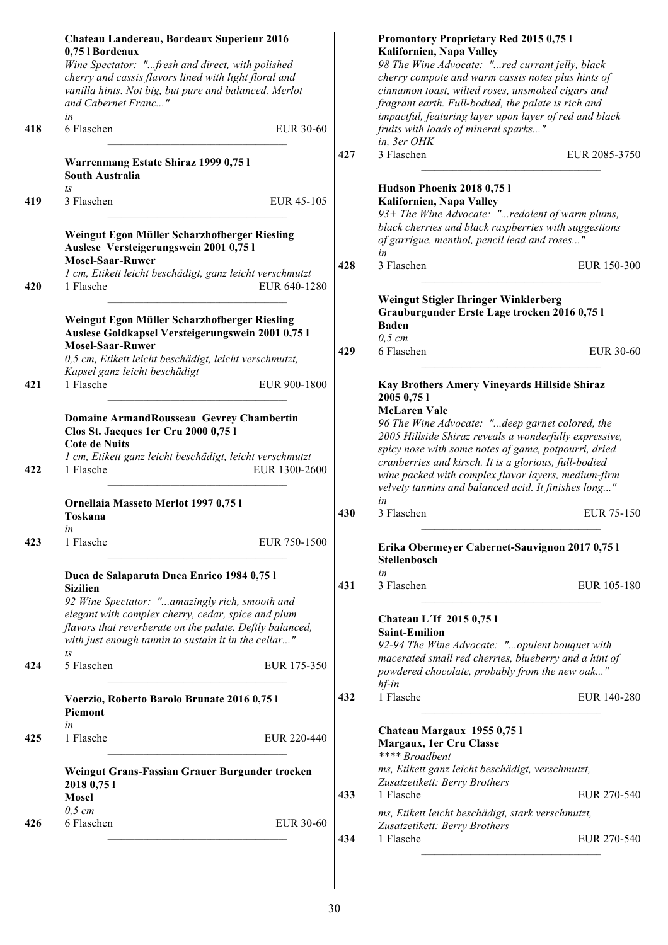|     | Chateau Landereau, Bordeaux Superieur 2016<br>0,75 l Bordeaux<br>Wine Spectator: "fresh and direct, with polished<br>cherry and cassis flavors lined with light floral and<br>vanilla hints. Not big, but pure and balanced. Merlot<br>and Cabernet Franc"<br>in |     | Promontory Proprietary Red 2015 0,75 l<br>Kalifornien, Napa Valley<br>98 The Wine Advocate: "red currant jelly, black<br>cherry compote and warm cassis notes plus hints of<br>cinnamon toast, wilted roses, unsmoked cigars and<br>fragrant earth. Full-bodied, the palate is rich and<br>impactful, featuring layer upon layer of red and black |
|-----|------------------------------------------------------------------------------------------------------------------------------------------------------------------------------------------------------------------------------------------------------------------|-----|---------------------------------------------------------------------------------------------------------------------------------------------------------------------------------------------------------------------------------------------------------------------------------------------------------------------------------------------------|
| 418 | 6 Flaschen<br>EUR 30-60                                                                                                                                                                                                                                          |     | fruits with loads of mineral sparks"                                                                                                                                                                                                                                                                                                              |
|     | Warrenmang Estate Shiraz 1999 0,75 l<br>South Australia                                                                                                                                                                                                          | 427 | in, 3er OHK<br>3 Flaschen<br>EUR 2085-3750                                                                                                                                                                                                                                                                                                        |
|     | ts                                                                                                                                                                                                                                                               |     | Hudson Phoenix 2018 0,751                                                                                                                                                                                                                                                                                                                         |
| 419 | 3 Flaschen<br>EUR 45-105<br>Weingut Egon Müller Scharzhofberger Riesling<br>Auslese Versteigerungswein 2001 0,75 l<br><b>Mosel-Saar-Ruwer</b>                                                                                                                    |     | Kalifornien, Napa Valley<br>93+ The Wine Advocate: "redolent of warm plums,<br>black cherries and black raspberries with suggestions<br>of garrigue, menthol, pencil lead and roses"<br>in                                                                                                                                                        |
|     | 1 cm, Etikett leicht beschädigt, ganz leicht verschmutzt                                                                                                                                                                                                         | 428 | 3 Flaschen<br>EUR 150-300                                                                                                                                                                                                                                                                                                                         |
| 420 | EUR 640-1280<br>1 Flasche<br>Weingut Egon Müller Scharzhofberger Riesling<br>Auslese Goldkapsel Versteigerungswein 2001 0,75 l                                                                                                                                   |     | Weingut Stigler Ihringer Winklerberg<br>Grauburgunder Erste Lage trocken 2016 0,75 l<br><b>Baden</b><br>$0,5$ cm                                                                                                                                                                                                                                  |
|     | <b>Mosel-Saar-Ruwer</b><br>0,5 cm, Etikett leicht beschädigt, leicht verschmutzt,<br>Kapsel ganz leicht beschädigt                                                                                                                                               | 429 | 6 Flaschen<br><b>EUR 30-60</b>                                                                                                                                                                                                                                                                                                                    |
| 421 | 1 Flasche<br>EUR 900-1800                                                                                                                                                                                                                                        |     | Kay Brothers Amery Vineyards Hillside Shiraz<br>2005 0,75 1<br><b>McLaren Vale</b>                                                                                                                                                                                                                                                                |
| 422 | Domaine ArmandRousseau Gevrey Chambertin<br>Clos St. Jacques 1er Cru 2000 0,75 l<br><b>Cote de Nuits</b><br>1 cm, Etikett ganz leicht beschädigt, leicht verschmutzt<br>1 Flasche<br>EUR 1300-2600                                                               |     | 96 The Wine Advocate: "deep garnet colored, the<br>2005 Hillside Shiraz reveals a wonderfully expressive,<br>spicy nose with some notes of game, potpourri, dried<br>cranberries and kirsch. It is a glorious, full-bodied<br>wine packed with complex flavor layers, medium-firm                                                                 |
|     | Ornellaia Masseto Merlot 1997 0,75 l<br>Toskana                                                                                                                                                                                                                  | 430 | velvety tannins and balanced acid. It finishes long"<br>in<br>3 Flaschen<br>EUR 75-150                                                                                                                                                                                                                                                            |
| 423 | in<br>EUR 750-1500<br>1 Flasche                                                                                                                                                                                                                                  |     | Erika Obermeyer Cabernet-Sauvignon 2017 0,75 l<br>Stellenbosch                                                                                                                                                                                                                                                                                    |
|     | Duca de Salaparuta Duca Enrico 1984 0,75 l                                                                                                                                                                                                                       |     | in                                                                                                                                                                                                                                                                                                                                                |
|     | <b>Sizilien</b>                                                                                                                                                                                                                                                  | 431 | 3 Flaschen<br>EUR 105-180                                                                                                                                                                                                                                                                                                                         |
|     | 92 Wine Spectator: "amazingly rich, smooth and<br>elegant with complex cherry, cedar, spice and plum<br>flavors that reverberate on the palate. Deftly balanced,<br>with just enough tannin to sustain it in the cellar"                                         |     | Chateau L'If 2015 0,75 l<br><b>Saint-Emilion</b><br>92-94 The Wine Advocate: "opulent bouquet with                                                                                                                                                                                                                                                |
| 424 | $t_{\rm S}$<br>5 Flaschen<br>EUR 175-350                                                                                                                                                                                                                         |     | macerated small red cherries, blueberry and a hint of<br>powdered chocolate, probably from the new oak"<br>$hf$ -in                                                                                                                                                                                                                               |
|     | Voerzio, Roberto Barolo Brunate 2016 0,75 l<br>Piemont                                                                                                                                                                                                           | 432 | 1 Flasche<br>EUR 140-280                                                                                                                                                                                                                                                                                                                          |
| 425 | in<br>1 Flasche<br>EUR 220-440                                                                                                                                                                                                                                   |     | Chateau Margaux 1955 0,751<br>Margaux, 1er Cru Classe<br>**** Broadbent                                                                                                                                                                                                                                                                           |
|     | Weingut Grans-Fassian Grauer Burgunder trocken<br>2018 0,75 1                                                                                                                                                                                                    |     | ms, Etikett ganz leicht beschädigt, verschmutzt,<br>Zusatzetikett: Berry Brothers                                                                                                                                                                                                                                                                 |
|     | <b>Mosel</b><br>$0,5$ cm                                                                                                                                                                                                                                         | 433 | 1 Flasche<br>EUR 270-540                                                                                                                                                                                                                                                                                                                          |
| 426 | 6 Flaschen<br>EUR 30-60                                                                                                                                                                                                                                          |     | ms, Etikett leicht beschädigt, stark verschmutzt,<br>Zusatzetikett: Berry Brothers                                                                                                                                                                                                                                                                |
|     |                                                                                                                                                                                                                                                                  | 434 | 1 Flasche<br>EUR 270-540                                                                                                                                                                                                                                                                                                                          |
|     |                                                                                                                                                                                                                                                                  |     |                                                                                                                                                                                                                                                                                                                                                   |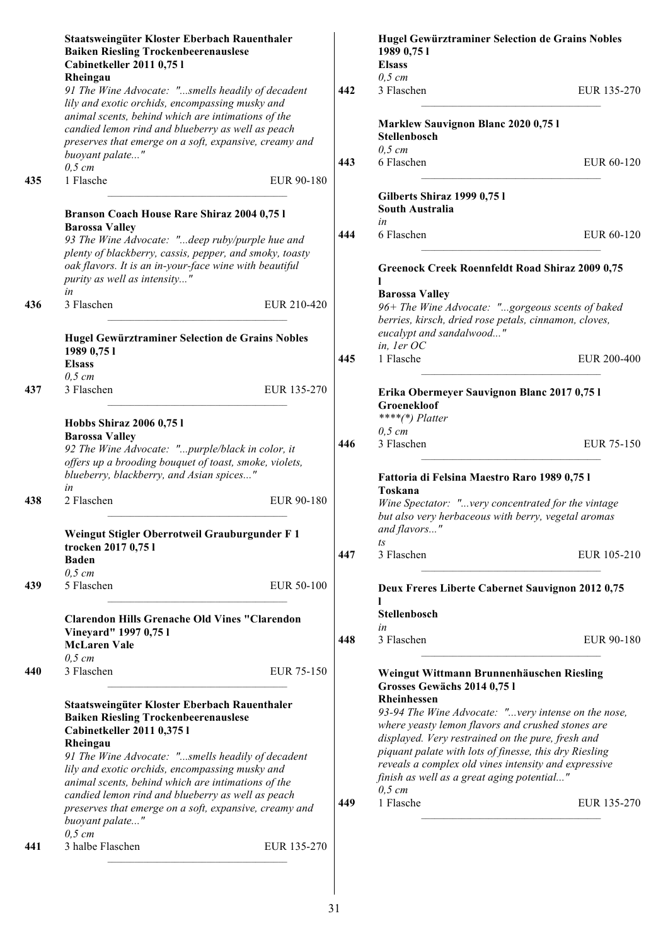|     | Staatsweingüter Kloster Eberbach Rauenthaler<br><b>Baiken Riesling Trockenbeerenauslese</b><br>Cabinetkeller 2011 0,75 l |     | Hugel Gewürztraminer Selection de Grains Nobles<br>1989 0,75 1<br><b>Elsass</b> |                   |
|-----|--------------------------------------------------------------------------------------------------------------------------|-----|---------------------------------------------------------------------------------|-------------------|
|     | Rheingau                                                                                                                 |     | $0,5$ cm                                                                        |                   |
|     | 91 The Wine Advocate: "smells headily of decadent<br>lily and exotic orchids, encompassing musky and                     | 442 | 3 Flaschen                                                                      | EUR 135-270       |
|     | animal scents, behind which are intimations of the<br>candied lemon rind and blueberry as well as peach                  |     | Marklew Sauvignon Blanc 2020 0,75 l                                             |                   |
|     | preserves that emerge on a soft, expansive, creamy and                                                                   |     | Stellenbosch                                                                    |                   |
|     | buoyant palate"                                                                                                          |     | $0,5$ cm                                                                        |                   |
|     | $0,5$ cm                                                                                                                 | 443 | 6 Flaschen                                                                      | EUR 60-120        |
| 435 | 1 Flasche<br>EUR 90-180                                                                                                  |     |                                                                                 |                   |
|     |                                                                                                                          |     | Gilberts Shiraz 1999 0,75 l                                                     |                   |
|     | Branson Coach House Rare Shiraz 2004 0,75 l                                                                              |     | <b>South Australia</b>                                                          |                   |
|     | <b>Barossa Valley</b>                                                                                                    |     | in                                                                              |                   |
|     | 93 The Wine Advocate: "deep ruby/purple hue and                                                                          | 444 | 6 Flaschen                                                                      | EUR 60-120        |
|     | plenty of blackberry, cassis, pepper, and smoky, toasty                                                                  |     |                                                                                 |                   |
|     | oak flavors. It is an in-your-face wine with beautiful<br>purity as well as intensity"                                   |     | Greenock Creek Roennfeldt Road Shiraz 2009 0,75                                 |                   |
|     | in                                                                                                                       |     | <b>Barossa Valley</b>                                                           |                   |
| 436 | 3 Flaschen<br>EUR 210-420                                                                                                |     | 96+ The Wine Advocate: "gorgeous scents of baked                                |                   |
|     |                                                                                                                          |     | berries, kirsch, dried rose petals, cinnamon, cloves,                           |                   |
|     | Hugel Gewürztraminer Selection de Grains Nobles                                                                          |     | eucalypt and sandalwood"                                                        |                   |
|     | 1989 0,75 1                                                                                                              |     | in, ler OC                                                                      |                   |
|     | <b>Elsass</b>                                                                                                            | 445 | 1 Flasche                                                                       | EUR 200-400       |
|     | $0,5$ cm                                                                                                                 |     |                                                                                 |                   |
| 437 | 3 Flaschen<br>EUR 135-270                                                                                                |     | Erika Obermeyer Sauvignon Blanc 2017 0,75 l<br>Groenekloof                      |                   |
|     |                                                                                                                          |     | $***(*)$ Platter                                                                |                   |
|     | Hobbs Shiraz 2006 0,75 l                                                                                                 |     | $0,5$ cm                                                                        |                   |
|     | <b>Barossa Valley</b>                                                                                                    | 446 | 3 Flaschen                                                                      | <b>EUR 75-150</b> |
|     | 92 The Wine Advocate: "purple/black in color, it<br>offers up a brooding bouquet of toast, smoke, violets,               |     |                                                                                 |                   |
|     | blueberry, blackberry, and Asian spices"                                                                                 |     |                                                                                 |                   |
|     | in                                                                                                                       |     | Fattoria di Felsina Maestro Raro 1989 0,75 l<br>Toskana                         |                   |
| 438 | 2 Flaschen<br>EUR 90-180                                                                                                 |     | Wine Spectator: "very concentrated for the vintage                              |                   |
|     |                                                                                                                          |     | but also very herbaceous with berry, vegetal aromas                             |                   |
|     |                                                                                                                          |     | and flavors"                                                                    |                   |
|     | Weingut Stigler Oberrotweil Grauburgunder F 1<br>trocken 2017 0,75 l                                                     |     | ts                                                                              |                   |
|     | <b>Baden</b>                                                                                                             | 447 | 3 Flaschen                                                                      | EUR 105-210       |
|     | $0,5$ cm                                                                                                                 |     |                                                                                 |                   |
| 439 | 5 Flaschen<br>EUR 50-100                                                                                                 |     |                                                                                 |                   |
|     |                                                                                                                          |     | Deux Freres Liberte Cabernet Sauvignon 2012 0,75                                |                   |
|     |                                                                                                                          |     | Stellenbosch                                                                    |                   |
|     | <b>Clarendon Hills Grenache Old Vines "Clarendon</b>                                                                     |     | in                                                                              |                   |
|     | Vineyard" 1997 0,751<br><b>McLaren Vale</b>                                                                              | 448 | 3 Flaschen                                                                      | EUR 90-180        |
|     | $0,5$ cm                                                                                                                 |     |                                                                                 |                   |
| 440 | 3 Flaschen<br>EUR 75-150                                                                                                 |     |                                                                                 |                   |
|     |                                                                                                                          |     | Weingut Wittmann Brunnenhäuschen Riesling                                       |                   |
|     |                                                                                                                          |     | Grosses Gewächs 2014 0,75 l<br>Rheinhessen                                      |                   |
|     | Staatsweingüter Kloster Eberbach Rauenthaler                                                                             |     | 93-94 The Wine Advocate: " very intense on the nose,                            |                   |
|     | <b>Baiken Riesling Trockenbeerenauslese</b>                                                                              |     | where yeasty lemon flavors and crushed stones are                               |                   |
|     | Cabinetkeller 2011 0,375 l                                                                                               |     | displayed. Very restrained on the pure, fresh and                               |                   |
|     | Rheingau                                                                                                                 |     | piquant palate with lots of finesse, this dry Riesling                          |                   |
|     | 91 The Wine Advocate: "smells headily of decadent                                                                        |     | reveals a complex old vines intensity and expressive                            |                   |
|     | lily and exotic orchids, encompassing musky and                                                                          |     | finish as well as a great aging potential"                                      |                   |
|     | animal scents, behind which are intimations of the<br>candied lemon rind and blueberry as well as peach                  |     | $0,5 \, cm$                                                                     |                   |
|     | preserves that emerge on a soft, expansive, creamy and                                                                   | 449 | 1 Flasche                                                                       | EUR 135-270       |
|     | buoyant palate"                                                                                                          |     |                                                                                 |                   |
|     | $0,5$ cm                                                                                                                 |     |                                                                                 |                   |
| 441 | 3 halbe Flaschen<br>EUR 135-270                                                                                          |     |                                                                                 |                   |
|     |                                                                                                                          |     |                                                                                 |                   |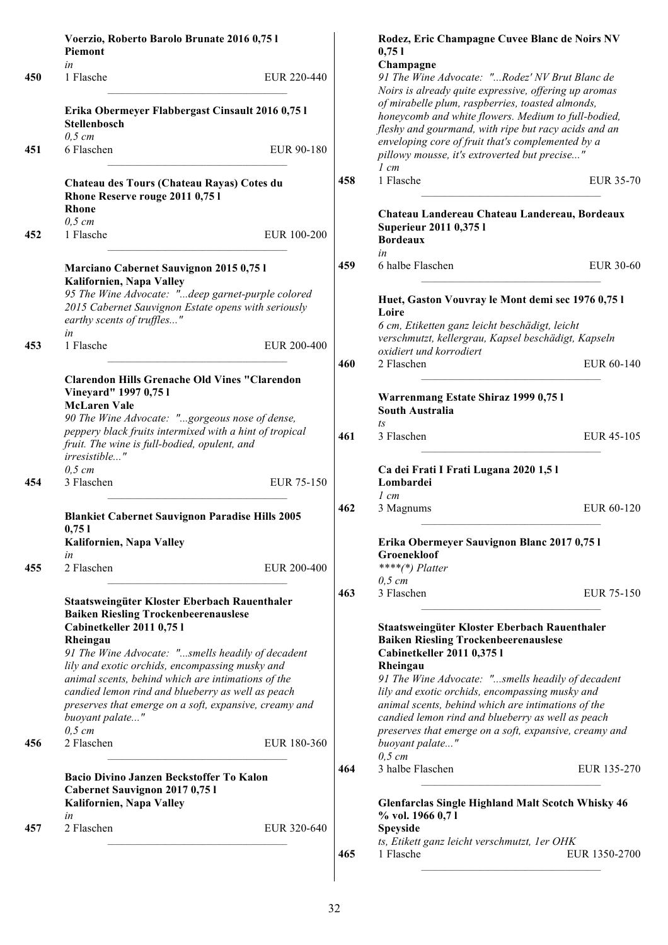|     | Voerzio, Roberto Barolo Brunate 2016 0,75 l<br><b>Piemont</b>                                                                                                                                                                                                                                                                                                                                                                                       |             |     |
|-----|-----------------------------------------------------------------------------------------------------------------------------------------------------------------------------------------------------------------------------------------------------------------------------------------------------------------------------------------------------------------------------------------------------------------------------------------------------|-------------|-----|
| 450 | in<br>1 Flasche                                                                                                                                                                                                                                                                                                                                                                                                                                     | EUR 220-440 |     |
|     | Erika Obermeyer Flabbergast Cinsault 2016 0,75 l<br><b>Stellenbosch</b><br>$0,5 \, cm$                                                                                                                                                                                                                                                                                                                                                              |             |     |
| 451 | 6 Flaschen                                                                                                                                                                                                                                                                                                                                                                                                                                          | EUR 90-180  |     |
|     | Chateau des Tours (Chateau Rayas) Cotes du<br>Rhone Reserve rouge 2011 0,75 l<br><b>Rhone</b><br>$0.5$ cm                                                                                                                                                                                                                                                                                                                                           |             | 458 |
| 452 | 1 Flasche                                                                                                                                                                                                                                                                                                                                                                                                                                           | EUR 100-200 |     |
|     | <b>Marciano Cabernet Sauvignon 2015 0,75 l</b><br>Kalifornien, Napa Valley<br>95 The Wine Advocate: "deep garnet-purple colored<br>2015 Cabernet Sauvignon Estate opens with seriously<br>earthy scents of truffles"<br>in                                                                                                                                                                                                                          |             | 459 |
| 453 | 1 Flasche                                                                                                                                                                                                                                                                                                                                                                                                                                           | EUR 200-400 |     |
|     | <b>Clarendon Hills Grenache Old Vines "Clarendon</b><br>Vineyard" 1997 0,751<br><b>McLaren Vale</b>                                                                                                                                                                                                                                                                                                                                                 |             | 460 |
|     | 90 The Wine Advocate: "gorgeous nose of dense,<br>peppery black fruits intermixed with a hint of tropical<br>fruit. The wine is full-bodied, opulent, and<br><i>irresistible"</i><br>$0,5 \, cm$                                                                                                                                                                                                                                                    |             | 461 |
| 454 | 3 Flaschen                                                                                                                                                                                                                                                                                                                                                                                                                                          | EUR 75-150  |     |
|     | <b>Blankiet Cabernet Sauvignon Paradise Hills 2005</b><br>0,751<br>Kalifornien, Napa Valley<br>in                                                                                                                                                                                                                                                                                                                                                   |             | 462 |
| 455 | 2 Flaschen                                                                                                                                                                                                                                                                                                                                                                                                                                          | EUR 200-400 |     |
|     | Staatsweingüter Kloster Eberbach Rauenthaler<br><b>Baiken Riesling Trockenbeerenauslese</b><br>Cabinetkeller 2011 0,75 l<br>Rheingau<br>91 The Wine Advocate: "smells headily of decadent<br>lily and exotic orchids, encompassing musky and<br>animal scents, behind which are intimations of the<br>candied lemon rind and blueberry as well as peach<br>preserves that emerge on a soft, expansive, creamy and<br>buoyant palate"<br>$0,5 \, cm$ |             | 463 |
| 456 | 2 Flaschen                                                                                                                                                                                                                                                                                                                                                                                                                                          | EUR 180-360 |     |
|     | <b>Bacio Divino Janzen Beckstoffer To Kalon</b><br>Cabernet Sauvignon 2017 0,75 l<br>Kalifornien, Napa Valley<br>in                                                                                                                                                                                                                                                                                                                                 |             | 464 |
| 457 | 2 Flaschen                                                                                                                                                                                                                                                                                                                                                                                                                                          | EUR 320-640 |     |
|     |                                                                                                                                                                                                                                                                                                                                                                                                                                                     |             | 465 |

| Rodez, Eric Champagne Cuvee Blanc de Noirs NV                                                           |
|---------------------------------------------------------------------------------------------------------|
|                                                                                                         |
| 91 The Wine Advocate: "Rodez' NV Brut Blanc de<br>Noirs is already quite expressive, offering up aromas |
| of mirabelle plum, raspberries, toasted almonds,                                                        |
| honeycomb and white flowers. Medium to full-bodied,                                                     |
| fleshy and gourmand, with ripe but racy acids and an                                                    |
| enveloping core of fruit that's complemented by a<br>pillowy mousse, it's extroverted but precise"      |
|                                                                                                         |
| <b>EUR 35-70</b>                                                                                        |
| Chateau Landereau Chateau Landereau, Bordeaux                                                           |
|                                                                                                         |
| <b>EUR 30-60</b>                                                                                        |
|                                                                                                         |
| Huet, Gaston Vouvray le Mont demi sec 1976 0,75 l                                                       |
| 6 cm, Etiketten ganz leicht beschädigt, leicht                                                          |
| verschmutzt, kellergrau, Kapsel beschädigt, Kapseln                                                     |
| EUR 60-140                                                                                              |
|                                                                                                         |
| Warrenmang Estate Shiraz 1999 0,75 l                                                                    |
| EUR 45-105                                                                                              |
|                                                                                                         |
| Ca dei Frati I Frati Lugana 2020 1,5 l                                                                  |
| EUR 60-120                                                                                              |
| Erika Obermeyer Sauvignon Blanc 2017 0,75 l                                                             |
|                                                                                                         |
|                                                                                                         |
| EUR 75-150                                                                                              |
| Staatsweingüter Kloster Eberbach Rauenthaler<br><b>Baiken Riesling Trockenbeerenauslese</b>             |
|                                                                                                         |
|                                                                                                         |
| 91 The Wine Advocate: "smells headily of decadent<br>lily and exotic orchids, encompassing musky and    |
| animal scents, behind which are intimations of the                                                      |
| candied lemon rind and blueberry as well as peach                                                       |
| preserves that emerge on a soft, expansive, creamy and                                                  |
|                                                                                                         |
| EUR 135-270                                                                                             |
|                                                                                                         |
| <b>Glenfarclas Single Highland Malt Scotch Whisky 46</b>                                                |
| ts, Etikett ganz leicht verschmutzt, 1er OHK                                                            |
| EUR 1350-2700                                                                                           |
|                                                                                                         |

32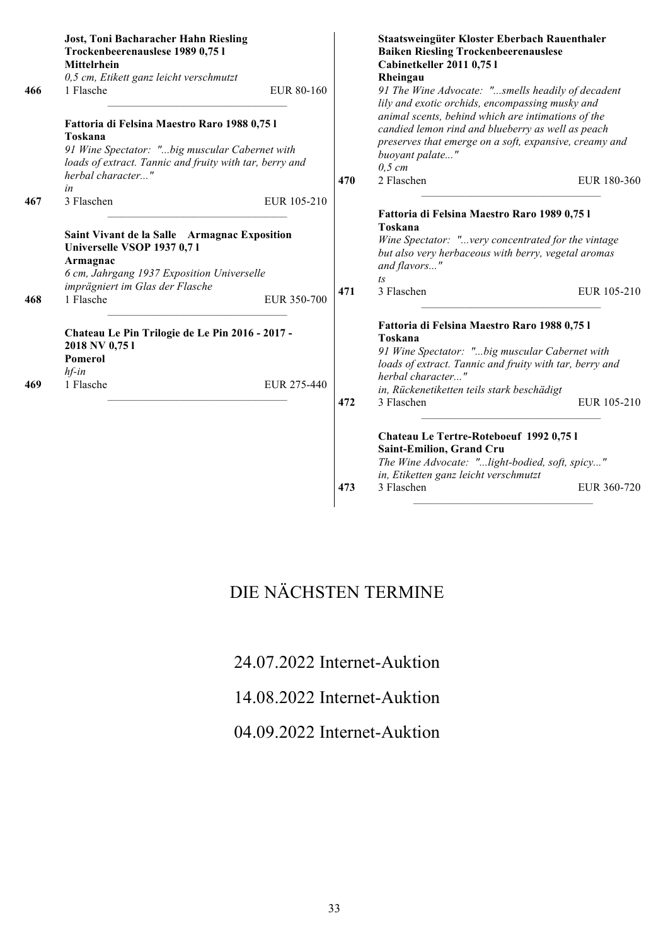| 466        | <b>Jost, Toni Bacharacher Hahn Riesling</b><br>Trockenbeerenauslese 1989 0,75 l<br>Mittelrhein<br>0,5 cm, Etikett ganz leicht verschmutzt<br>1 Flasche<br>EUR 80-160                                                             |     | Staatsweingüter Kloster Eberbach Rauenthaler<br><b>Baiken Riesling Trockenbeerenauslese</b><br>Cabinetkeller 2011 0,75 l<br>Rheingau<br>91 The Wine Advocate: "smells headily of decadent                                                                                                                      |
|------------|----------------------------------------------------------------------------------------------------------------------------------------------------------------------------------------------------------------------------------|-----|----------------------------------------------------------------------------------------------------------------------------------------------------------------------------------------------------------------------------------------------------------------------------------------------------------------|
|            | Fattoria di Felsina Maestro Raro 1988 0,75 l<br>Toskana<br>91 Wine Spectator: "big muscular Cabernet with<br>loads of extract. Tannic and fruity with tar, berry and<br>herbal character"<br>in                                  | 470 | lily and exotic orchids, encompassing musky and<br>animal scents, behind which are intimations of the<br>candied lemon rind and blueberry as well as peach<br>preserves that emerge on a soft, expansive, creamy and<br>buoyant palate"<br>$0,5$ cm<br>2 Flaschen<br>EUR 180-360                               |
| 467<br>468 | 3 Flaschen<br>EUR 105-210<br>Saint Vivant de la Salle Armagnac Exposition<br>Universelle VSOP 1937 0,71<br>Armagnac<br>6 cm, Jahrgang 1937 Exposition Universelle<br>imprägniert im Glas der Flasche<br>1 Flasche<br>EUR 350-700 | 471 | Fattoria di Felsina Maestro Raro 1989 0,75 l<br>Toskana<br>Wine Spectator: "very concentrated for the vintage<br>but also very herbaceous with berry, vegetal aromas<br>and flavors"<br>$\sqrt{1}S$<br>3 Flaschen<br>EUR 105-210                                                                               |
| 469        | Chateau Le Pin Trilogie de Le Pin 2016 - 2017 -<br>2018 NV 0,751<br>Pomerol<br>$hf$ -in<br>1 Flasche<br>EUR 275-440                                                                                                              | 472 | Fattoria di Felsina Maestro Raro 1988 0,75 l<br>Toskana<br>91 Wine Spectator: "big muscular Cabernet with<br>loads of extract. Tannic and fruity with tar, berry and<br>herbal character"<br>in, Rückenetiketten teils stark beschädigt<br>3 Flaschen<br>EUR 105-210<br>Chateau Le Tertre-Roteboeuf 1992 0,751 |
|            |                                                                                                                                                                                                                                  | 473 | Saint-Emilion, Grand Cru<br>The Wine Advocate: "light-bodied, soft, spicy"<br>in, Etiketten ganz leicht verschmutzt<br>3 Flaschen<br>EUR 360-720                                                                                                                                                               |

# DIE NÄCHSTEN TERMINE

24.07.2022 Internet-Auktion

14.08.2022 Internet-Auktion

04.09.2022 Internet-Auktion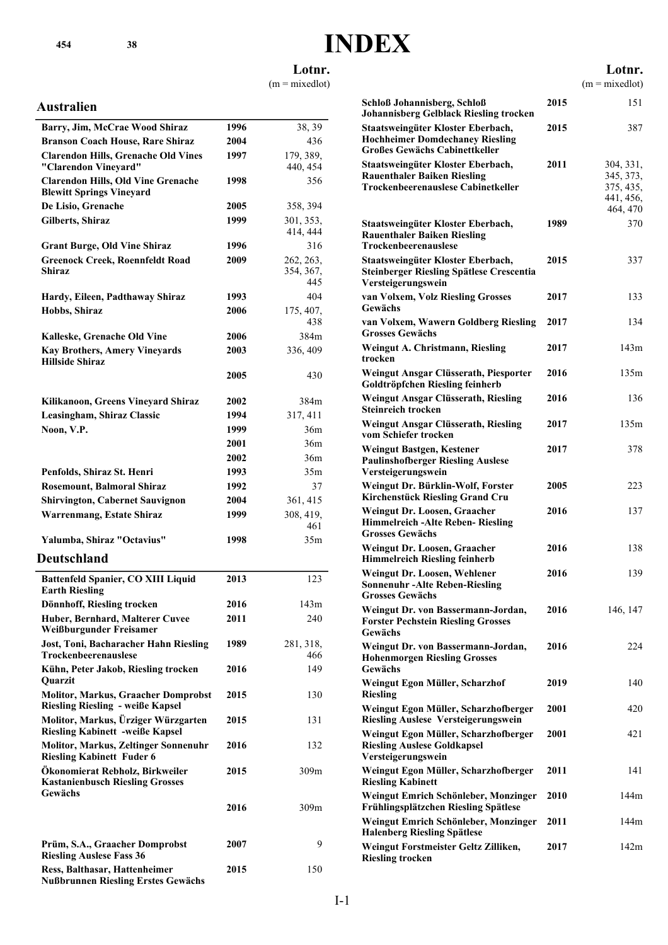# **INDEX**

**Lotnr.**

 $(m = mixedlot)$ 

### **Australien**

| Barry, Jim, McCrae Wood Shiraz                                                                                           | 1996 | 38, 39                        |
|--------------------------------------------------------------------------------------------------------------------------|------|-------------------------------|
| <b>Branson Coach House, Rare Shiraz</b>                                                                                  | 2004 | 436                           |
| <b>Clarendon Hills, Grenache Old Vines</b><br>"Clarendon Vineyard"                                                       | 1997 | 179, 389,<br>440, 454         |
| <b>Clarendon Hills, Old Vine Grenache</b><br><b>Blewitt Springs Vineyard</b>                                             | 1998 | 356                           |
| De Lisio, Grenache                                                                                                       | 2005 | 358, 394                      |
| Gilberts, Shiraz                                                                                                         | 1999 | 301, 353,                     |
|                                                                                                                          |      | 414, 444                      |
| <b>Grant Burge, Old Vine Shiraz</b>                                                                                      | 1996 | 316                           |
| <b>Greenock Creek, Roennfeldt Road</b><br>Shiraz                                                                         | 2009 | 262, 263,<br>354, 367,<br>445 |
| Hardy, Eileen, Padthaway Shiraz                                                                                          | 1993 | 404                           |
| Hobbs, Shiraz                                                                                                            | 2006 | 175, 407,                     |
|                                                                                                                          |      | 438                           |
| Kalleske, Grenache Old Vine                                                                                              | 2006 | 384m                          |
| <b>Kay Brothers, Amery Vineyards</b><br><b>Hillside Shiraz</b>                                                           | 2003 | 336, 409                      |
|                                                                                                                          | 2005 | 430                           |
| Kilikanoon, Greens Vineyard Shiraz                                                                                       | 2002 | 384m                          |
| Leasingham, Shiraz Classic                                                                                               | 1994 | 317, 411                      |
| Noon, V.P.                                                                                                               | 1999 | 36m                           |
|                                                                                                                          | 2001 | 36m                           |
|                                                                                                                          | 2002 | 36m                           |
| Penfolds, Shiraz St. Henri                                                                                               | 1993 | 35m                           |
| <b>Rosemount, Balmoral Shiraz</b>                                                                                        | 1992 | 37                            |
| <b>Shirvington, Cabernet Sauvignon</b>                                                                                   | 2004 | 361, 415                      |
| <b>Warrenmang, Estate Shiraz</b>                                                                                         | 1999 | 308, 419,                     |
|                                                                                                                          |      | 461                           |
| Yalumba, Shiraz "Octavius"                                                                                               | 1998 | 35m                           |
|                                                                                                                          |      |                               |
|                                                                                                                          |      |                               |
| Battenfeld Spanier, CO XIII Liquid<br><b>Earth Riesling</b>                                                              | 2013 | 123                           |
| Dönnhoff, Riesling trocken                                                                                               | 2016 | 143m                          |
| Deutschland<br>Huber, Bernhard, Malterer Cuvee                                                                           | 2011 | 240                           |
| Weißburgunder Freisamer<br>Jost, Toni, Bacharacher Hahn Riesling<br>Trockenbeerenauslese                                 | 1989 | 281, 318,<br>466              |
| Kühn, Peter Jakob, Riesling trocken                                                                                      | 2016 | 149                           |
| Quarzit<br><b>Molitor, Markus, Graacher Domprobst</b>                                                                    | 2015 | 130                           |
| <b>Riesling Riesling - weiße Kapsel</b><br>Molitor, Markus, Ürziger Würzgarten<br><b>Riesling Kabinett -weiße Kapsel</b> | 2015 | 131                           |
| <b>Molitor, Markus, Zeltinger Sonnenuhr</b><br><b>Riesling Kabinett Fuder 6</b>                                          | 2016 | 132                           |
| Ökonomierat Rebholz, Birkweiler<br><b>Kastanienbusch Riesling Grosses</b><br>Gewächs                                     | 2015 | 309m                          |
|                                                                                                                          | 2016 | 309m                          |
| Prüm, S.A., Graacher Domprobst<br><b>Riesling Auslese Fass 36</b>                                                        | 2007 | 9                             |

|                                                                                                                     |      | Lotnr.<br>$(m = mixedlot)$                                   |
|---------------------------------------------------------------------------------------------------------------------|------|--------------------------------------------------------------|
| Schloß Johannisberg, Schloß<br><b>Johannisberg Gelblack Riesling trocken</b>                                        | 2015 | 151                                                          |
| Staatsweingüter Kloster Eberbach,<br><b>Hochheimer Domdechaney Riesling</b><br><b>Großes Gewächs Cabinettkeller</b> | 2015 | 387                                                          |
| Staatsweingüter Kloster Eberbach,<br><b>Rauenthaler Baiken Riesling</b><br>Trockenbeerenauslese Cabinetkeller       | 2011 | 304, 331,<br>345, 373,<br>375, 435,<br>441, 456,<br>464, 470 |
| Staatsweingüter Kloster Eberbach,<br><b>Rauenthaler Baiken Riesling</b><br>Trockenbeerenauslese                     | 1989 | 370                                                          |
| Staatsweingüter Kloster Eberbach,<br>Steinberger Riesling Spätlese Crescentia<br>Versteigerungswein                 | 2015 | 337                                                          |
| van Volxem, Volz Riesling Grosses<br>Gewächs                                                                        | 2017 | 133                                                          |
| van Volxem, Wawern Goldberg Riesling<br><b>Grosses Gewächs</b>                                                      | 2017 | 134                                                          |
| <b>Weingut A. Christmann, Riesling</b><br>trocken                                                                   | 2017 | 143m                                                         |
| Weingut Ansgar Clüsserath, Piesporter<br>Goldtröpfchen Riesling feinherb                                            | 2016 | 135m                                                         |
| Weingut Ansgar Clüsserath, Riesling<br><b>Steinreich trocken</b>                                                    | 2016 | 136                                                          |
| Weingut Ansgar Clüsserath, Riesling<br>vom Schiefer trocken                                                         | 2017 | 135m                                                         |
| Weingut Bastgen, Kestener<br><b>Paulinshofberger Riesling Auslese</b><br>Versteigerungswein                         | 2017 | 378                                                          |
| Weingut Dr. Bürklin-Wolf, Forster<br><b>Kirchenstück Riesling Grand Cru</b>                                         | 2005 | 223                                                          |
| Weingut Dr. Loosen, Graacher<br><b>Himmelreich -Alte Reben- Riesling</b><br><b>Grosses Gewächs</b>                  | 2016 | 137                                                          |
| Weingut Dr. Loosen, Graacher<br><b>Himmelreich Riesling feinherb</b>                                                | 2016 | 138                                                          |
| Weingut Dr. Loosen, Wehlener<br><b>Sonnenuhr-Alte Reben-Riesling</b><br><b>Grosses Gewächs</b>                      | 2016 | 139                                                          |
| Weingut Dr. von Bassermann-Jordan,<br><b>Forster Pechstein Riesling Grosses</b><br>Gewächs                          | 2016 | 146, 147                                                     |
| Weingut Dr. von Bassermann-Jordan,<br><b>Hohenmorgen Riesling Grosses</b><br>Gewächs                                | 2016 | 224                                                          |
| Weingut Egon Müller, Scharzhof<br><b>Riesling</b>                                                                   | 2019 | 140                                                          |
| Weingut Egon Müller, Scharzhofberger<br><b>Riesling Auslese Versteigerungswein</b>                                  | 2001 | 420                                                          |
| Weingut Egon Müller, Scharzhofberger<br><b>Riesling Auslese Goldkapsel</b><br>Versteigerungswein                    | 2001 | 421                                                          |
| Weingut Egon Müller, Scharzhofberger<br><b>Riesling Kabinett</b>                                                    | 2011 | 141                                                          |
| Weingut Emrich Schönleber, Monzinger<br>Frühlingsplätzchen Riesling Spätlese                                        | 2010 | 144m                                                         |
| Weingut Emrich Schönleber, Monzinger<br><b>Halenberg Riesling Spätlese</b>                                          | 2011 | 144m                                                         |
| Weingut Forstmeister Geltz Zilliken,<br><b>Riesling trocken</b>                                                     | 2017 | 142m                                                         |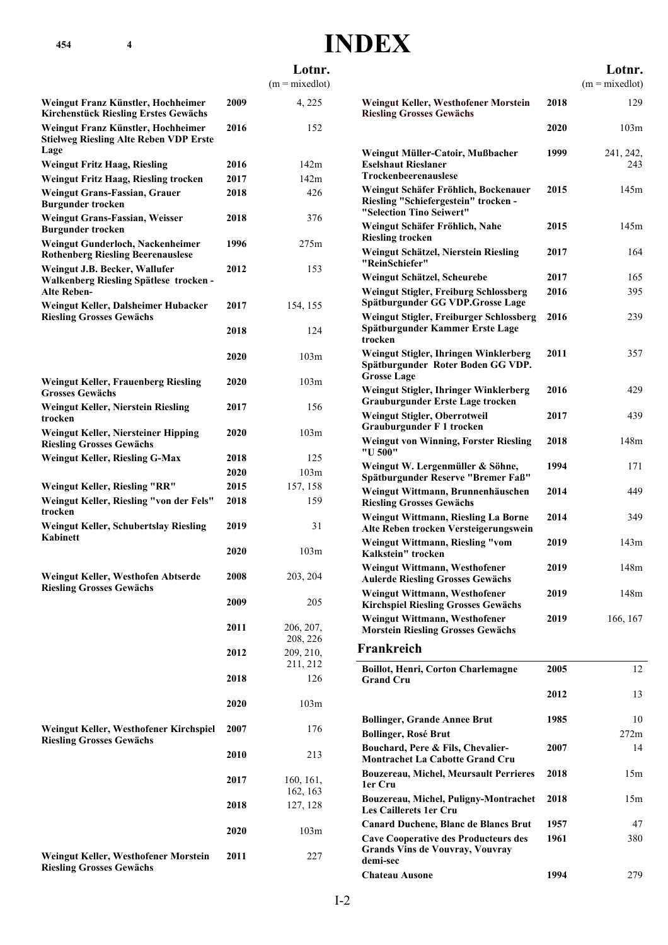# **INDEX**

|                                                                                               |      | Lotnr.                |  |
|-----------------------------------------------------------------------------------------------|------|-----------------------|--|
|                                                                                               |      | $(m = mixedlot)$      |  |
| Weingut Franz Künstler, Hochheimer<br><b>Kirchenstück Riesling Erstes Gewächs</b>             | 2009 | 4, 225                |  |
| Weingut Franz Künstler, Hochheimer<br><b>Stielweg Riesling Alte Reben VDP Erste</b><br>Lage   | 2016 | 152                   |  |
| <b>Weingut Fritz Haag, Riesling</b>                                                           | 2016 | 142m                  |  |
| <b>Weingut Fritz Haag, Riesling trocken</b>                                                   | 2017 | 142m                  |  |
| Weingut Grans-Fassian, Grauer<br><b>Burgunder trocken</b>                                     | 2018 | 426                   |  |
| <b>Weingut Grans-Fassian, Weisser</b><br><b>Burgunder trocken</b>                             | 2018 | 376                   |  |
| Weingut Gunderloch, Nackenheimer<br><b>Rothenberg Riesling Beerenauslese</b>                  | 1996 | 275m                  |  |
| Weingut J.B. Becker, Wallufer<br>Walkenberg Riesling Spätlese trocken -<br><b>Alte Reben-</b> | 2012 | 153                   |  |
| Weingut Keller, Dalsheimer Hubacker<br><b>Riesling Grosses Gewächs</b>                        | 2017 | 154, 155              |  |
|                                                                                               | 2018 | 124                   |  |
|                                                                                               | 2020 | 103m                  |  |
| <b>Weingut Keller, Frauenberg Riesling</b><br><b>Grosses Gewächs</b>                          | 2020 | 103m                  |  |
| <b>Weingut Keller, Nierstein Riesling</b><br>trocken                                          | 2017 | 156                   |  |
| Weingut Keller, Niersteiner Hipping<br><b>Riesling Grosses Gewächs</b>                        | 2020 | 103m                  |  |
| <b>Weingut Keller, Riesling G-Max</b>                                                         | 2018 | 125                   |  |
|                                                                                               | 2020 | 103m                  |  |
| Weingut Keller, Riesling "RR"                                                                 | 2015 | 157, 158              |  |
| Weingut Keller, Riesling "von der Fels"<br>trocken                                            | 2018 | 159                   |  |
| Weingut Keller, Schubertslay Riesling<br><b>Kahinett</b>                                      | 2019 | 31                    |  |
|                                                                                               | 2020 | 103m                  |  |
| Weingut Keller, Westhofen Abtserde<br><b>Riesling Grosses Gewächs</b>                         | 2008 | 203, 204              |  |
|                                                                                               | 2009 | 205                   |  |
|                                                                                               | 2011 | 206, 207,<br>208, 226 |  |
|                                                                                               | 2012 | 209, 210,<br>211, 212 |  |
|                                                                                               | 2018 | 126                   |  |
|                                                                                               | 2020 | 103m                  |  |
| Weingut Keller, Westhofener Kirchspiel<br><b>Riesling Grosses Gewächs</b>                     | 2007 | 176                   |  |
|                                                                                               | 2010 | 213                   |  |
|                                                                                               | 2017 | 160, 161,             |  |
|                                                                                               |      | 162, 163              |  |
|                                                                                               | 2018 | 127, 128              |  |
|                                                                                               | 2020 | 103m                  |  |
| Weingut Keller, Westhofener Morstein<br><b>Riesling Grosses Gewächs</b>                       | 2011 | 227                   |  |

|                                                                                                          |      | Lotnr.           |
|----------------------------------------------------------------------------------------------------------|------|------------------|
|                                                                                                          |      | $(m = mixedlot)$ |
| Weingut Keller, Westhofener Morstein<br><b>Riesling Grosses Gewächs</b>                                  | 2018 | 129              |
|                                                                                                          | 2020 | 103m             |
| Weingut Müller-Catoir, Mußbacher<br><b>Eselshaut Rieslaner</b><br><b>Trockenbeerenauslese</b>            | 1999 | 241, 242,<br>243 |
| Weingut Schäfer Fröhlich, Bockenauer<br>Riesling "Schiefergestein" trocken -<br>"Selection Tino Seiwert" | 2015 | 145m             |
| Weingut Schäfer Fröhlich, Nahe<br><b>Riesling trocken</b>                                                | 2015 | 145m             |
| Weingut Schätzel, Nierstein Riesling<br>"ReinSchiefer"                                                   | 2017 | 164              |
| Weingut Schätzel, Scheurebe                                                                              | 2017 | 165              |
| <b>Weingut Stigler, Freiburg Schlossberg</b><br>Spätburgunder GG VDP.Grosse Lage                         | 2016 | 395              |
| Weingut Stigler, Freiburger Schlossberg<br>Spätburgunder Kammer Erste Lage<br>trocken                    | 2016 | 239              |
| Weingut Stigler, Ihringen Winklerberg<br>Spätburgunder Roter Boden GG VDP.<br><b>Grosse Lage</b>         | 2011 | 357              |
| Weingut Stigler, Ihringer Winklerberg<br><b>Grauburgunder Erste Lage trocken</b>                         | 2016 | 429              |
| Weingut Stigler, Oberrotweil<br>Grauburgunder F 1 trocken                                                | 2017 | 439              |
| <b>Weingut von Winning, Forster Riesling</b><br>"U 500"                                                  | 2018 | 148m             |
| Weingut W. Lergenmüller & Söhne,<br>Spätburgunder Reserve "Bremer Faß"                                   | 1994 | 171              |
| Weingut Wittmann, Brunnenhäuschen<br><b>Riesling Grosses Gewächs</b>                                     | 2014 | 449              |
| <b>Weingut Wittmann, Riesling La Borne</b><br>Alte Reben trocken Versteigerungswein                      | 2014 | 349              |
| Weingut Wittmann, Riesling "vom<br>Kalkstein" trocken                                                    | 2019 | 143m             |
| Weingut Wittmann, Westhofener<br><b>Aulerde Riesling Grosses Gewächs</b>                                 | 2019 | 148m             |
| Weingut Wittmann, Westhofener<br><b>Kirchspiel Riesling Grosses Gewächs</b>                              | 2019 | 148m             |
| Weingut Wittmann, Westhofener<br><b>Morstein Riesling Grosses Gewächs</b>                                | 2019 | 166, 167         |
| Frankreich                                                                                               |      |                  |
| <b>Boillot, Henri, Corton Charlemagne</b><br><b>Grand Cru</b>                                            | 2005 | 12               |
|                                                                                                          | 2012 | 13               |
| <b>Bollinger, Grande Annee Brut</b>                                                                      | 1985 | 10               |
| <b>Bollinger, Rosé Brut</b>                                                                              |      | 272m             |
| Bouchard, Pere & Fils, Chevalier-<br><b>Montrachet La Cabotte Grand Cru</b>                              | 2007 | 14               |

**Bouzereau, Michel, Meursault Perrieres 2018** 15m

**Bouzereau, Michel, Puligny-Montrachet 2018** 15m

**Canard Duchene, Blanc de Blancs Brut 1957** 47 **Cave Cooperative des Producteurs des 1961** 380

**Chateau Ausone 1994** 279

**1er Cru**

**demi-sec**

**Les Caillerets 1er Cru**

**Grands Vins de Vouvray, Vouvray**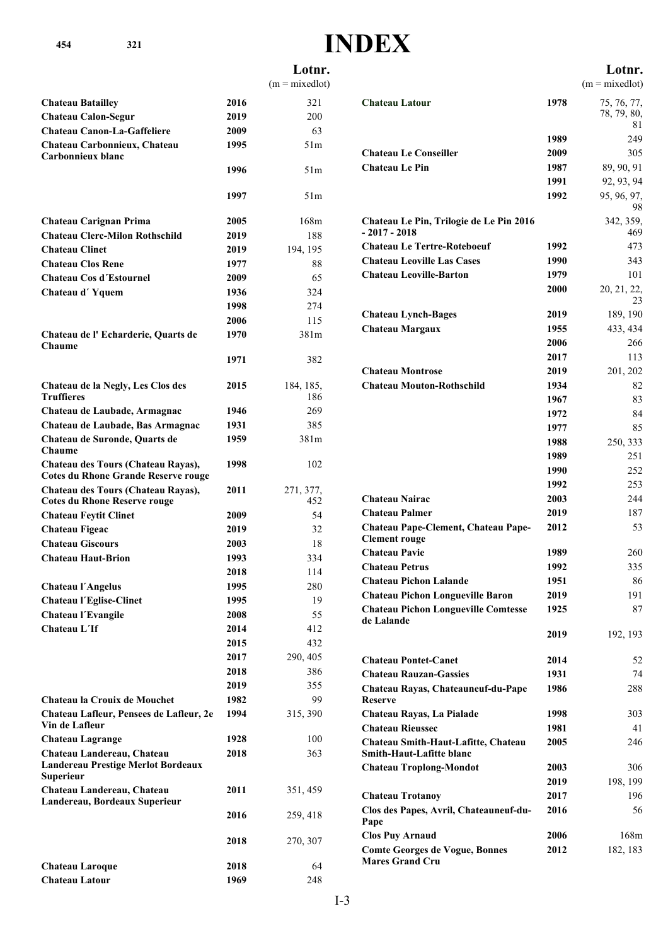# **INDEX**

|                                                             |              | Lotnr.           |                                                      |              | Lotnr.            |
|-------------------------------------------------------------|--------------|------------------|------------------------------------------------------|--------------|-------------------|
|                                                             |              | $(m = mixedlot)$ |                                                      |              | $(m = mixedlot)$  |
| <b>Chateau Batailley</b>                                    | 2016         | 321              | <b>Chateau Latour</b>                                | 1978         | 75, 76, 77,       |
| <b>Chateau Calon-Segur</b>                                  | 2019         | 200              |                                                      |              | 78, 79, 80,       |
| <b>Chateau Canon-La-Gaffeliere</b>                          | 2009         | 63               |                                                      |              | 81                |
| Chateau Carbonnieux, Chateau                                | 1995         | 51m              |                                                      | 1989         | 249               |
| Carbonnieux blanc                                           |              |                  | <b>Chateau Le Conseiller</b>                         | 2009         | 305               |
|                                                             | 1996         | 51m              | <b>Chateau Le Pin</b>                                | 1987         | 89, 90, 91        |
|                                                             |              |                  |                                                      | 1991         | 92, 93, 94        |
|                                                             | 1997         | 51m              |                                                      | 1992         | 95, 96, 97,<br>98 |
| <b>Chateau Carignan Prima</b>                               | 2005         | 168m             | Chateau Le Pin, Trilogie de Le Pin 2016              |              | 342, 359,         |
| <b>Chateau Clerc-Milon Rothschild</b>                       | 2019         | 188              | $-2017 - 2018$                                       |              | 469               |
| <b>Chateau Clinet</b>                                       | 2019         | 194, 195         | <b>Chateau Le Tertre-Roteboeuf</b>                   | 1992         | 473               |
| <b>Chateau Clos Rene</b>                                    | 1977         | 88               | <b>Chateau Leoville Las Cases</b>                    | 1990         | 343               |
| <b>Chateau Cos d'Estournel</b>                              | 2009         | 65               | <b>Chateau Leoville-Barton</b>                       | 1979         | 101               |
| Chateau d'Yquem                                             | 1936         | 324              |                                                      | 2000         | 20, 21, 22,       |
|                                                             | 1998         | 274              |                                                      |              | 23                |
|                                                             | 2006         | 115              | <b>Chateau Lynch-Bages</b>                           | 2019         | 189, 190          |
| Chateau de l'Echarderie, Quarts de                          | 1970         | 381m             | <b>Chateau Margaux</b>                               | 1955         | 433, 434          |
| Chaume                                                      |              |                  |                                                      | 2006         | 266               |
|                                                             | 1971         | 382              |                                                      | 2017         | 113               |
|                                                             |              |                  | <b>Chateau Montrose</b>                              | 2019         | 201, 202          |
| Chateau de la Negly, Les Clos des<br><b>Truffieres</b>      | 2015         | 184, 185,<br>186 | <b>Chateau Mouton-Rothschild</b>                     | 1934         | 82                |
| Chateau de Laubade, Armagnac                                | 1946         | 269              |                                                      | 1967         | 83                |
| Chateau de Laubade, Bas Armagnac                            | 1931         | 385              |                                                      | 1972         | 84                |
| Chateau de Suronde, Quarts de                               | 1959         | 381m             |                                                      | 1977         | 85                |
| Chaume                                                      |              |                  |                                                      | 1988         | 250, 333          |
| Chateau des Tours (Chateau Rayas),                          | 1998         | 102              |                                                      | 1989<br>1990 | 251               |
| <b>Cotes du Rhone Grande Reserve rouge</b>                  |              |                  |                                                      | 1992         | 252<br>253        |
| Chateau des Tours (Chateau Rayas),                          | 2011         | 271, 377,        | <b>Chateau Nairac</b>                                | 2003         | 244               |
| <b>Cotes du Rhone Reserve rouge</b>                         |              | 452              | <b>Chateau Palmer</b>                                | 2019         | 187               |
| <b>Chateau Feytit Clinet</b>                                | 2009         | 54               | Chateau Pape-Clement, Chateau Pape-                  | 2012         | 53                |
| <b>Chateau Figeac</b>                                       | 2019         | 32               | <b>Clement rouge</b>                                 |              |                   |
| <b>Chateau Giscours</b>                                     | 2003         | 18               | <b>Chateau Pavie</b>                                 | 1989         | 260               |
| <b>Chateau Haut-Brion</b>                                   | 1993         | 334              | <b>Chateau Petrus</b>                                | 1992         | 335               |
|                                                             | 2018         | 114              | <b>Chateau Pichon Lalande</b>                        | 1951         | 86                |
| <b>Chateau l'Angelus</b>                                    | 1995         | 280              | <b>Chateau Pichon Longueville Baron</b>              | 2019         | 191               |
| <b>Chateau l'Eglise-Clinet</b>                              | 1995         | 19               | <b>Chateau Pichon Longueville Comtesse</b>           | 1925         | 87                |
| Chateau l'Evangile<br>Chateau L'If                          | 2008<br>2014 | 55<br>412        | de Lalande                                           |              |                   |
|                                                             | 2015         | 432              |                                                      | 2019         | 192, 193          |
|                                                             | 2017         | 290, 405         |                                                      |              |                   |
|                                                             | 2018         | 386              | <b>Chateau Pontet-Canet</b>                          | 2014         | 52                |
|                                                             | 2019         | 355              | <b>Chateau Rauzan-Gassies</b>                        | 1931         | 74                |
| Chateau la Crouix de Mouchet                                | 1982         | 99               | Chateau Rayas, Chateauneuf-du-Pape<br><b>Reserve</b> | 1986         | 288               |
| Chateau Lafleur, Pensees de Lafleur, 2e                     | 1994         | 315, 390         | Chateau Rayas, La Pialade                            | 1998         | 303               |
| Vin de Lafleur                                              |              |                  | <b>Chateau Rieussec</b>                              | 1981         | 41                |
| <b>Chateau Lagrange</b>                                     | 1928         | 100              | Chateau Smith-Haut-Lafitte, Chateau                  | 2005         | 246               |
| Chateau Landereau, Chateau                                  | 2018         | 363              | <b>Smith-Haut-Lafitte blanc</b>                      |              |                   |
| Landereau Prestige Merlot Bordeaux                          |              |                  | <b>Chateau Troplong-Mondot</b>                       | 2003         | 306               |
| <b>Superieur</b>                                            |              |                  |                                                      | 2019         | 198, 199          |
| Chateau Landereau, Chateau<br>Landereau, Bordeaux Superieur | 2011         | 351, 459         | <b>Chateau Trotanoy</b>                              | 2017         | 196               |
|                                                             | 2016         | 259, 418         | Clos des Papes, Avril, Chateauneuf-du-<br>Pape       | 2016         | 56                |
|                                                             | 2018         |                  | <b>Clos Puy Arnaud</b>                               | 2006         | 168m              |
|                                                             |              | 270, 307         | <b>Comte Georges de Vogue, Bonnes</b>                | 2012         | 182, 183          |
| <b>Chateau Laroque</b>                                      | 2018         | 64               | <b>Mares Grand Cru</b>                               |              |                   |
| Chateau Latour                                              | 1969         | 248              |                                                      |              |                   |
|                                                             |              |                  |                                                      |              |                   |

#### **Lotnr.**

**1978** 75, 76, 77, 78, 79, 80, 81 **Chateau Latour Chateau Latour 1989** 249 **au Le Conseiller 2009** 305 **Chateau Le Pin 1987** 89, 90, 91 **1991** 92, 93, 94 **1992** 95, 96, 97, 98 **NV** 342, 359, 469 **Chateau Le Pin, Trilogie de Le Pin 2016 - 2017 - 2018 Chateau Le Tertre-Roteboeuf 1992** 473 **Chateau Leoville Las Cases 1990** 343 **Chateau Leoville-Barton 1979** 101 **2000** 20, 21, 22, 23 **Chateau Lynch-Bages 2019** 189, 190 **Comparison Channel Margaux 1955** 433, 434 **2006** 266 **Chateau Margaux 2017** 113 **Chateau Montrose 2019** 201, 202 **Chateau Mouton-Rothschild 1934** 82 **Chateau Mouton-Rothschild 1967** 83 **Chateau Mouton-Rothschild 1972** 84 **Chateau Mouton-Rothschild 1977** 85 **Chateau Mouton-Rothschild 1988** 250, 333 **Chateau Mouton-Rothschild 1989** 251 **Chateau Mouton-Rothschild 1990** 252 **Chateau Mouton-Rothschild 1992** 253 **Chateau Nairac 2003** 244 **Combined 2019** 187 **Chateau Pape-Clement, Chateau Pape- 2012** 53 nt rouge **Chateau Pavie 1989** 260 **Compare 1992** 335 **Chateau Pichon Lalande 1951** 86 **Combin Longueville Baron 2019** 191 **Chateau Pichon Longueville Comtesse 1925** 87 ande **Chateau Pichon Longueville Comtesse 2019** 192, 193 **c Canet 2014** 52 **Chateau Rauzan-Gassies 1931** 74 **Chateau Rayas, Chateauneuf-du-Pape 1986** 288 **Chateau Rayas, La Pialade 1998** 303 **Company 1981 Change 1981** 41 **Chateau Smith-Haut-Lafitte, Chateau 2005** 246 **Smith-Haut-Lafitte blanc**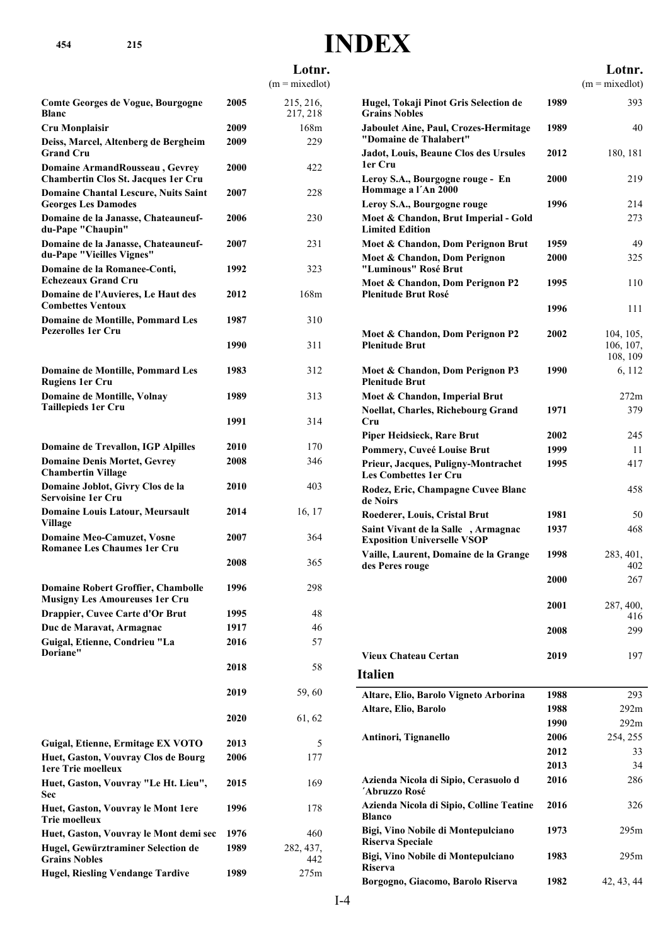|                                                                              |      | Lotnr.<br>$(m = mixedlot)$ |                                                                            |              | Lotnr.<br>$(m = mixedlot)$ |
|------------------------------------------------------------------------------|------|----------------------------|----------------------------------------------------------------------------|--------------|----------------------------|
| Comte Georges de Vogue, Bourgogne<br><b>Blanc</b>                            | 2005 | 215, 216,<br>217, 218      | Hugel, Tokaji Pinot Gris Selection de<br><b>Grains Nobles</b>              | 1989         | 393                        |
| Cru Monplaisir                                                               | 2009 | 168m                       | <b>Jaboulet Aine, Paul, Crozes-Hermitage</b>                               | 1989         | 40                         |
| Deiss, Marcel, Altenberg de Bergheim<br>Grand Cru                            | 2009 | 229                        | "Domaine de Thalabert"<br>Jadot, Louis, Beaune Clos des Ursules            | 2012         | 180, 181                   |
| Domaine ArmandRousseau, Gevrey<br><b>Chambertin Clos St. Jacques 1er Cru</b> | 2000 | 422                        | 1er Cru<br>Leroy S.A., Bourgogne rouge - En                                | 2000         | 219                        |
| <b>Domaine Chantal Lescure, Nuits Saint</b><br><b>Georges Les Damodes</b>    | 2007 | 228                        | Hommage a l'An 2000<br>Leroy S.A., Bourgogne rouge                         | 1996         | 214                        |
| Domaine de la Janasse, Chateauneuf-<br>du-Pape "Chaupin"                     | 2006 | 230                        | Moet & Chandon, Brut Imperial - Gold<br><b>Limited Edition</b>             |              | 273                        |
| Domaine de la Janasse, Chateauneuf-<br>du-Pape "Vieilles Vignes"             | 2007 | 231                        | Moet & Chandon, Dom Perignon Brut<br>Moet & Chandon, Dom Perignon          | 1959<br>2000 | 49<br>325                  |
| Domaine de la Romanee-Conti,<br><b>Echezeaux Grand Cru</b>                   | 1992 | 323                        | "Luminous" Rosé Brut<br>Moet & Chandon, Dom Perignon P2                    | 1995         | 110                        |
| <b>Domaine de l'Auvieres, Le Haut des</b><br><b>Combettes Ventoux</b>        | 2012 | 168m                       | <b>Plenitude Brut Rosé</b>                                                 | 1996         | 111                        |
| <b>Domaine de Montille, Pommard Les</b><br><b>Pezerolles 1er Cru</b>         | 1987 | 310                        |                                                                            | 2002         | 104, 105,                  |
|                                                                              | 1990 | 311                        | Moet & Chandon, Dom Perignon P2<br><b>Plenitude Brut</b>                   |              | 106, 107,<br>108, 109      |
| <b>Domaine de Montille, Pommard Les</b><br><b>Rugiens 1er Cru</b>            | 1983 | 312                        | Moet & Chandon, Dom Perignon P3<br><b>Plenitude Brut</b>                   | 1990         | 6, 112                     |
| <b>Domaine de Montille, Volnay</b><br>Taillepieds 1er Cru                    | 1989 | 313                        | Moet & Chandon, Imperial Brut<br><b>Noellat, Charles, Richebourg Grand</b> | 1971         | 272m<br>379                |
|                                                                              | 1991 | 314                        | Cru<br><b>Piper Heidsieck, Rare Brut</b>                                   | 2002         | 245                        |
| <b>Domaine de Trevallon, IGP Alpilles</b>                                    | 2010 | 170                        | Pommery, Cuveé Louise Brut                                                 | 1999         | 11                         |
| <b>Domaine Denis Mortet, Gevrey</b><br><b>Chambertin Village</b>             | 2008 | 346                        | Prieur, Jacques, Puligny-Montrachet<br><b>Les Combettes 1er Cru</b>        | 1995         | 417                        |
| Domaine Joblot, Givry Clos de la<br>Servoisine 1er Cru                       | 2010 | 403                        | Rodez, Eric, Champagne Cuvee Blanc<br>de Noirs                             |              | 458                        |
| <b>Domaine Louis Latour, Meursault</b><br>Village                            | 2014 | 16, 17                     | Roederer, Louis, Cristal Brut<br>Saint Vivant de la Salle, Armagnac        | 1981<br>1937 | 50<br>468                  |
| <b>Domaine Meo-Camuzet, Vosne</b><br><b>Romanee Les Chaumes 1er Cru</b>      | 2007 | 364                        | <b>Exposition Universelle VSOP</b>                                         | 1998         |                            |
|                                                                              | 2008 | 365                        | Vaille, Laurent, Domaine de la Grange<br>des Peres rouge                   |              | 283, 401,<br>402           |
| <b>Domaine Robert Groffier, Chambolle</b><br>Musigny Les Amoureuses 1er Cru  | 1996 | 298                        |                                                                            | 2000         | 267                        |
| <b>Drappier, Cuvee Carte d'Or Brut</b>                                       | 1995 | 48                         |                                                                            | 2001         | 287, 400,<br>416           |
| Duc de Maravat, Armagnac                                                     | 1917 | 46                         |                                                                            | 2008         | 299                        |
| Guigal, Etienne, Condrieu "La                                                | 2016 | 57                         |                                                                            |              |                            |
| <b>Doriane"</b>                                                              | 2018 | 58                         | <b>Vieux Chateau Certan</b><br><b>Italien</b>                              | 2019         | 197                        |
|                                                                              | 2019 | 59,60                      |                                                                            |              |                            |
|                                                                              |      |                            | Altare, Elio, Barolo Vigneto Arborina                                      | 1988         | 293                        |
|                                                                              | 2020 | 61, 62                     | Altare, Elio, Barolo                                                       | 1988<br>1990 | 292m<br>292m               |
|                                                                              |      |                            | Antinori, Tignanello                                                       | 2006         | 254, 255                   |
| Guigal, Etienne, Ermitage EX VOTO                                            | 2013 | 5                          |                                                                            | 2012         | 33                         |
| Huet, Gaston, Vouvray Clos de Bourg                                          | 2006 | 177                        |                                                                            | 2013         | 34                         |
| 1ere Trie moelleux<br>Huet, Gaston, Vouvray "Le Ht. Lieu",                   | 2015 | 169                        | Azienda Nicola di Sipio, Cerasuolo d<br>´Abruzzo Rosé                      | 2016         | 286                        |
| Sec<br>Huet, Gaston, Vouvray le Mont 1ere<br><b>Trie moelleux</b>            | 1996 | 178                        | Azienda Nicola di Sipio, Colline Teatine<br><b>Blanco</b>                  | 2016         | 326                        |
| Huet, Gaston, Vouvray le Mont demi sec                                       | 1976 | 460                        | Bigi, Vino Nobile di Montepulciano                                         | 1973         | 295m                       |
| Hugel, Gewürztraminer Selection de                                           | 1989 | 282, 437,                  | <b>Riserva Speciale</b>                                                    |              |                            |
| <b>Grains Nobles</b><br><b>Hugel, Riesling Vendange Tardive</b>              | 1989 | 442<br>275m                | Bigi, Vino Nobile di Montepulciano<br><b>Riserva</b>                       | 1983         | 295m                       |
|                                                                              |      |                            | Borgogno, Giacomo, Barolo Riserva                                          | 1982         | 42, 43, 44                 |

**INDEX**

**454 215**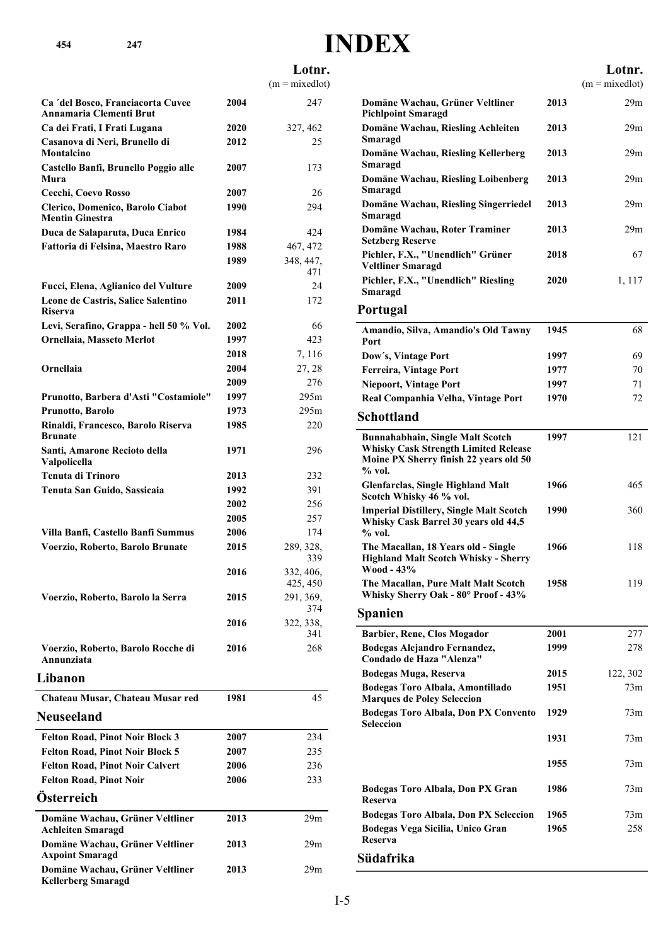# **INDEX**

 $\overline{a}$ 

#### **Lotnr.**  $(m = mixedlot)$ **Ca ´del Bosco, Franciacorta Cuvee 2004** 247 **Annamaria Clementi Brut Ca dei Frati, I Frati Lugana 2020** 327, 462 **Casanova di Neri, Brunello di 2012** 25 **Montalcino Castello Banfi, Brunello Poggio alle 2007** 173 **Mura Cecchi, Coevo Rosso 2007** 26 **Clerico, Domenico, Barolo Ciabot 1990** 294 **Mentin Ginestra Duca de Salaparuta, Duca Enrico 1984** 424 **Fattoria di Felsina, Maestro Raro 1988** 467, 472 **1989** 348, 447, 471 **Fucci, Elena, Aglianico del Vulture 2009** 24 **Leone de Castris, Salice Salentino 2011** 172 **Riserva Levi, Serafino, Grappa - hell 50 % Vol. 2002** 66 **Ornellaia, Masseto Merlot 1997** 423 **Ornellaia, Masseto Merlot 2018** 7, 116 **Ornellaia 2004** 27, 28 **Ornellaia 2009** 276 **Prunotto, Barbera d'Asti "Costamiole" 1997** 295m **Prunotto, Barolo 1973** 295m **Rinaldi, Francesco, Barolo Riserva 1985** 220 **Brunate Santi, Amarone Recioto della 1971** 296 **Valpolicella Tenuta di Trinoro 2013** 232 **Tenuta San Guido, Sassicaia 1992** 391 **Tenuta San Guido, Sassicaia 2002** 256 **Tenuta San Guido, Sassicaia 2005** 257 **Villa Banfi, Castello Banfi Summus 2006** 174 **2015** 289, 328, 339 **Voerzio, Roberto, Barolo Brunate 2016** 332, 406, 425, 450 **2015** 291, 369, 374 **Voerzio, Roberto, Barolo la Serra 2016** 322, 338, 341 **Voerzio, Roberto, Barolo Rocche di 2016** 268 **Annunziata Libanon Chateau Musar, Chateau Musar red 1981** 45 **Neuseeland Felton Road, Pinot Noir Block 3 2007** 234 **Felton Road, Pinot Noir Block 5 2007** 235 **Felton Road, Pinot Noir Calvert 2006** 236 **Felton Road, Pinot Noir 2006** 233 **Österreich Domäne Wachau, Grüner Veltliner 2013** 29m **Achleiten Smaragd Domäne Wachau, Grüner Veltliner 2013** 29m **Axpoint Smaragd Domäne Wachau, Grüner Veltliner 2013** 29m **Kellerberg Smaragd**

|                                                                                                                                            |      | Lotnr.           |
|--------------------------------------------------------------------------------------------------------------------------------------------|------|------------------|
|                                                                                                                                            |      | $(m = mixedlot)$ |
| Domäne Wachau, Grüner Veltliner<br><b>Pichlpoint Smaragd</b>                                                                               | 2013 | 29m              |
| Domäne Wachau, Riesling Achleiten<br>Smaragd                                                                                               | 2013 | 29m              |
| Domäne Wachau, Riesling Kellerberg<br>Smaragd                                                                                              | 2013 | 29m              |
| Domäne Wachau, Riesling Loibenberg<br>Smaragd                                                                                              | 2013 | 29 <sub>m</sub>  |
| Domäne Wachau, Riesling Singerriedel<br>Smaragd                                                                                            | 2013 | 29 <sub>m</sub>  |
| Domäne Wachau, Roter Traminer<br><b>Setzberg Reserve</b>                                                                                   | 2013 | 29m              |
| Pichler, F.X., "Unendlich" Grüner<br><b>Veltliner Smaragd</b>                                                                              | 2018 | 67               |
| Pichler, F.X., "Unendlich" Riesling<br>Smaragd                                                                                             | 2020 | 1, 117           |
| Portugal                                                                                                                                   |      |                  |
| Amandio, Silva, Amandio's Old Tawny<br>Port                                                                                                | 1945 | 68               |
| Dow's, Vintage Port                                                                                                                        | 1997 | 69               |
| <b>Ferreira, Vintage Port</b>                                                                                                              | 1977 | 70               |
| <b>Niepoort, Vintage Port</b>                                                                                                              | 1997 | 71               |
| Real Companhia Velha, Vintage Port                                                                                                         | 1970 | 72               |
| Schottland                                                                                                                                 |      |                  |
| <b>Bunnahabhain, Single Malt Scotch</b><br><b>Whisky Cask Strength Limited Release</b><br>Moine PX Sherry finish 22 years old 50<br>% vol. | 1997 | 121              |
| <b>Glenfarclas, Single Highland Malt</b><br>Scotch Whisky 46 % vol.                                                                        | 1966 | 465              |
| <b>Imperial Distillery, Single Malt Scotch</b><br>Whisky Cask Barrel 30 years old 44,5<br>$%$ vol.                                         | 1990 | 360              |
| The Macallan, 18 Years old - Single<br><b>Highland Malt Scotch Whisky - Sherry</b><br>W00d - 43%                                           | 1966 | 118              |
| The Macallan, Pure Malt Malt Scotch<br>Whisky Sherry Oak - 80° Proof - 43%                                                                 | 1958 | 119              |
| Spanien                                                                                                                                    |      |                  |
| Barbier, Rene, Clos Mogador                                                                                                                | 2001 | 277              |
| Bodegas Alejandro Fernandez,<br>Condado de Haza "Alenza"                                                                                   | 1999 | 278              |
| <b>Bodegas Muga, Reserva</b>                                                                                                               | 2015 | 122, 302         |
| Bodegas Toro Albala, Amontillado<br><b>Marques de Poley Seleccion</b>                                                                      | 1951 | 73m              |
| Bodegas Toro Albala, Don PX Convento<br>Seleccion                                                                                          | 1929 | 73m              |
|                                                                                                                                            | 1931 | 73m              |
|                                                                                                                                            | 1955 | 73m              |
| Bodegas Toro Albala, Don PX Gran<br>Reserva                                                                                                | 1986 | 73m              |
| <b>Bodegas Toro Albala, Don PX Seleccion</b>                                                                                               | 1965 | 73m              |
| Bodegas Vega Sicilia, Unico Gran<br>Reserva                                                                                                | 1965 | 258              |
| Südafrika                                                                                                                                  |      |                  |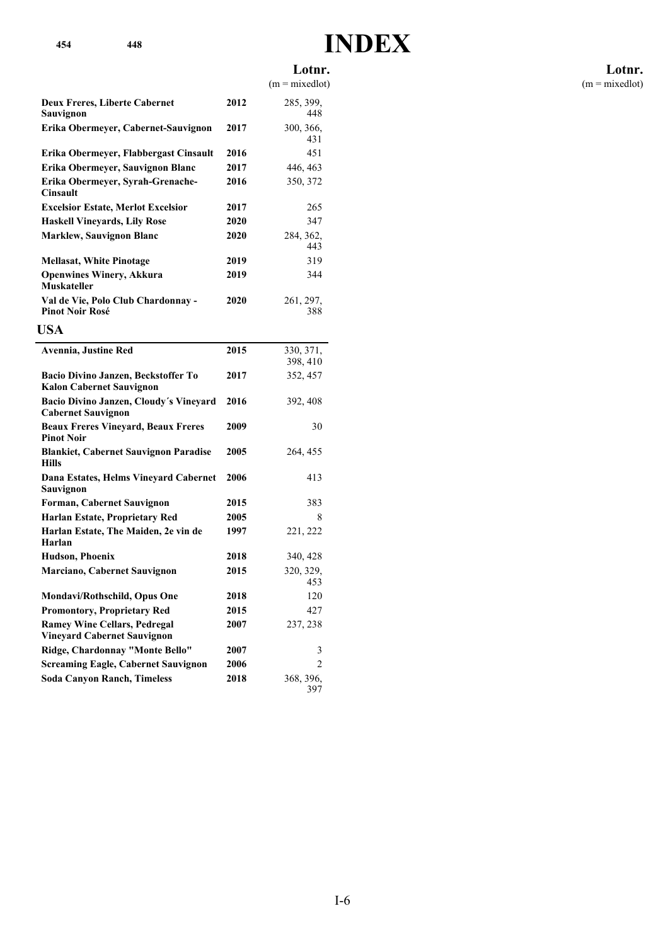# **INDEX**

### **Lotnr.**

 $(m = mixedlot)$ 

| <b>Deux Freres, Liberte Cabernet</b><br>Sauvignon            | 2012 | 285, 399,<br>448 |
|--------------------------------------------------------------|------|------------------|
| Erika Obermeyer, Cabernet-Sauvignon                          | 2017 | 300, 366,<br>431 |
| Erika Obermeyer, Flabbergast Cinsault                        | 2016 | 451              |
| Erika Obermeyer, Sauvignon Blanc                             | 2017 | 446, 463         |
| Erika Obermeyer, Syrah-Grenache-<br><b>Cinsault</b>          | 2016 | 350, 372         |
| <b>Excelsior Estate, Merlot Excelsior</b>                    | 2017 | 265              |
| <b>Haskell Vineyards, Lily Rose</b>                          | 2020 | 347              |
| <b>Marklew, Sauvignon Blanc</b>                              | 2020 | 284, 362,<br>443 |
| <b>Mellasat, White Pinotage</b>                              | 2019 | 319              |
| <b>Openwines Winery, Akkura</b><br>Muskateller               | 2019 | 344              |
| Val de Vie, Polo Club Chardonnay -<br><b>Pinot Noir Rosé</b> | 2020 | 261, 297,<br>388 |

| <b>USA</b>                                                                |      |                      |
|---------------------------------------------------------------------------|------|----------------------|
| Avennia, Justine Red                                                      | 2015 | 330, 371,            |
| Bacio Divino Janzen, Beckstoffer To<br><b>Kalon Cabernet Sauvignon</b>    | 2017 | 398, 410<br>352, 457 |
| Bacio Divino Janzen, Cloudy's Vineyard<br><b>Cabernet Sauvignon</b>       | 2016 | 392, 408             |
| <b>Beaux Freres Vineyard, Beaux Freres</b><br><b>Pinot Noir</b>           | 2009 | 30                   |
| <b>Blankiet, Cabernet Sauvignon Paradise</b><br><b>Hills</b>              | 2005 | 264, 455             |
| Dana Estates, Helms Vineyard Cabernet<br>Sauvignon                        | 2006 | 413                  |
| <b>Forman, Cabernet Sauvignon</b>                                         | 2015 | 383                  |
| Harlan Estate, Proprietary Red                                            | 2005 | 8                    |
| Harlan Estate, The Maiden, 2e vin de<br>Harlan                            | 1997 | 221, 222             |
| <b>Hudson, Phoenix</b>                                                    | 2018 | 340, 428             |
| <b>Marciano, Cabernet Sauvignon</b>                                       | 2015 | 320, 329,<br>453     |
| Mondavi/Rothschild, Opus One                                              | 2018 | 120                  |
| <b>Promontory, Proprietary Red</b>                                        | 2015 | 427                  |
| <b>Ramey Wine Cellars, Pedregal</b><br><b>Vineyard Cabernet Sauvignon</b> | 2007 | 237, 238             |
| Ridge, Chardonnay "Monte Bello"                                           | 2007 | 3                    |
| <b>Screaming Eagle, Cabernet Sauvignon</b>                                | 2006 | $\mathfrak{D}$       |
| <b>Soda Canyon Ranch, Timeless</b>                                        | 2018 | 368, 396,<br>397     |

#### **Lotnr.**  $(m = mixedlot)$